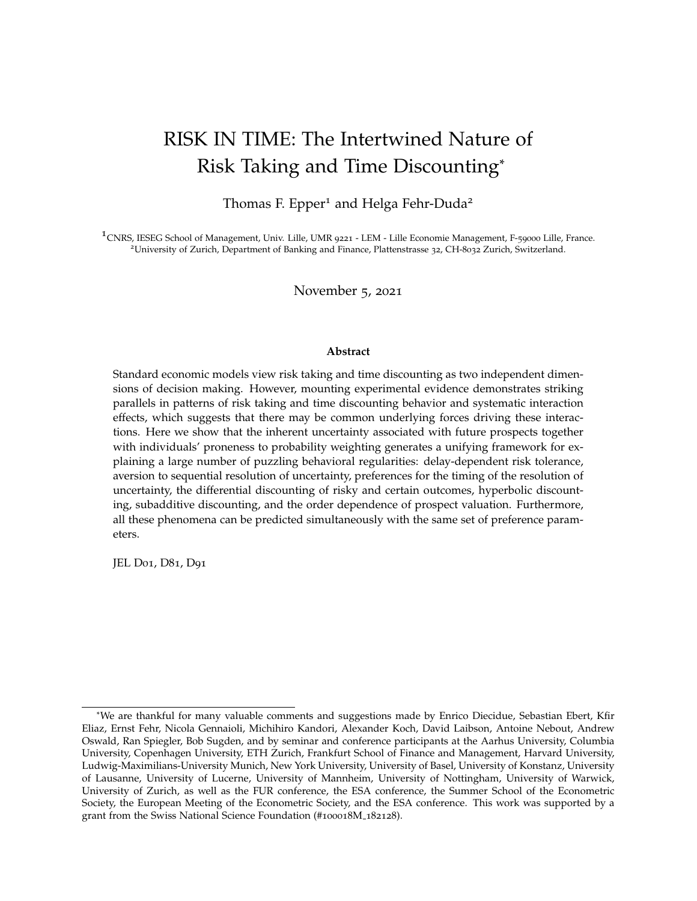# RISK IN TIME: The Intertwined Nature of Risk Taking and Time Discounting\*

Thomas F. Epper<sup>1</sup> and Helga Fehr-Duda<sup>2</sup>

<sup>1</sup> CNRS, IESEG School of Management, Univ. Lille, UMR 9221 - LEM - Lille Economie Management, F-59000 Lille, France. <sup>2</sup>University of Zurich, Department of Banking and Finance, Plattenstrasse 32, CH-8032 Zurich, Switzerland.

November 5, 2021

#### **Abstract**

Standard economic models view risk taking and time discounting as two independent dimensions of decision making. However, mounting experimental evidence demonstrates striking parallels in patterns of risk taking and time discounting behavior and systematic interaction effects, which suggests that there may be common underlying forces driving these interactions. Here we show that the inherent uncertainty associated with future prospects together with individuals' proneness to probability weighting generates a unifying framework for explaining a large number of puzzling behavioral regularities: delay-dependent risk tolerance, aversion to sequential resolution of uncertainty, preferences for the timing of the resolution of uncertainty, the differential discounting of risky and certain outcomes, hyperbolic discounting, subadditive discounting, and the order dependence of prospect valuation. Furthermore, all these phenomena can be predicted simultaneously with the same set of preference parameters.

JEL D01, D81, D91

<sup>\*</sup>We are thankful for many valuable comments and suggestions made by Enrico Diecidue, Sebastian Ebert, Kfir Eliaz, Ernst Fehr, Nicola Gennaioli, Michihiro Kandori, Alexander Koch, David Laibson, Antoine Nebout, Andrew Oswald, Ran Spiegler, Bob Sugden, and by seminar and conference participants at the Aarhus University, Columbia University, Copenhagen University, ETH Zurich, Frankfurt School of Finance and Management, Harvard University, Ludwig-Maximilians-University Munich, New York University, University of Basel, University of Konstanz, University of Lausanne, University of Lucerne, University of Mannheim, University of Nottingham, University of Warwick, University of Zurich, as well as the FUR conference, the ESA conference, the Summer School of the Econometric Society, the European Meeting of the Econometric Society, and the ESA conference. This work was supported by a grant from the Swiss National Science Foundation (#100018M 182128).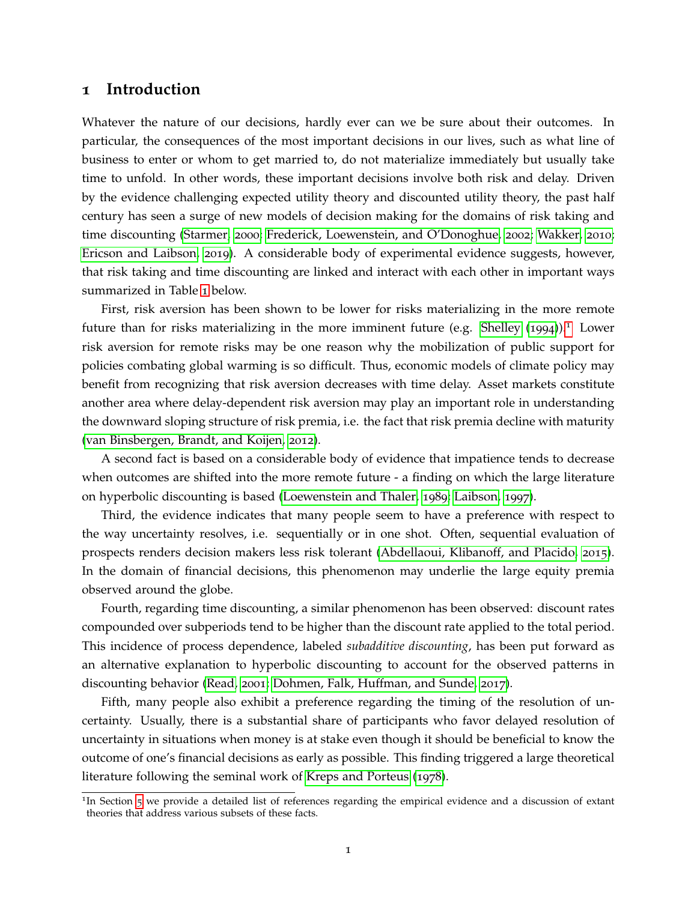# **1 Introduction**

Whatever the nature of our decisions, hardly ever can we be sure about their outcomes. In particular, the consequences of the most important decisions in our lives, such as what line of business to enter or whom to get married to, do not materialize immediately but usually take time to unfold. In other words, these important decisions involve both risk and delay. Driven by the evidence challenging expected utility theory and discounted utility theory, the past half century has seen a surge of new models of decision making for the domains of risk taking and time discounting [\(Starmer,](#page-67-0) [2000](#page-67-0); [Frederick, Loewenstein, and O'Donoghue,](#page-63-0) [2002](#page-63-0); [Wakker,](#page-68-0) [2010](#page-68-0); [Ericson and Laibson,](#page-63-1) [2019](#page-63-1)). A considerable body of experimental evidence suggests, however, that risk taking and time discounting are linked and interact with each other in important ways summarized in Table [1](#page-2-0) below.

First, risk aversion has been shown to be lower for risks materializing in the more remote future than for risks materializing in the more imminent future (e.g. [Shelley](#page-67-1)  $(1994)$  $(1994)$  $(1994)$ ).<sup>[1](#page-1-0)</sup> Lower risk aversion for remote risks may be one reason why the mobilization of public support for policies combating global warming is so difficult. Thus, economic models of climate policy may benefit from recognizing that risk aversion decreases with time delay. Asset markets constitute another area where delay-dependent risk aversion may play an important role in understanding the downward sloping structure of risk premia, i.e. the fact that risk premia decline with maturity [\(van Binsbergen, Brandt, and Koijen,](#page-68-1) [2012](#page-68-1)).

A second fact is based on a considerable body of evidence that impatience tends to decrease when outcomes are shifted into the more remote future - a finding on which the large literature on hyperbolic discounting is based [\(Loewenstein and Thaler,](#page-65-0) [1989](#page-65-0); [Laibson,](#page-65-1) [1997](#page-65-1)).

Third, the evidence indicates that many people seem to have a preference with respect to the way uncertainty resolves, i.e. sequentially or in one shot. Often, sequential evaluation of prospects renders decision makers less risk tolerant [\(Abdellaoui, Klibanoff, and Placido,](#page-60-0) [2015](#page-60-0)). In the domain of financial decisions, this phenomenon may underlie the large equity premia observed around the globe.

Fourth, regarding time discounting, a similar phenomenon has been observed: discount rates compounded over subperiods tend to be higher than the discount rate applied to the total period. This incidence of process dependence, labeled *subadditive discounting*, has been put forward as an alternative explanation to hyperbolic discounting to account for the observed patterns in discounting behavior [\(Read,](#page-66-0) [2001](#page-66-0); [Dohmen, Falk, Huffman, and Sunde,](#page-62-0) [2017](#page-62-0)).

Fifth, many people also exhibit a preference regarding the timing of the resolution of uncertainty. Usually, there is a substantial share of participants who favor delayed resolution of uncertainty in situations when money is at stake even though it should be beneficial to know the outcome of one's financial decisions as early as possible. This finding triggered a large theoretical literature following the seminal work of [Kreps and Porteus](#page-65-2) ([1978](#page-65-2)).

<span id="page-1-0"></span><sup>&</sup>lt;sup>1</sup>In Section [5](#page-34-0) we provide a detailed list of references regarding the empirical evidence and a discussion of extant theories that address various subsets of these facts.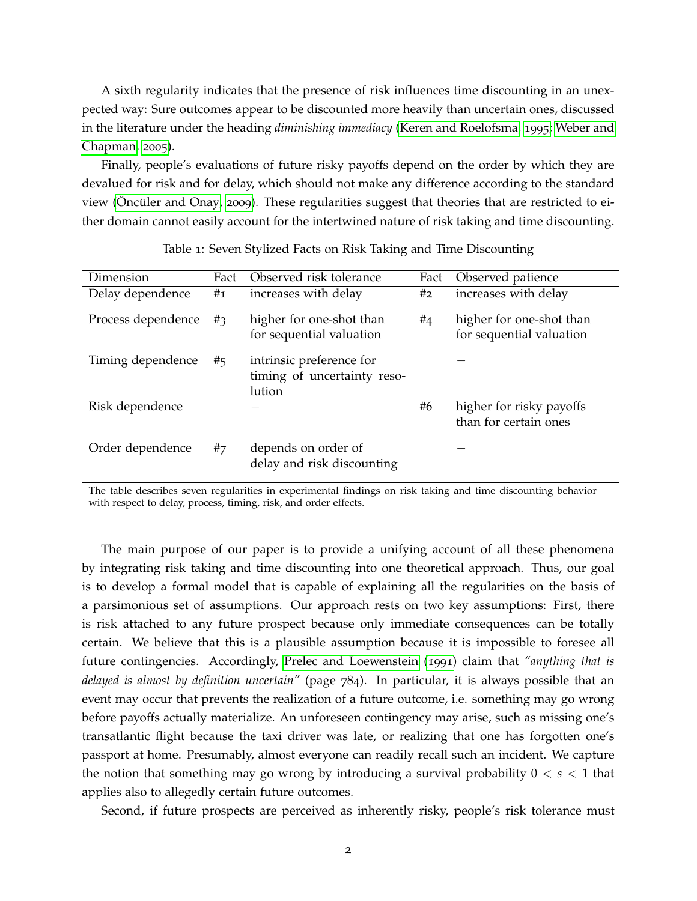A sixth regularity indicates that the presence of risk influences time discounting in an unexpected way: Sure outcomes appear to be discounted more heavily than uncertain ones, discussed in the literature under the heading *diminishing immediacy* [\(Keren and Roelofsma,](#page-64-0) [1995](#page-64-0); [Weber and](#page-68-2) [Chapman,](#page-68-2) [2005](#page-68-2)).

Finally, people's evaluations of future risky payoffs depend on the order by which they are devalued for risk and for delay, which should not make any difference according to the standard view (Oncüler and Onay, [2009](#page-66-1)). These regularities suggest that theories that are restricted to either domain cannot easily account for the intertwined nature of risk taking and time discounting.

<span id="page-2-0"></span>

| Dimension          | Fact  | Observed risk tolerance                                           | Fact | Observed patience                                    |
|--------------------|-------|-------------------------------------------------------------------|------|------------------------------------------------------|
| Delay dependence   | #1    | increases with delay                                              | #2   | increases with delay                                 |
| Process dependence | $#_3$ | higher for one-shot than<br>for sequential valuation              | #4   | higher for one-shot than<br>for sequential valuation |
| Timing dependence  | #5    | intrinsic preference for<br>timing of uncertainty reso-<br>lution |      |                                                      |
| Risk dependence    |       |                                                                   | #6   | higher for risky payoffs<br>than for certain ones    |
| Order dependence   | #7    | depends on order of<br>delay and risk discounting                 |      |                                                      |

Table 1: Seven Stylized Facts on Risk Taking and Time Discounting

The table describes seven regularities in experimental findings on risk taking and time discounting behavior with respect to delay, process, timing, risk, and order effects.

The main purpose of our paper is to provide a unifying account of all these phenomena by integrating risk taking and time discounting into one theoretical approach. Thus, our goal is to develop a formal model that is capable of explaining all the regularities on the basis of a parsimonious set of assumptions. Our approach rests on two key assumptions: First, there is risk attached to any future prospect because only immediate consequences can be totally certain. We believe that this is a plausible assumption because it is impossible to foresee all future contingencies. Accordingly, [Prelec and Loewenstein](#page-66-2) ([1991](#page-66-2)) claim that *"anything that is delayed is almost by definition uncertain"* (page 784). In particular, it is always possible that an event may occur that prevents the realization of a future outcome, i.e. something may go wrong before payoffs actually materialize. An unforeseen contingency may arise, such as missing one's transatlantic flight because the taxi driver was late, or realizing that one has forgotten one's passport at home. Presumably, almost everyone can readily recall such an incident. We capture the notion that something may go wrong by introducing a survival probability 0 < *s* < 1 that applies also to allegedly certain future outcomes.

Second, if future prospects are perceived as inherently risky, people's risk tolerance must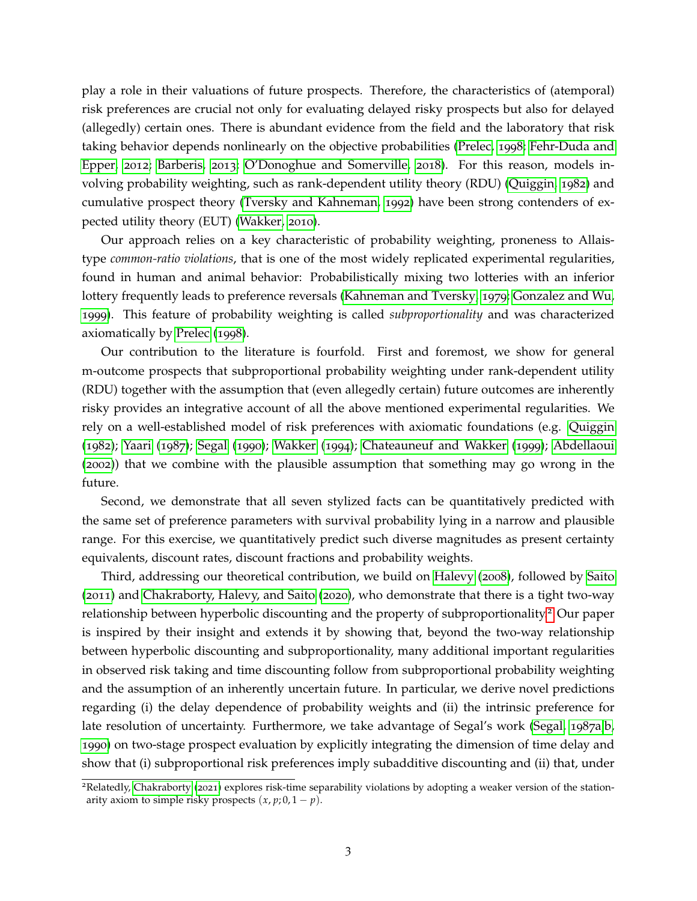play a role in their valuations of future prospects. Therefore, the characteristics of (atemporal) risk preferences are crucial not only for evaluating delayed risky prospects but also for delayed (allegedly) certain ones. There is abundant evidence from the field and the laboratory that risk taking behavior depends nonlinearly on the objective probabilities [\(Prelec,](#page-66-3) [1998](#page-66-3); [Fehr-Duda and](#page-63-2) [Epper,](#page-63-2) [2012](#page-63-2); [Barberis,](#page-60-1) [2013](#page-60-1); [O'Donoghue and Somerville,](#page-66-4) [2018](#page-66-4)). For this reason, models involving probability weighting, such as rank-dependent utility theory (RDU) [\(Quiggin,](#page-66-5) [1982](#page-66-5)) and cumulative prospect theory [\(Tversky and Kahneman,](#page-68-3) [1992](#page-68-3)) have been strong contenders of expected utility theory (EUT) [\(Wakker,](#page-68-0) [2010](#page-68-0)).

Our approach relies on a key characteristic of probability weighting, proneness to Allaistype *common-ratio violations*, that is one of the most widely replicated experimental regularities, found in human and animal behavior: Probabilistically mixing two lotteries with an inferior lottery frequently leads to preference reversals [\(Kahneman and Tversky,](#page-64-1) [1979](#page-64-1); [Gonzalez and Wu,](#page-64-2) [1999](#page-64-2)). This feature of probability weighting is called *subproportionality* and was characterized axiomatically by [Prelec](#page-66-3) ([1998](#page-66-3)).

Our contribution to the literature is fourfold. First and foremost, we show for general m-outcome prospects that subproportional probability weighting under rank-dependent utility (RDU) together with the assumption that (even allegedly certain) future outcomes are inherently risky provides an integrative account of all the above mentioned experimental regularities. We rely on a well-established model of risk preferences with axiomatic foundations (e.g. [Quiggin](#page-66-5) ([1982](#page-66-5)); [Yaari](#page-68-4) ([1987](#page-68-4)); [Segal](#page-67-2) ([1990](#page-67-2)); [Wakker](#page-68-5) ([1994](#page-68-5)); [Chateauneuf and Wakker](#page-62-1) ([1999](#page-62-1)); [Abdellaoui](#page-60-2) ([2002](#page-60-2))) that we combine with the plausible assumption that something may go wrong in the future.

Second, we demonstrate that all seven stylized facts can be quantitatively predicted with the same set of preference parameters with survival probability lying in a narrow and plausible range. For this exercise, we quantitatively predict such diverse magnitudes as present certainty equivalents, discount rates, discount fractions and probability weights.

Third, addressing our theoretical contribution, we build on [Halevy](#page-64-3) ([2008](#page-64-3)), followed by [Saito](#page-67-3) ([2011](#page-67-3)) and [Chakraborty, Halevy, and Saito](#page-61-0) ([2020](#page-61-0)), who demonstrate that there is a tight two-way relationship between hyperbolic discounting and the property of subproportionality.[2](#page-3-0) Our paper is inspired by their insight and extends it by showing that, beyond the two-way relationship between hyperbolic discounting and subproportionality, many additional important regularities in observed risk taking and time discounting follow from subproportional probability weighting and the assumption of an inherently uncertain future. In particular, we derive novel predictions regarding (i) the delay dependence of probability weights and (ii) the intrinsic preference for late resolution of uncertainty. Furthermore, we take advantage of Segal's work [\(Segal,](#page-67-4) [1987](#page-67-4)a[,b,](#page-67-5) [1990](#page-67-2)) on two-stage prospect evaluation by explicitly integrating the dimension of time delay and show that (i) subproportional risk preferences imply subadditive discounting and (ii) that, under

<span id="page-3-0"></span><sup>2</sup>Relatedly, [Chakraborty](#page-61-1) ([2021](#page-61-1)) explores risk-time separability violations by adopting a weaker version of the stationarity axiom to simple risky prospects  $(x, p; 0, 1-p)$ .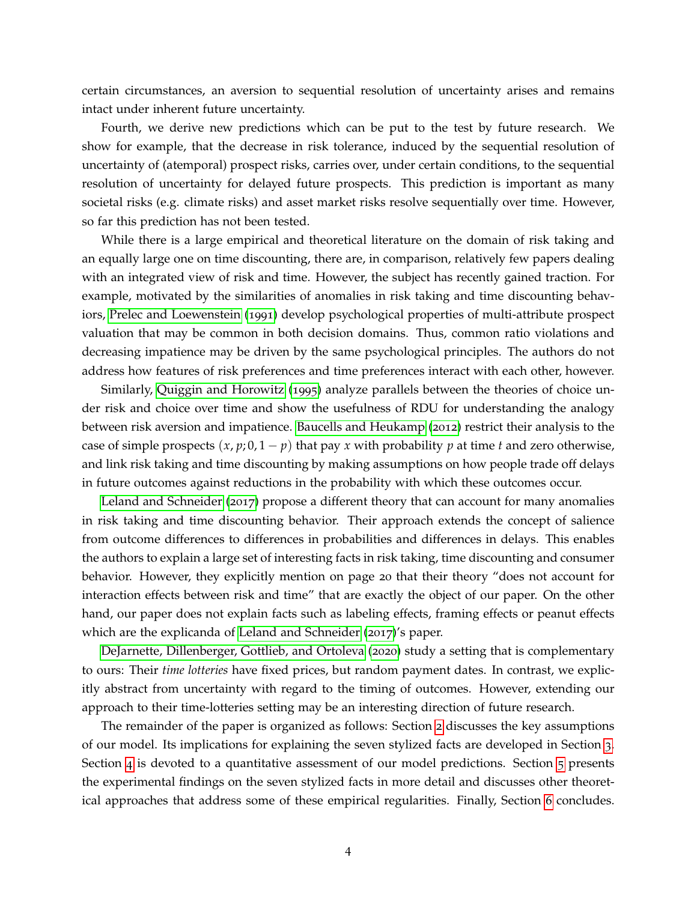certain circumstances, an aversion to sequential resolution of uncertainty arises and remains intact under inherent future uncertainty.

Fourth, we derive new predictions which can be put to the test by future research. We show for example, that the decrease in risk tolerance, induced by the sequential resolution of uncertainty of (atemporal) prospect risks, carries over, under certain conditions, to the sequential resolution of uncertainty for delayed future prospects. This prediction is important as many societal risks (e.g. climate risks) and asset market risks resolve sequentially over time. However, so far this prediction has not been tested.

While there is a large empirical and theoretical literature on the domain of risk taking and an equally large one on time discounting, there are, in comparison, relatively few papers dealing with an integrated view of risk and time. However, the subject has recently gained traction. For example, motivated by the similarities of anomalies in risk taking and time discounting behaviors, [Prelec and Loewenstein](#page-66-2) ([1991](#page-66-2)) develop psychological properties of multi-attribute prospect valuation that may be common in both decision domains. Thus, common ratio violations and decreasing impatience may be driven by the same psychological principles. The authors do not address how features of risk preferences and time preferences interact with each other, however.

Similarly, [Quiggin and Horowitz](#page-66-6) ([1995](#page-66-6)) analyze parallels between the theories of choice under risk and choice over time and show the usefulness of RDU for understanding the analogy between risk aversion and impatience. [Baucells and Heukamp](#page-61-2) ([2012](#page-61-2)) restrict their analysis to the case of simple prospects  $(x, p; 0, 1-p)$  that pay x with probability p at time t and zero otherwise, and link risk taking and time discounting by making assumptions on how people trade off delays in future outcomes against reductions in the probability with which these outcomes occur.

[Leland and Schneider](#page-65-3) ([2017](#page-65-3)) propose a different theory that can account for many anomalies in risk taking and time discounting behavior. Their approach extends the concept of salience from outcome differences to differences in probabilities and differences in delays. This enables the authors to explain a large set of interesting facts in risk taking, time discounting and consumer behavior. However, they explicitly mention on page 20 that their theory "does not account for interaction effects between risk and time" that are exactly the object of our paper. On the other hand, our paper does not explain facts such as labeling effects, framing effects or peanut effects which are the explicanda of [Leland and Schneider](#page-65-3) ([2017](#page-65-3))'s paper.

[DeJarnette, Dillenberger, Gottlieb, and Ortoleva](#page-62-2) ([2020](#page-62-2)) study a setting that is complementary to ours: Their *time lotteries* have fixed prices, but random payment dates. In contrast, we explicitly abstract from uncertainty with regard to the timing of outcomes. However, extending our approach to their time-lotteries setting may be an interesting direction of future research.

The remainder of the paper is organized as follows: Section [2](#page-5-0) discusses the key assumptions of our model. Its implications for explaining the seven stylized facts are developed in Section [3](#page-12-0). Section [4](#page-26-0) is devoted to a quantitative assessment of our model predictions. Section [5](#page-34-0) presents the experimental findings on the seven stylized facts in more detail and discusses other theoretical approaches that address some of these empirical regularities. Finally, Section [6](#page-38-0) concludes.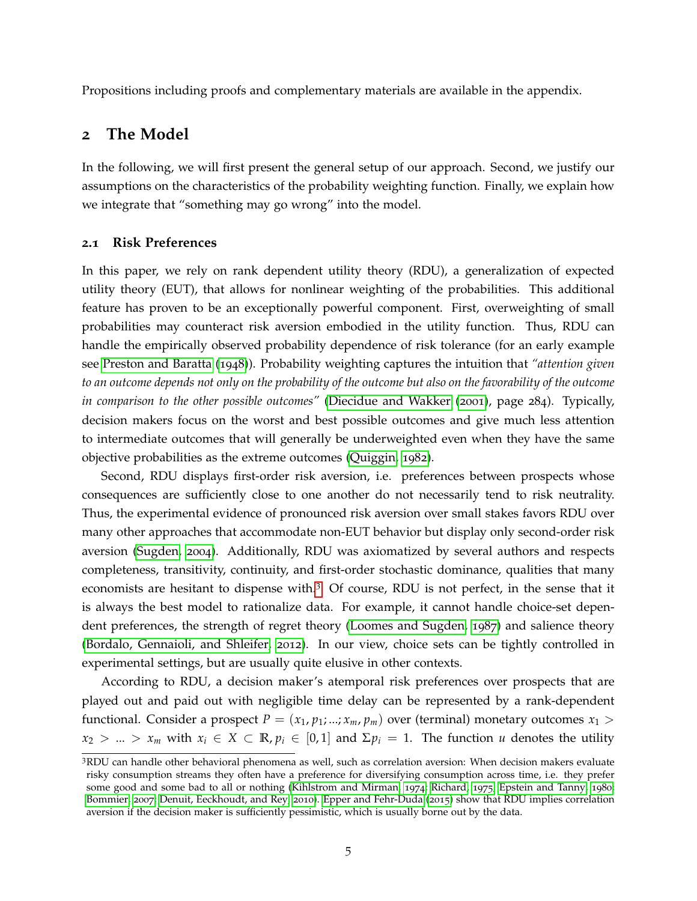Propositions including proofs and complementary materials are available in the appendix.

# <span id="page-5-0"></span>**2 The Model**

In the following, we will first present the general setup of our approach. Second, we justify our assumptions on the characteristics of the probability weighting function. Finally, we explain how we integrate that "something may go wrong" into the model.

# **2.1 Risk Preferences**

In this paper, we rely on rank dependent utility theory (RDU), a generalization of expected utility theory (EUT), that allows for nonlinear weighting of the probabilities. This additional feature has proven to be an exceptionally powerful component. First, overweighting of small probabilities may counteract risk aversion embodied in the utility function. Thus, RDU can handle the empirically observed probability dependence of risk tolerance (for an early example see [Preston and Baratta](#page-66-7) ([1948](#page-66-7))). Probability weighting captures the intuition that *"attention given to an outcome depends not only on the probability of the outcome but also on the favorability of the outcome in comparison to the other possible outcomes"* [\(Diecidue and Wakker](#page-62-3) ([2001](#page-62-3)), page 284). Typically, decision makers focus on the worst and best possible outcomes and give much less attention to intermediate outcomes that will generally be underweighted even when they have the same objective probabilities as the extreme outcomes [\(Quiggin,](#page-66-5) [1982](#page-66-5)).

Second, RDU displays first-order risk aversion, i.e. preferences between prospects whose consequences are sufficiently close to one another do not necessarily tend to risk neutrality. Thus, the experimental evidence of pronounced risk aversion over small stakes favors RDU over many other approaches that accommodate non-EUT behavior but display only second-order risk aversion [\(Sugden,](#page-67-6) [2004](#page-67-6)). Additionally, RDU was axiomatized by several authors and respects completeness, transitivity, continuity, and first-order stochastic dominance, qualities that many economists are hesitant to dispense with.[3](#page-5-1) Of course, RDU is not perfect, in the sense that it is always the best model to rationalize data. For example, it cannot handle choice-set dependent preferences, the strength of regret theory [\(Loomes and Sugden,](#page-65-4) [1987](#page-65-4)) and salience theory [\(Bordalo, Gennaioli, and Shleifer,](#page-61-3) [2012](#page-61-3)). In our view, choice sets can be tightly controlled in experimental settings, but are usually quite elusive in other contexts.

According to RDU, a decision maker's atemporal risk preferences over prospects that are played out and paid out with negligible time delay can be represented by a rank-dependent functional. Consider a prospect  $P = (x_1, p_1; ...; x_m, p_m)$  over (terminal) monetary outcomes  $x_1 >$  $x_2 > ... > x_m$  with  $x_i \in X \subset \mathbb{R}, p_i \in [0,1]$  and  $\Sigma p_i = 1$ . The function *u* denotes the utility

<span id="page-5-1"></span><sup>3</sup>RDU can handle other behavioral phenomena as well, such as correlation aversion: When decision makers evaluate risky consumption streams they often have a preference for diversifying consumption across time, i.e. they prefer some good and some bad to all or nothing [\(Kihlstrom and Mirman,](#page-64-4) [1974](#page-64-4); [Richard,](#page-66-8) [1975](#page-66-8); [Epstein and Tanny,](#page-63-3) [1980](#page-63-3); [Bommier,](#page-61-4) [2007](#page-61-4); [Denuit, Eeckhoudt, and Rey,](#page-62-4) [2010](#page-62-4)). [Epper and Fehr-Duda](#page-63-4) ([2015](#page-63-4)) show that RDU implies correlation aversion if the decision maker is sufficiently pessimistic, which is usually borne out by the data.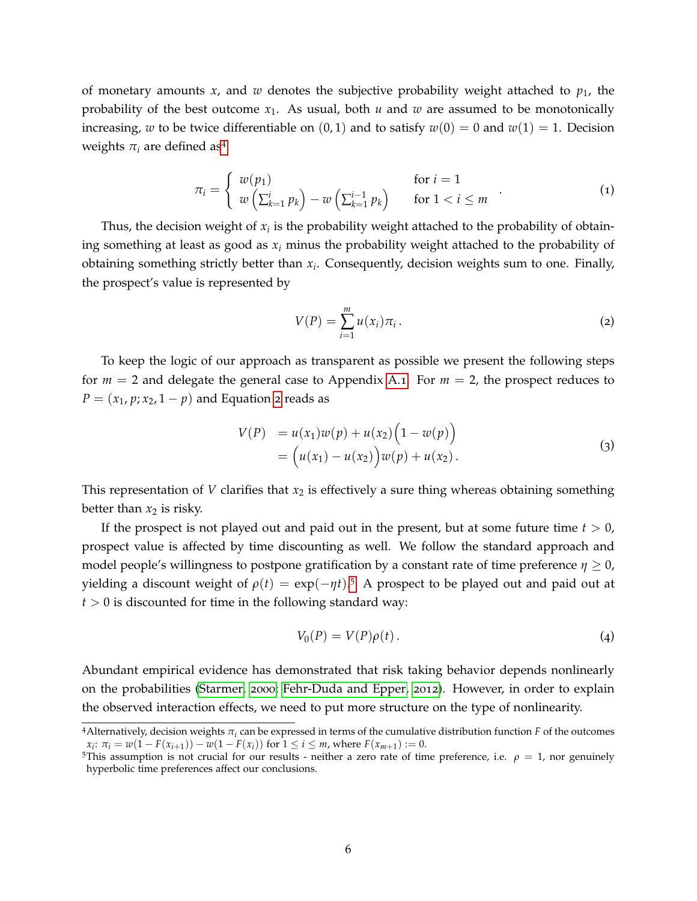of monetary amounts  $x$ , and  $w$  denotes the subjective probability weight attached to  $p_1$ , the probability of the best outcome  $x_1$ . As usual, both  $u$  and  $w$  are assumed to be monotonically increasing, *w* to be twice differentiable on  $(0, 1)$  and to satisfy  $w(0) = 0$  and  $w(1) = 1$ . Decision weights  $\pi_i$  are defined as<sup>[4](#page-6-0)</sup>

$$
\pi_i = \begin{cases} w(p_1) & \text{for } i = 1 \\ w\left(\sum_{k=1}^i p_k\right) - w\left(\sum_{k=1}^{i-1} p_k\right) & \text{for } 1 < i \leq m \end{cases}
$$
 (1)

Thus, the decision weight of  $x_i$  is the probability weight attached to the probability of obtaining something at least as good as  $x_i$  minus the probability weight attached to the probability of obtaining something strictly better than *x<sup>i</sup>* . Consequently, decision weights sum to one. Finally, the prospect's value is represented by

<span id="page-6-1"></span>
$$
V(P) = \sum_{i=1}^{m} u(x_i) \pi_i.
$$
 (2)

To keep the logic of our approach as transparent as possible we present the following steps for *m* = 2 and delegate the general case to Appendix [A.](#page-40-0)1. For *m* = 2, the prospect reduces to  $P = (x_1, p; x_2, 1-p)$  $P = (x_1, p; x_2, 1-p)$  $P = (x_1, p; x_2, 1-p)$  and Equation 2 reads as

$$
V(P) = u(x_1)w(p) + u(x_2)\left(1 - w(p)\right)
$$
  
=  $(u(x_1) - u(x_2))w(p) + u(x_2).$  (3)

This representation of *V* clarifies that  $x_2$  is effectively a sure thing whereas obtaining something better than  $x_2$  is risky.

If the prospect is not played out and paid out in the present, but at some future time  $t > 0$ , prospect value is affected by time discounting as well. We follow the standard approach and model people's willingness to postpone gratification by a constant rate of time preference  $\eta \geq 0$ , yielding a discount weight of  $\rho(t) = \exp(-\eta t)$ .<sup>[5](#page-6-2)</sup> A prospect to be played out and paid out at  $t > 0$  is discounted for time in the following standard way:

$$
V_0(P) = V(P)\rho(t). \tag{4}
$$

Abundant empirical evidence has demonstrated that risk taking behavior depends nonlinearly on the probabilities [\(Starmer,](#page-67-0) [2000](#page-67-0); [Fehr-Duda and Epper,](#page-63-2) [2012](#page-63-2)). However, in order to explain the observed interaction effects, we need to put more structure on the type of nonlinearity.

<span id="page-6-0"></span><sup>&</sup>lt;sup>4</sup>Alternatively, decision weights  $\pi_i$  can be expressed in terms of the cumulative distribution function *F* of the outcomes  $x_i: \pi_i = w(1 - F(x_{i+1})) - w(1 - F(x_i))$  for  $1 \le i \le m$ , where  $F(x_{m+1}) := 0$ .

<span id="page-6-2"></span><sup>&</sup>lt;sup>5</sup>This assumption is not crucial for our results - neither a zero rate of time preference, i.e.  $\rho = 1$ , nor genuinely hyperbolic time preferences affect our conclusions.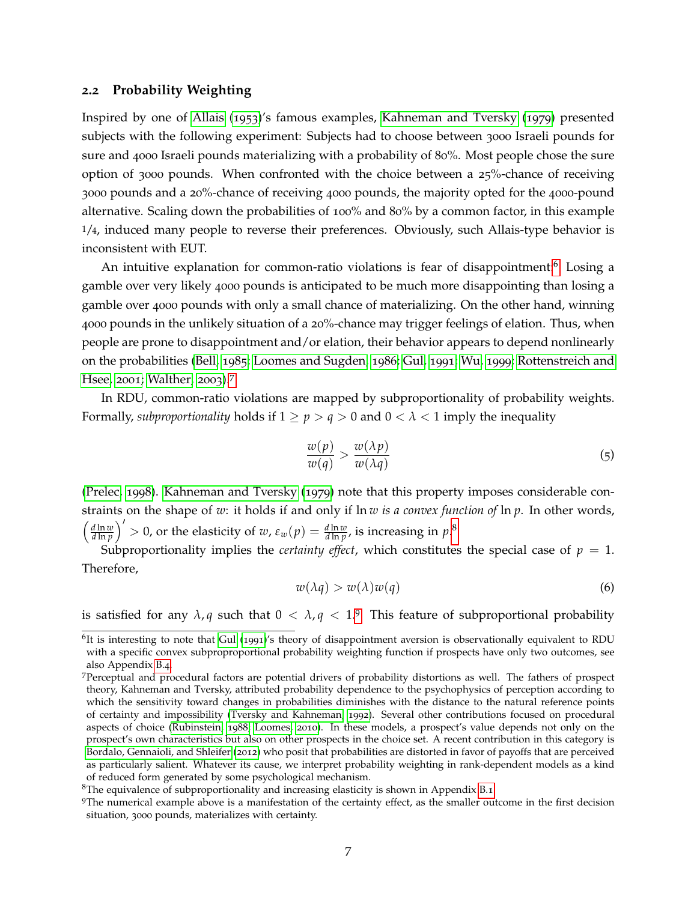#### **2.2 Probability Weighting**

Inspired by one of [Allais](#page-60-3) ([1953](#page-60-3))'s famous examples, [Kahneman and Tversky](#page-64-1) ([1979](#page-64-1)) presented subjects with the following experiment: Subjects had to choose between 3000 Israeli pounds for sure and 4000 Israeli pounds materializing with a probability of 80%. Most people chose the sure option of 3000 pounds. When confronted with the choice between a 25%-chance of receiving 3000 pounds and a 20%-chance of receiving 4000 pounds, the majority opted for the 4000-pound alternative. Scaling down the probabilities of 100% and 80% by a common factor, in this example 1/4, induced many people to reverse their preferences. Obviously, such Allais-type behavior is inconsistent with EUT.

An intuitive explanation for common-ratio violations is fear of disappointment:<sup>[6](#page-7-0)</sup> Losing a gamble over very likely 4000 pounds is anticipated to be much more disappointing than losing a gamble over 4000 pounds with only a small chance of materializing. On the other hand, winning 4000 pounds in the unlikely situation of a 20%-chance may trigger feelings of elation. Thus, when people are prone to disappointment and/or elation, their behavior appears to depend nonlinearly on the probabilities [\(Bell,](#page-61-5) [1985](#page-61-5); [Loomes and Sugden,](#page-65-5) [1986](#page-65-5); [Gul,](#page-64-5) [1991](#page-64-5); [Wu,](#page-68-6) [1999](#page-68-6); [Rottenstreich and](#page-67-7) [Hsee,](#page-67-7) [2001](#page-67-7); [Walther,](#page-68-7) [2003](#page-68-7)).[7](#page-7-1)

In RDU, common-ratio violations are mapped by subproportionality of probability weights. Formally, *subproportionality* holds if  $1 \ge p > q > 0$  and  $0 < \lambda < 1$  imply the inequality

$$
\frac{w(p)}{w(q)} > \frac{w(\lambda p)}{w(\lambda q)}\tag{5}
$$

[\(Prelec,](#page-66-3) [1998](#page-66-3)). [Kahneman and Tversky](#page-64-1) ([1979](#page-64-1)) note that this property imposes considerable constraints on the shape of *w*: it holds if and only if ln *w is a convex function of* ln *p*. In other words,  $\int$  *d* ln  $w$ *d* ln *p*  $\int'$  > 0, or the elasticity of *w*, ε<sub>*w*</sub>(*p*) =  $\frac{d \ln w}{d \ln p}$ , is increasing in *p*.<sup>[8](#page-7-2)</sup>

Subproportionality implies the *certainty effect*, which constitutes the special case of  $p = 1$ . Therefore,

$$
w(\lambda q) > w(\lambda)w(q) \tag{6}
$$

is satisfied for any  $\lambda$ , *q* such that  $0 < \lambda$ ,  $q < 1$ .<sup>[9](#page-7-3)</sup> This feature of subproportional probability

<span id="page-7-0"></span><sup>&</sup>lt;sup>6</sup>It is interesting to note that [Gul](#page-64-5) ([1991](#page-64-5))'s theory of disappointment aversion is observationally equivalent to RDU with a specific convex subproproportional probability weighting function if prospects have only two outcomes, see also Appendix [B.](#page-58-0)4.

<span id="page-7-1"></span><sup>7</sup>Perceptual and procedural factors are potential drivers of probability distortions as well. The fathers of prospect theory, Kahneman and Tversky, attributed probability dependence to the psychophysics of perception according to which the sensitivity toward changes in probabilities diminishes with the distance to the natural reference points of certainty and impossibility [\(Tversky and Kahneman,](#page-68-3) [1992](#page-68-3)). Several other contributions focused on procedural aspects of choice [\(Rubinstein,](#page-67-8) [1988](#page-67-8); [Loomes,](#page-65-6) [2010](#page-65-6)). In these models, a prospect's value depends not only on the prospect's own characteristics but also on other prospects in the choice set. A recent contribution in this category is [Bordalo, Gennaioli, and Shleifer](#page-61-3) ([2012](#page-61-3)) who posit that probabilities are distorted in favor of payoffs that are perceived as particularly salient. Whatever its cause, we interpret probability weighting in rank-dependent models as a kind of reduced form generated by some psychological mechanism.

<span id="page-7-2"></span><sup>&</sup>lt;sup>8</sup>The equivalence of subproportionality and increasing elasticity is shown in Appendix [B.](#page-54-0)1.

<span id="page-7-3"></span><sup>9</sup>The numerical example above is a manifestation of the certainty effect, as the smaller outcome in the first decision situation, 3000 pounds, materializes with certainty.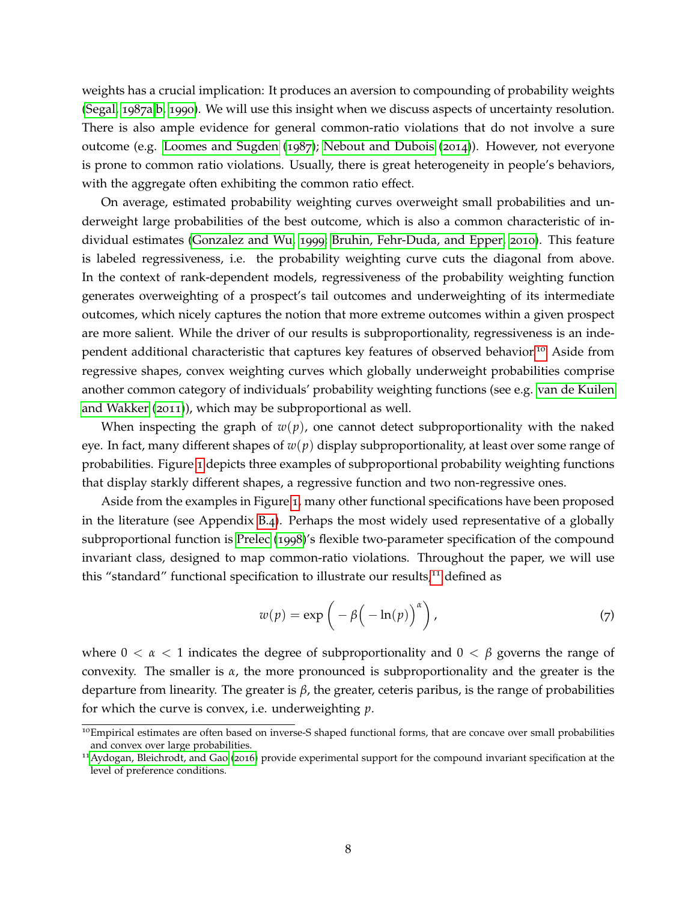weights has a crucial implication: It produces an aversion to compounding of probability weights [\(Segal,](#page-67-4) [1987](#page-67-4)a[,b,](#page-67-5) [1990](#page-67-2)). We will use this insight when we discuss aspects of uncertainty resolution. There is also ample evidence for general common-ratio violations that do not involve a sure outcome (e.g. [Loomes and Sugden](#page-65-4) ([1987](#page-65-4)); [Nebout and Dubois](#page-66-9) ([2014](#page-66-9))). However, not everyone is prone to common ratio violations. Usually, there is great heterogeneity in people's behaviors, with the aggregate often exhibiting the common ratio effect.

On average, estimated probability weighting curves overweight small probabilities and underweight large probabilities of the best outcome, which is also a common characteristic of individual estimates [\(Gonzalez and Wu,](#page-64-2) [1999](#page-64-2); [Bruhin, Fehr-Duda, and Epper,](#page-61-6) [2010](#page-61-6)). This feature is labeled regressiveness, i.e. the probability weighting curve cuts the diagonal from above. In the context of rank-dependent models, regressiveness of the probability weighting function generates overweighting of a prospect's tail outcomes and underweighting of its intermediate outcomes, which nicely captures the notion that more extreme outcomes within a given prospect are more salient. While the driver of our results is subproportionality, regressiveness is an independent additional characteristic that captures key features of observed behavior.[10](#page-8-0) Aside from regressive shapes, convex weighting curves which globally underweight probabilities comprise another common category of individuals' probability weighting functions (see e.g. [van de Kuilen](#page-68-8) [and Wakker](#page-68-8) ([2011](#page-68-8))), which may be subproportional as well.

When inspecting the graph of  $w(p)$ , one cannot detect subproportionality with the naked eye. In fact, many different shapes of *w*(*p*) display subproportionality, at least over some range of probabilities. Figure [1](#page-9-0) depicts three examples of subproportional probability weighting functions that display starkly different shapes, a regressive function and two non-regressive ones.

Aside from the examples in Figure [1](#page-9-0), many other functional specifications have been proposed in the literature (see Appendix [B.](#page-58-0)4). Perhaps the most widely used representative of a globally subproportional function is [Prelec](#page-66-3) ([1998](#page-66-3))'s flexible two-parameter specification of the compound invariant class, designed to map common-ratio violations. Throughout the paper, we will use this "standard" functional specification to illustrate our results,<sup>[11](#page-8-1)</sup> defined as

$$
w(p) = \exp\left(-\beta\left(-\ln(p)\right)^{\alpha}\right),\tag{7}
$$

where  $0 < \alpha < 1$  indicates the degree of subproportionality and  $0 < \beta$  governs the range of convexity. The smaller is *α*, the more pronounced is subproportionality and the greater is the departure from linearity. The greater is *β*, the greater, ceteris paribus, is the range of probabilities for which the curve is convex, i.e. underweighting *p*.

<span id="page-8-0"></span> $10$ Empirical estimates are often based on inverse-S shaped functional forms, that are concave over small probabilities and convex over large probabilities.

<span id="page-8-1"></span><sup>11</sup>[Aydogan, Bleichrodt, and Gao](#page-60-4) ([2016](#page-60-4)) provide experimental support for the compound invariant specification at the level of preference conditions.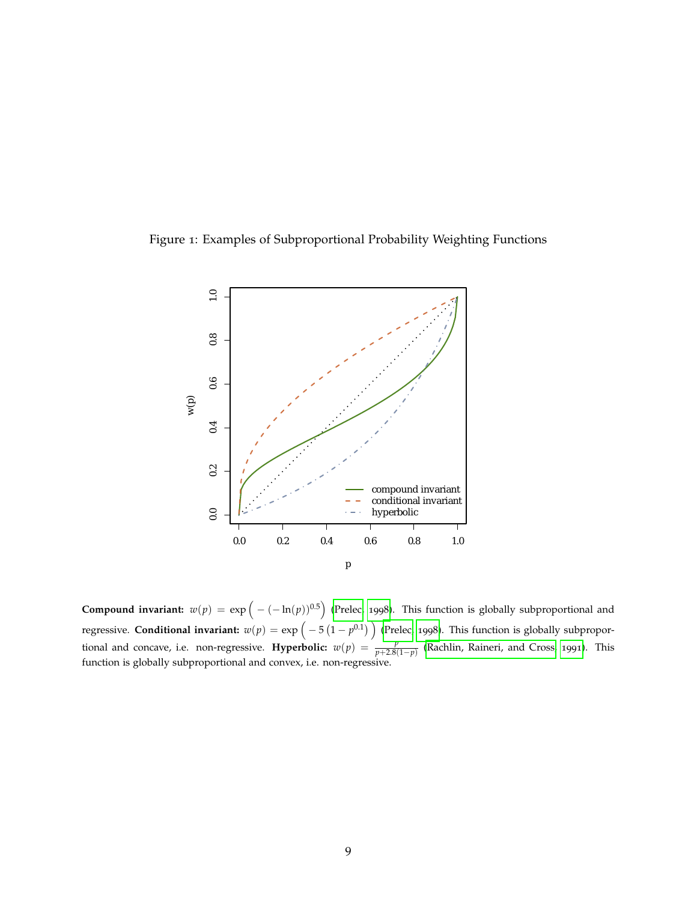<span id="page-9-0"></span>



**Compound invariant:**  $w(p) = \exp\Big(-(-\ln(p))^{0.5}\Big)$  [\(Prelec,](#page-66-3) [1998](#page-66-3)). This function is globally subproportional and regressive. Conditional invariant:  $w(p) = \exp\Big(-5\left(1-p^{0.1}\right)\Big)$  [\(Prelec,](#page-66-3) [1998](#page-66-3)). This function is globally subproportional and concave, i.e. non-regressive. **Hyperbolic:**  $w(p) = \frac{p}{p+2.8(1-p)}$  [\(Rachlin, Raineri, and Cross,](#page-66-10) [1991](#page-66-10)). This function is globally subproportional and convex, i.e. non-regressive.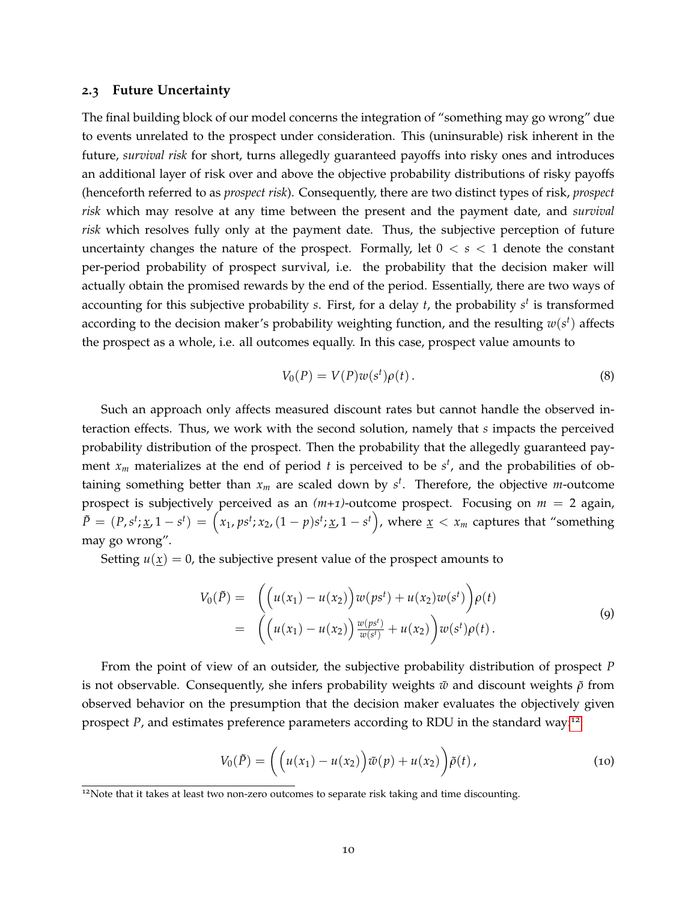### **2.3 Future Uncertainty**

The final building block of our model concerns the integration of "something may go wrong" due to events unrelated to the prospect under consideration. This (uninsurable) risk inherent in the future, *survival risk* for short, turns allegedly guaranteed payoffs into risky ones and introduces an additional layer of risk over and above the objective probability distributions of risky payoffs (henceforth referred to as *prospect risk*). Consequently, there are two distinct types of risk, *prospect risk* which may resolve at any time between the present and the payment date, and *survival risk* which resolves fully only at the payment date. Thus, the subjective perception of future uncertainty changes the nature of the prospect. Formally, let  $0 < s < 1$  denote the constant per-period probability of prospect survival, i.e. the probability that the decision maker will actually obtain the promised rewards by the end of the period. Essentially, there are two ways of accounting for this subjective probability *s*. First, for a delay *t*, the probability *s t* is transformed according to the decision maker's probability weighting function, and the resulting  $w(s^t)$  affects the prospect as a whole, i.e. all outcomes equally. In this case, prospect value amounts to

$$
V_0(P) = V(P)w(s^t)\rho(t).
$$
\n(8)

Such an approach only affects measured discount rates but cannot handle the observed interaction effects. Thus, we work with the second solution, namely that *s* impacts the perceived probability distribution of the prospect. Then the probability that the allegedly guaranteed payment *x<sup>m</sup>* materializes at the end of period *t* is perceived to be *s t* , and the probabilities of obtaining something better than *x<sup>m</sup>* are scaled down by *s t* . Therefore, the objective *m*-outcome prospect is subjectively perceived as an *(m+1)*-outcome prospect. Focusing on *m* = 2 again,  $\tilde{P} = (P, s^t; \underline{x}, 1 - s^t) = (x_1, ps^t; x_2, (1 - p)s^t; \underline{x}, 1 - s^t)$ , where  $\underline{x} < x_m$  captures that "something may go wrong".

Setting  $u(x) = 0$ , the subjective present value of the prospect amounts to

<span id="page-10-1"></span>
$$
V_0(\tilde{P}) = \left( \left( u(x_1) - u(x_2) \right) w(ps^t) + u(x_2) w(s^t) \right) \rho(t)
$$
  
= 
$$
\left( \left( u(x_1) - u(x_2) \right) \frac{w(ps^t)}{w(s^t)} + u(x_2) \right) w(s^t) \rho(t).
$$
 (9)

From the point of view of an outsider, the subjective probability distribution of prospect *P* is not observable. Consequently, she infers probability weights  $\tilde{w}$  and discount weights  $\tilde{\rho}$  from observed behavior on the presumption that the decision maker evaluates the objectively given prospect *P*, and estimates preference parameters according to RDU in the standard way:[12](#page-10-0)

<span id="page-10-2"></span>
$$
V_0(\tilde{P}) = \left( \left( u(x_1) - u(x_2) \right) \tilde{w}(p) + u(x_2) \right) \tilde{\rho}(t), \tag{10}
$$

<span id="page-10-0"></span><sup>&</sup>lt;sup>12</sup>Note that it takes at least two non-zero outcomes to separate risk taking and time discounting.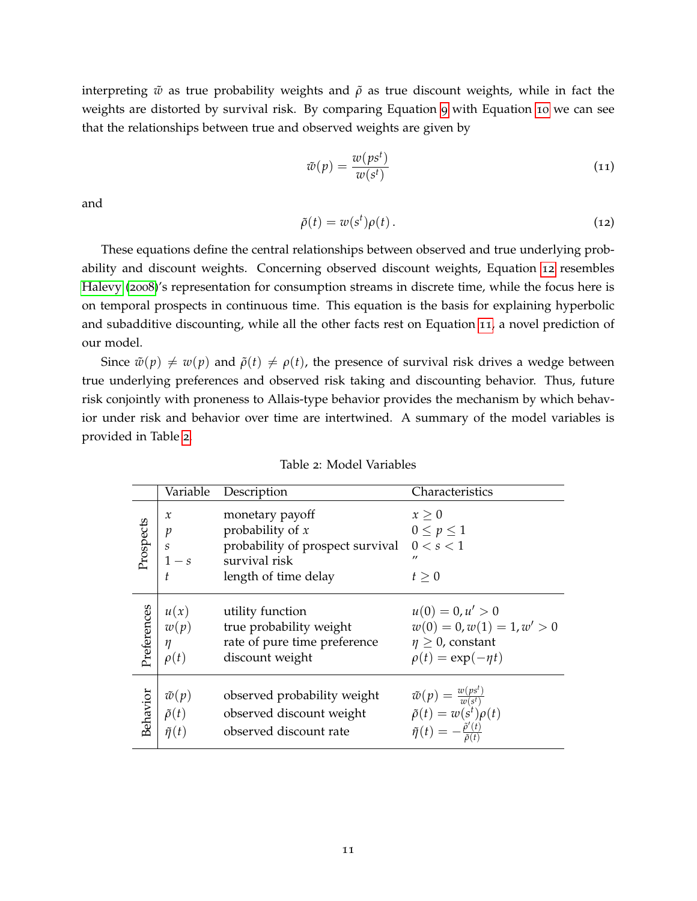interpreting  $\tilde{w}$  as true probability weights and  $\tilde{\rho}$  as true discount weights, while in fact the weights are distorted by survival risk. By comparing Equation [9](#page-10-1) with Equation [10](#page-10-2) we can see that the relationships between true and observed weights are given by

<span id="page-11-1"></span>
$$
\tilde{w}(p) = \frac{w(ps^t)}{w(s^t)}
$$
\n(11)

and

<span id="page-11-0"></span>
$$
\tilde{\rho}(t) = w(s^t)\rho(t). \tag{12}
$$

These equations define the central relationships between observed and true underlying probability and discount weights. Concerning observed discount weights, Equation [12](#page-11-0) resembles [Halevy](#page-64-3) ([2008](#page-64-3))'s representation for consumption streams in discrete time, while the focus here is on temporal prospects in continuous time. This equation is the basis for explaining hyperbolic and subadditive discounting, while all the other facts rest on Equation [11](#page-11-1), a novel prediction of our model.

Since  $\tilde{w}(p) \neq w(p)$  and  $\tilde{\rho}(t) \neq \rho(t)$ , the presence of survival risk drives a wedge between true underlying preferences and observed risk taking and discounting behavior. Thus, future risk conjointly with proneness to Allais-type behavior provides the mechanism by which behavior under risk and behavior over time are intertwined. A summary of the model variables is provided in Table [2](#page-11-2).

<span id="page-11-2"></span>

|             |                                                                     | Variable Description                                                                                                       | Characteristics                                                              |
|-------------|---------------------------------------------------------------------|----------------------------------------------------------------------------------------------------------------------------|------------------------------------------------------------------------------|
| Prospects   | $\mathcal{X}$<br>$\mathcal{P}$<br>$\mathcal{S}_{\mathcal{S}}$<br>t. | monetary payoff<br>probability of $x$<br>probability of prospect survival<br>$1 - s$ survival risk<br>length of time delay | $x \geq 0$<br>$0\leq p\leq 1$<br>0 < s < 1<br>$^{\prime\prime}$<br>$t\geq 0$ |
| Preferences | u(x)                                                                | utility function                                                                                                           | $u(0) = 0, u' > 0$                                                           |
|             | w(p)                                                                | true probability weight                                                                                                    | $w(0) = 0, w(1) = 1, w' > 0$                                                 |
|             | $\eta$                                                              | rate of pure time preference                                                                                               | $\eta \geq 0$ , constant                                                     |
|             | $\rho(t)$                                                           | discount weight                                                                                                            | $\rho(t) = \exp(-\eta t)$                                                    |
| Behavior    | $\tilde{w}(p)$                                                      | observed probability weight                                                                                                | $\tilde{w}(p) = \frac{w(ps^t)}{w(s^t)}$                                      |
|             | $\tilde{\rho}(t)$                                                   | observed discount weight                                                                                                   | $\tilde{\rho}(t) = w(s^t) \rho(t)$                                           |
|             | $\tilde{\eta}(t)$                                                   | observed discount rate                                                                                                     | $\tilde{\eta}(t) = -\frac{\tilde{\rho}'(t)}{\tilde{\rho}(t)}$                |

Table 2: Model Variables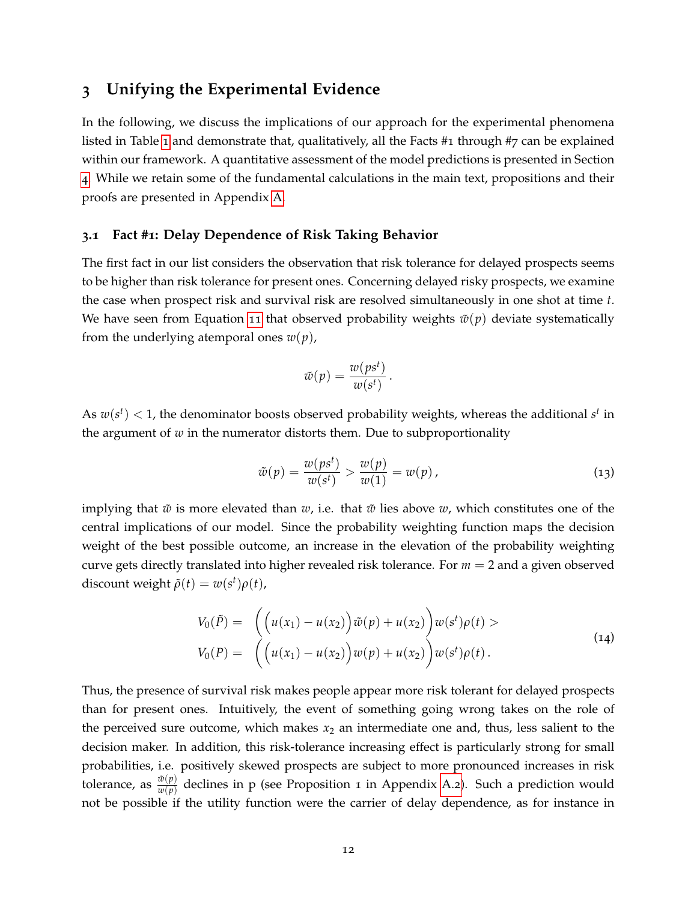# <span id="page-12-0"></span>**3 Unifying the Experimental Evidence**

In the following, we discuss the implications of our approach for the experimental phenomena listed in Table [1](#page-2-0) and demonstrate that, qualitatively, all the Facts #1 through #7 can be explained within our framework. A quantitative assessment of the model predictions is presented in Section [4](#page-26-0). While we retain some of the fundamental calculations in the main text, propositions and their proofs are presented in Appendix [A.](#page-40-1)

# **3.1 Fact #1: Delay Dependence of Risk Taking Behavior**

The first fact in our list considers the observation that risk tolerance for delayed prospects seems to be higher than risk tolerance for present ones. Concerning delayed risky prospects, we examine the case when prospect risk and survival risk are resolved simultaneously in one shot at time *t*. We have seen from Equation [11](#page-11-1) that observed probability weights  $\tilde{w}(p)$  deviate systematically from the underlying atemporal ones  $w(p)$ ,

$$
\tilde{w}(p) = \frac{w(ps^t)}{w(s^t)}.
$$

As  $w(s^t) < 1$ , the denominator boosts observed probability weights, whereas the additional  $s^t$  in the argument of  $w$  in the numerator distorts them. Due to subproportionality

$$
\tilde{w}(p) = \frac{w(ps^t)}{w(s^t)} > \frac{w(p)}{w(1)} = w(p), \qquad (13)
$$

implying that  $\tilde{w}$  is more elevated than  $w$ , i.e. that  $\tilde{w}$  lies above  $w$ , which constitutes one of the central implications of our model. Since the probability weighting function maps the decision weight of the best possible outcome, an increase in the elevation of the probability weighting curve gets directly translated into higher revealed risk tolerance. For *m* = 2 and a given observed discount weight  $\tilde{\rho}(t) = w(s^t) \rho(t)$ ,

$$
V_0(\tilde{P}) = \left( \left( u(x_1) - u(x_2) \right) \tilde{w}(p) + u(x_2) \right) w(s^t) \rho(t) >
$$
  
\n
$$
V_0(P) = \left( \left( u(x_1) - u(x_2) \right) w(p) + u(x_2) \right) w(s^t) \rho(t).
$$
\n(14)

Thus, the presence of survival risk makes people appear more risk tolerant for delayed prospects than for present ones. Intuitively, the event of something going wrong takes on the role of the perceived sure outcome, which makes  $x_2$  an intermediate one and, thus, less salient to the decision maker. In addition, this risk-tolerance increasing effect is particularly strong for small probabilities, i.e. positively skewed prospects are subject to more pronounced increases in risk tolerance, as  $\frac{\tilde{w}(p)}{w(p)}$  declines in p (see Proposition 1 in Appendix [A.](#page-40-2)2). Such a prediction would not be possible if the utility function were the carrier of delay dependence, as for instance in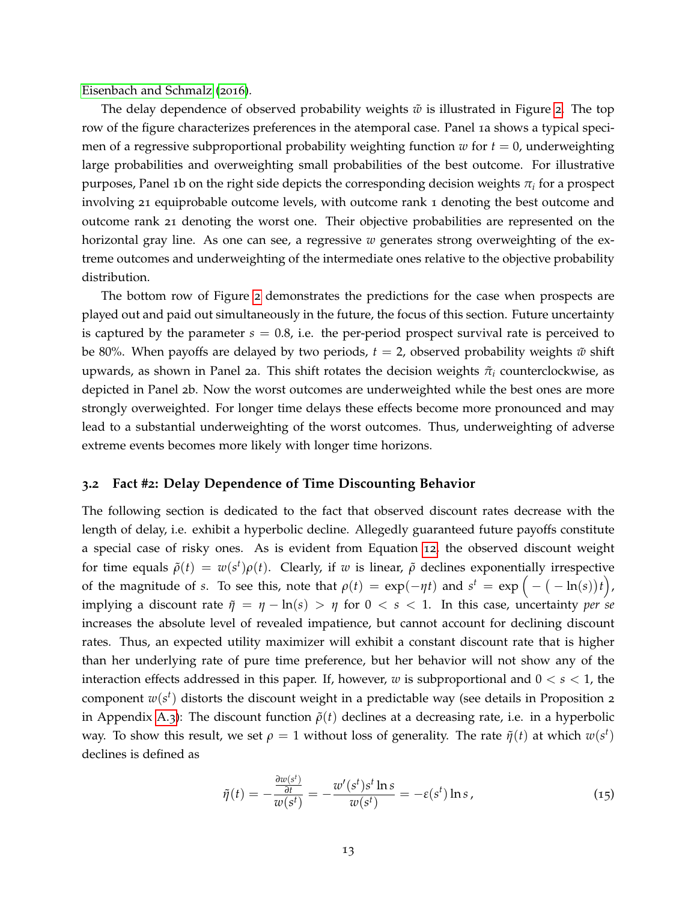[Eisenbach and Schmalz](#page-63-5) ([2016](#page-63-5)).

The delay dependence of observed probability weights  $\tilde{w}$  is illustrated in Figure [2](#page-14-0). The top row of the figure characterizes preferences in the atemporal case. Panel 1a shows a typical specimen of a regressive subproportional probability weighting function  $w$  for  $t = 0$ , underweighting large probabilities and overweighting small probabilities of the best outcome. For illustrative purposes, Panel 1b on the right side depicts the corresponding decision weights  $\pi_i$  for a prospect involving 21 equiprobable outcome levels, with outcome rank 1 denoting the best outcome and outcome rank 21 denoting the worst one. Their objective probabilities are represented on the horizontal gray line. As one can see, a regressive *w* generates strong overweighting of the extreme outcomes and underweighting of the intermediate ones relative to the objective probability distribution.

The bottom row of Figure [2](#page-14-0) demonstrates the predictions for the case when prospects are played out and paid out simultaneously in the future, the focus of this section. Future uncertainty is captured by the parameter  $s = 0.8$ , i.e. the per-period prospect survival rate is perceived to be 80%. When payoffs are delayed by two periods,  $t = 2$ , observed probability weights  $\tilde{w}$  shift upwards, as shown in Panel 2a. This shift rotates the decision weights *π*˜*<sup>i</sup>* counterclockwise, as depicted in Panel 2b. Now the worst outcomes are underweighted while the best ones are more strongly overweighted. For longer time delays these effects become more pronounced and may lead to a substantial underweighting of the worst outcomes. Thus, underweighting of adverse extreme events becomes more likely with longer time horizons.

#### **3.2 Fact #2: Delay Dependence of Time Discounting Behavior**

The following section is dedicated to the fact that observed discount rates decrease with the length of delay, i.e. exhibit a hyperbolic decline. Allegedly guaranteed future payoffs constitute a special case of risky ones. As is evident from Equation [12](#page-11-0), the observed discount weight for time equals  $\tilde{\rho}(t) = w(s^t) \rho(t)$ . Clearly, if *w* is linear,  $\tilde{\rho}$  declines exponentially irrespective of the magnitude of *s*. To see this, note that  $\rho(t) = \exp(-\eta t)$  and  $s^t = \exp(-(-1\eta t))t$ , implying a discount rate  $\tilde{\eta} = \eta - \ln(s) > \eta$  for  $0 < s < 1$ . In this case, uncertainty *per se* increases the absolute level of revealed impatience, but cannot account for declining discount rates. Thus, an expected utility maximizer will exhibit a constant discount rate that is higher than her underlying rate of pure time preference, but her behavior will not show any of the interaction effects addressed in this paper. If, however, *w* is subproportional and  $0 < s < 1$ , the component  $w(s^t)$  distorts the discount weight in a predictable way (see details in Proposition 2 in Appendix [A.](#page-42-0)3): The discount function  $\tilde{\rho}(t)$  declines at a decreasing rate, i.e. in a hyperbolic way. To show this result, we set  $\rho = 1$  without loss of generality. The rate  $\tilde{\eta}(t)$  at which  $w(s^t)$ declines is defined as

$$
\tilde{\eta}(t) = -\frac{\frac{\partial w(s^t)}{\partial t}}{w(s^t)} = -\frac{w'(s^t)s^t \ln s}{w(s^t)} = -\varepsilon(s^t) \ln s, \qquad (15)
$$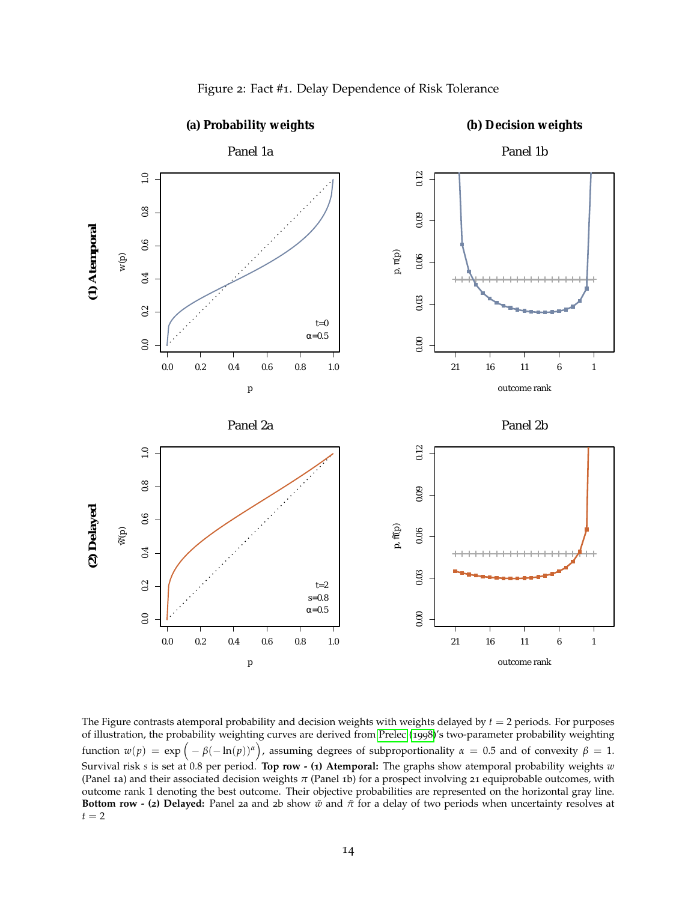<span id="page-14-0"></span>

Figure 2: Fact #1. Delay Dependence of Risk Tolerance

The Figure contrasts atemporal probability and decision weights with weights delayed by *t* = 2 periods. For purposes of illustration, the probability weighting curves are derived from [Prelec](#page-66-3) ([1998](#page-66-3))'s two-parameter probability weighting function  $w(p) = \exp(-\beta(-\ln(p))^{\alpha})$ , assuming degrees of subproportionality  $\alpha = 0.5$  and of convexity  $\beta = 1$ . Survival risk *s* is set at 0.8 per period. **Top row - (1) Atemporal:** The graphs show atemporal probability weights *w* (Panel 1a) and their associated decision weights *π* (Panel 1b) for a prospect involving 21 equiprobable outcomes, with outcome rank 1 denoting the best outcome. Their objective probabilities are represented on the horizontal gray line. **Bottom row - (2) Delayed:** Panel 2a and 2b show *w*˜ and *π*˜ for a delay of two periods when uncertainty resolves at  $t = 2$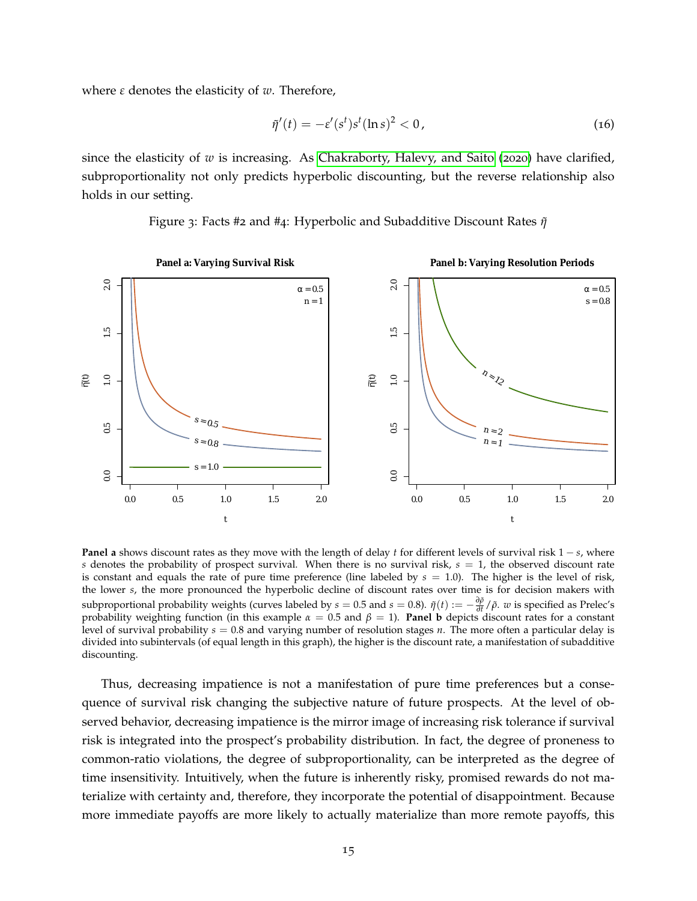where *ε* denotes the elasticity of *w*. Therefore,

$$
\tilde{\eta}'(t) = -\varepsilon'(s^t)s^t(\ln s)^2 < 0,\tag{16}
$$

since the elasticity of *w* is increasing. As [Chakraborty, Halevy, and Saito](#page-61-0) ([2020](#page-61-0)) have clarified, subproportionality not only predicts hyperbolic discounting, but the reverse relationship also holds in our setting.

<span id="page-15-0"></span>

Figure 3: Facts #2 and #4: Hyperbolic and Subadditive Discount Rates *η*˜

**Panel a** shows discount rates as they move with the length of delay *t* for different levels of survival risk 1 − *s*, where *s* denotes the probability of prospect survival. When there is no survival risk,  $s = 1$ , the observed discount rate is constant and equals the rate of pure time preference (line labeled by  $s = 1.0$ ). The higher is the level of risk, the lower *s*, the more pronounced the hyperbolic decline of discount rates over time is for decision makers with subproportional probability weights (curves labeled by  $s = 0.5$  and  $s = 0.8$ ).  $\tilde{\eta}(t) := -\frac{\partial \tilde{\rho}}{\partial t}$ *∂t* /*ρ*˜. *w* is specified as Prelec's probability weighting function (in this example  $\alpha = 0.5$  and  $\beta = 1$ ). **Panel b** depicts discount rates for a constant level of survival probability *s* = 0.8 and varying number of resolution stages *n*. The more often a particular delay is divided into subintervals (of equal length in this graph), the higher is the discount rate, a manifestation of subadditive discounting.

Thus, decreasing impatience is not a manifestation of pure time preferences but a consequence of survival risk changing the subjective nature of future prospects. At the level of observed behavior, decreasing impatience is the mirror image of increasing risk tolerance if survival risk is integrated into the prospect's probability distribution. In fact, the degree of proneness to common-ratio violations, the degree of subproportionality, can be interpreted as the degree of time insensitivity. Intuitively, when the future is inherently risky, promised rewards do not materialize with certainty and, therefore, they incorporate the potential of disappointment. Because more immediate payoffs are more likely to actually materialize than more remote payoffs, this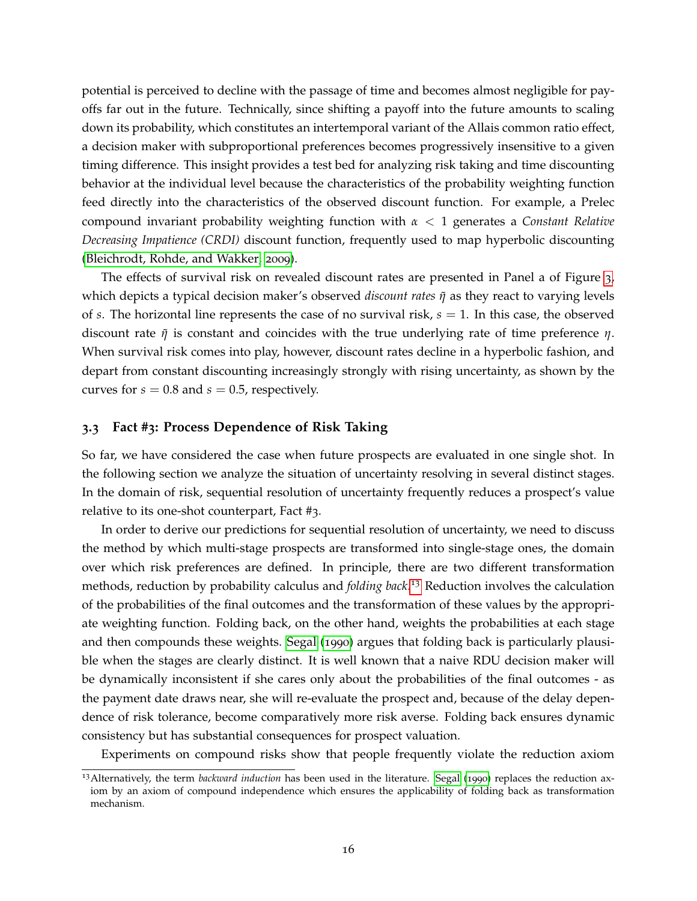potential is perceived to decline with the passage of time and becomes almost negligible for payoffs far out in the future. Technically, since shifting a payoff into the future amounts to scaling down its probability, which constitutes an intertemporal variant of the Allais common ratio effect, a decision maker with subproportional preferences becomes progressively insensitive to a given timing difference. This insight provides a test bed for analyzing risk taking and time discounting behavior at the individual level because the characteristics of the probability weighting function feed directly into the characteristics of the observed discount function. For example, a Prelec compound invariant probability weighting function with *α* < 1 generates a *Constant Relative Decreasing Impatience (CRDI)* discount function, frequently used to map hyperbolic discounting [\(Bleichrodt, Rohde, and Wakker,](#page-61-7) [2009](#page-61-7)).

The effects of survival risk on revealed discount rates are presented in Panel a of Figure [3](#page-15-0), which depicts a typical decision maker's observed *discount rates as they react to varying levels* of *s*. The horizontal line represents the case of no survival risk, *s* = 1. In this case, the observed discount rate *η*˜ is constant and coincides with the true underlying rate of time preference *η*. When survival risk comes into play, however, discount rates decline in a hyperbolic fashion, and depart from constant discounting increasingly strongly with rising uncertainty, as shown by the curves for  $s = 0.8$  and  $s = 0.5$ , respectively.

# <span id="page-16-1"></span>**3.3 Fact #3: Process Dependence of Risk Taking**

So far, we have considered the case when future prospects are evaluated in one single shot. In the following section we analyze the situation of uncertainty resolving in several distinct stages. In the domain of risk, sequential resolution of uncertainty frequently reduces a prospect's value relative to its one-shot counterpart, Fact #3.

In order to derive our predictions for sequential resolution of uncertainty, we need to discuss the method by which multi-stage prospects are transformed into single-stage ones, the domain over which risk preferences are defined. In principle, there are two different transformation methods, reduction by probability calculus and *folding back*. [13](#page-16-0) Reduction involves the calculation of the probabilities of the final outcomes and the transformation of these values by the appropriate weighting function. Folding back, on the other hand, weights the probabilities at each stage and then compounds these weights. [Segal](#page-67-2) ([1990](#page-67-2)) argues that folding back is particularly plausible when the stages are clearly distinct. It is well known that a naive RDU decision maker will be dynamically inconsistent if she cares only about the probabilities of the final outcomes - as the payment date draws near, she will re-evaluate the prospect and, because of the delay dependence of risk tolerance, become comparatively more risk averse. Folding back ensures dynamic consistency but has substantial consequences for prospect valuation.

Experiments on compound risks show that people frequently violate the reduction axiom

<span id="page-16-0"></span><sup>13</sup>Alternatively, the term *backward induction* has been used in the literature. [Segal](#page-67-2) ([1990](#page-67-2)) replaces the reduction axiom by an axiom of compound independence which ensures the applicability of folding back as transformation mechanism.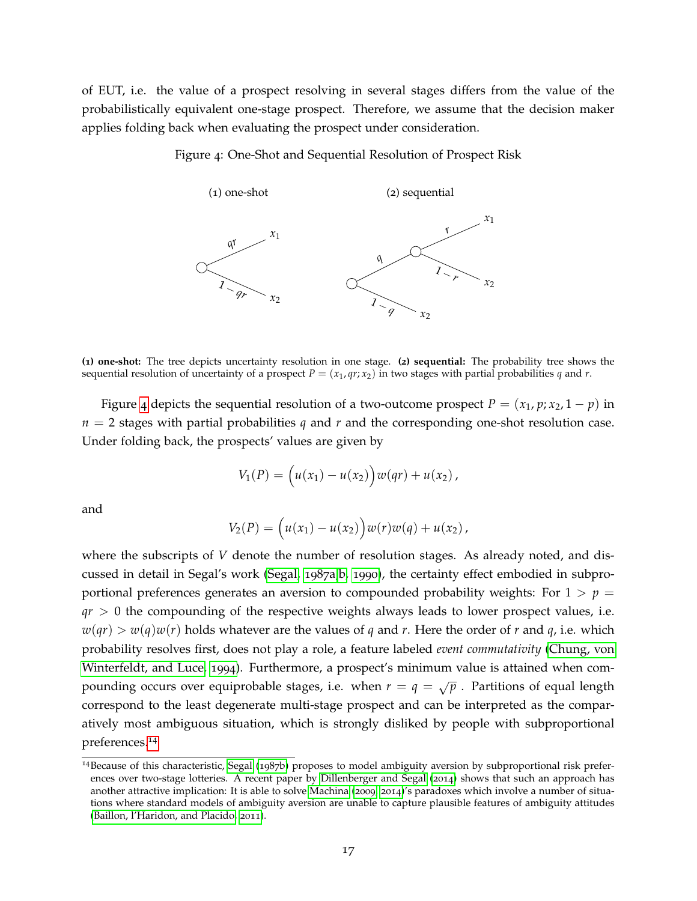<span id="page-17-0"></span>of EUT, i.e. the value of a prospect resolving in several stages differs from the value of the probabilistically equivalent one-stage prospect. Therefore, we assume that the decision maker applies folding back when evaluating the prospect under consideration.

Figure 4: One-Shot and Sequential Resolution of Prospect Risk



**(1) one-shot:** The tree depicts uncertainty resolution in one stage. **(2) sequential:** The probability tree shows the sequential resolution of uncertainty of a prospect  $P = (x_1, qr; x_2)$  in two stages with partial probabilities  $q$  and  $r$ .

Figure [4](#page-17-0) depicts the sequential resolution of a two-outcome prospect  $P = (x_1, p; x_2, 1 - p)$  in *n* = 2 stages with partial probabilities *q* and *r* and the corresponding one-shot resolution case. Under folding back, the prospects' values are given by

$$
V_1(P) = (u(x_1) - u(x_2))w(qr) + u(x_2),
$$

and

$$
V_2(P) = (u(x_1) - u(x_2))w(r)w(q) + u(x_2),
$$

where the subscripts of *V* denote the number of resolution stages. As already noted, and discussed in detail in Segal's work [\(Segal,](#page-67-4) [1987](#page-67-4)a[,b,](#page-67-5) [1990](#page-67-2)), the certainty effect embodied in subproportional preferences generates an aversion to compounded probability weights: For  $1 > p =$  $qr > 0$  the compounding of the respective weights always leads to lower prospect values, i.e.  $w(qr) > w(q)w(r)$  holds whatever are the values of *q* and *r*. Here the order of *r* and *q*, i.e. which probability resolves first, does not play a role, a feature labeled *event commutativity* [\(Chung, von](#page-62-5) [Winterfeldt, and Luce,](#page-62-5) [1994](#page-62-5)). Furthermore, a prospect's minimum value is attained when compounding occurs over equiprobable stages, i.e. when  $r = q = \sqrt{p}$  . Partitions of equal length correspond to the least degenerate multi-stage prospect and can be interpreted as the comparatively most ambiguous situation, which is strongly disliked by people with subproportional preferences.[14](#page-17-1)

<span id="page-17-1"></span><sup>14</sup>Because of this characteristic, [Segal](#page-67-5) ([1987](#page-67-5)b) proposes to model ambiguity aversion by subproportional risk preferences over two-stage lotteries. A recent paper by [Dillenberger and Segal](#page-62-6) ([2014](#page-62-6)) shows that such an approach has another attractive implication: It is able to solve [Machina](#page-65-7) ([2009](#page-65-7), [2014](#page-65-8))'s paradoxes which involve a number of situations where standard models of ambiguity aversion are unable to capture plausible features of ambiguity attitudes [\(Baillon, l'Haridon, and Placido,](#page-60-5) [2011](#page-60-5)).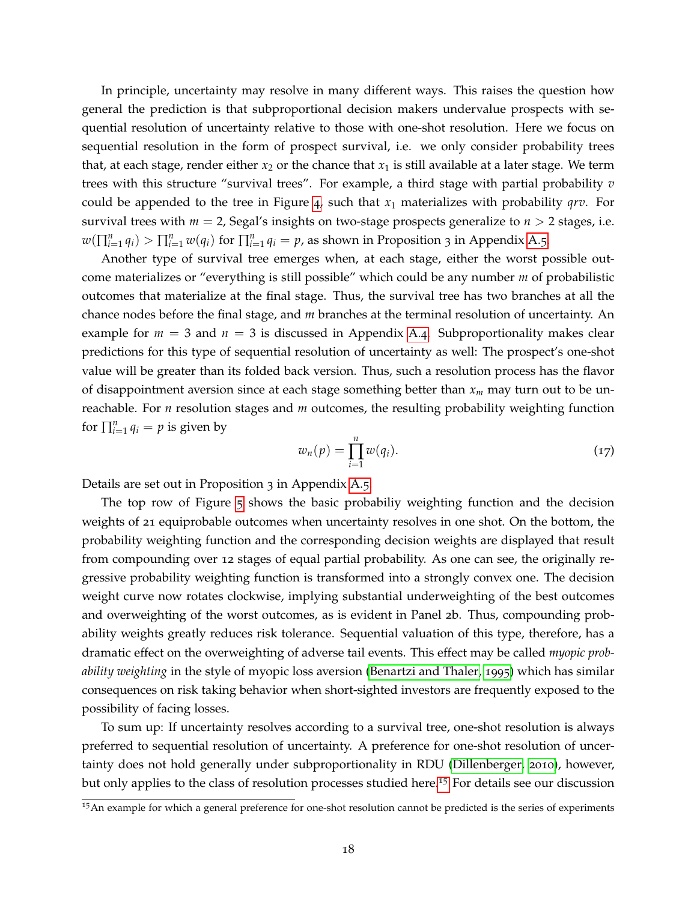In principle, uncertainty may resolve in many different ways. This raises the question how general the prediction is that subproportional decision makers undervalue prospects with sequential resolution of uncertainty relative to those with one-shot resolution. Here we focus on sequential resolution in the form of prospect survival, i.e. we only consider probability trees that, at each stage, render either  $x_2$  or the chance that  $x_1$  is still available at a later stage. We term trees with this structure "survival trees". For example, a third stage with partial probability *v* could be appended to the tree in Figure [4](#page-17-0), such that *x*<sup>1</sup> materializes with probability *qrv*. For survival trees with  $m = 2$ , Segal's insights on two-stage prospects generalize to  $n > 2$  stages, i.e.  $w(\prod_{i=1}^n q_i) > \prod_{i=1}^n w(q_i)$  for  $\prod_{i=1}^n q_i = p$ , as shown in Proposition 3 in Appendix [A.](#page-47-0)5.

Another type of survival tree emerges when, at each stage, either the worst possible outcome materializes or "everything is still possible" which could be any number *m* of probabilistic outcomes that materialize at the final stage. Thus, the survival tree has two branches at all the chance nodes before the final stage, and *m* branches at the terminal resolution of uncertainty. An example for  $m = 3$  and  $n = 3$  is discussed in Appendix [A.](#page-44-0)4. Subproportionality makes clear predictions for this type of sequential resolution of uncertainty as well: The prospect's one-shot value will be greater than its folded back version. Thus, such a resolution process has the flavor of disappointment aversion since at each stage something better than *x<sup>m</sup>* may turn out to be unreachable. For *n* resolution stages and *m* outcomes, the resulting probability weighting function for  $\prod_{i=1}^{n} q_i = p$  is given by

$$
w_n(p) = \prod_{i=1}^n w(q_i).
$$
 (17)

Details are set out in Proposition 3 in Appendix [A.](#page-47-0)5.

The top row of Figure [5](#page-20-0) shows the basic probabiliy weighting function and the decision weights of 21 equiprobable outcomes when uncertainty resolves in one shot. On the bottom, the probability weighting function and the corresponding decision weights are displayed that result from compounding over 12 stages of equal partial probability. As one can see, the originally regressive probability weighting function is transformed into a strongly convex one. The decision weight curve now rotates clockwise, implying substantial underweighting of the best outcomes and overweighting of the worst outcomes, as is evident in Panel 2b. Thus, compounding probability weights greatly reduces risk tolerance. Sequential valuation of this type, therefore, has a dramatic effect on the overweighting of adverse tail events. This effect may be called *myopic probability weighting* in the style of myopic loss aversion [\(Benartzi and Thaler,](#page-61-8) [1995](#page-61-8)) which has similar consequences on risk taking behavior when short-sighted investors are frequently exposed to the possibility of facing losses.

To sum up: If uncertainty resolves according to a survival tree, one-shot resolution is always preferred to sequential resolution of uncertainty. A preference for one-shot resolution of uncertainty does not hold generally under subproportionality in RDU [\(Dillenberger,](#page-62-7) [2010](#page-62-7)), however, but only applies to the class of resolution processes studied here.[15](#page-18-0) For details see our discussion

<span id="page-18-0"></span><sup>&</sup>lt;sup>15</sup>An example for which a general preference for one-shot resolution cannot be predicted is the series of experiments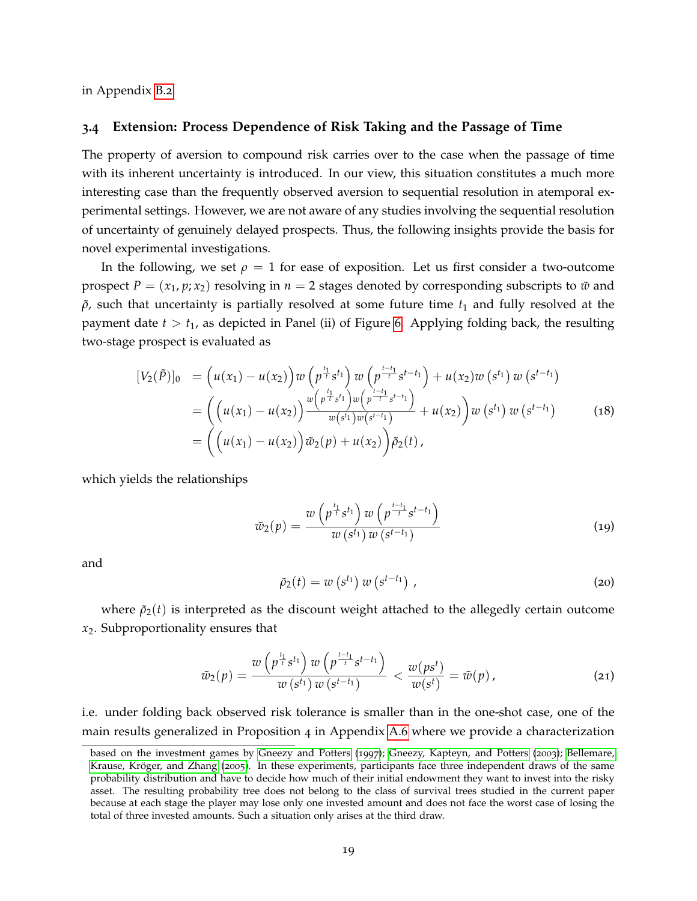in Appendix [B.](#page-55-0)2.

#### **3.4 Extension: Process Dependence of Risk Taking and the Passage of Time**

The property of aversion to compound risk carries over to the case when the passage of time with its inherent uncertainty is introduced. In our view, this situation constitutes a much more interesting case than the frequently observed aversion to sequential resolution in atemporal experimental settings. However, we are not aware of any studies involving the sequential resolution of uncertainty of genuinely delayed prospects. Thus, the following insights provide the basis for novel experimental investigations.

In the following, we set  $\rho = 1$  for ease of exposition. Let us first consider a two-outcome prospect  $P = (x_1, p; x_2)$  resolving in  $n = 2$  stages denoted by corresponding subscripts to  $\tilde{w}$  and  $\rho$ , such that uncertainty is partially resolved at some future time  $t_1$  and fully resolved at the payment date  $t > t_1$ , as depicted in Panel (ii) of Figure [6](#page-21-0). Applying folding back, the resulting two-stage prospect is evaluated as

$$
[V_2(\tilde{P})]_0 = (u(x_1) - u(x_2))w(p^{\frac{t_1}{t}}s^{t_1})w(p^{\frac{t_{-t_1}}{t}}s^{t_{-t_1}}) + u(x_2)w(s^{t_1})w(s^{t_{-t_1}})
$$
  
\n
$$
= ((u(x_1) - u(x_2))\frac{w(p^{\frac{t_1}{t}}s^{t_1})w(p^{\frac{t_{-t_1}}{t}}s^{t_{-t_1}})}{w(s^{t_1})w(s^{t_{-t_1}})} + u(x_2))w(s^{t_1})w(s^{t_{-t_1}})
$$
(18)  
\n
$$
= ((u(x_1) - u(x_2))\tilde{w}_2(p) + u(x_2))\tilde{p}_2(t),
$$

which yields the relationships

$$
\tilde{w}_2(p) = \frac{w\left(p^{\frac{t_1}{t}}s^{t_1}\right)w\left(p^{\frac{t-t_1}{t}}s^{t-t_1}\right)}{w\left(s^{t_1}\right)w\left(s^{t-t_1}\right)}\tag{19}
$$

and

$$
\tilde{\rho}_2(t) = w\left(s^{t_1}\right)w\left(s^{t-t_1}\right),\tag{20}
$$

where  $\tilde{\rho}_2(t)$  is interpreted as the discount weight attached to the allegedly certain outcome *x*2. Subproportionality ensures that

$$
\tilde{w}_2(p) = \frac{w\left(p^{\frac{t_1}{t}}s^{t_1}\right)w\left(p^{\frac{t-t_1}{t}}s^{t-t_1}\right)}{w\left(s^{t_1}\right)w\left(s^{t-t_1}\right)} < \frac{w(ps^t)}{w(s^t)} = \tilde{w}(p),\tag{21}
$$

i.e. under folding back observed risk tolerance is smaller than in the one-shot case, one of the main results generalized in Proposition 4 in Appendix [A.](#page-49-0)6 where we provide a characterization

based on the investment games by [Gneezy and Potters](#page-64-6) ([1997](#page-64-6)); [Gneezy, Kapteyn, and Potters](#page-63-6) ([2003](#page-63-6)); [Bellemare,](#page-61-9) Krause, Kröger, and Zhang ([2005](#page-61-9)). In these experiments, participants face three independent draws of the same probability distribution and have to decide how much of their initial endowment they want to invest into the risky asset. The resulting probability tree does not belong to the class of survival trees studied in the current paper because at each stage the player may lose only one invested amount and does not face the worst case of losing the total of three invested amounts. Such a situation only arises at the third draw.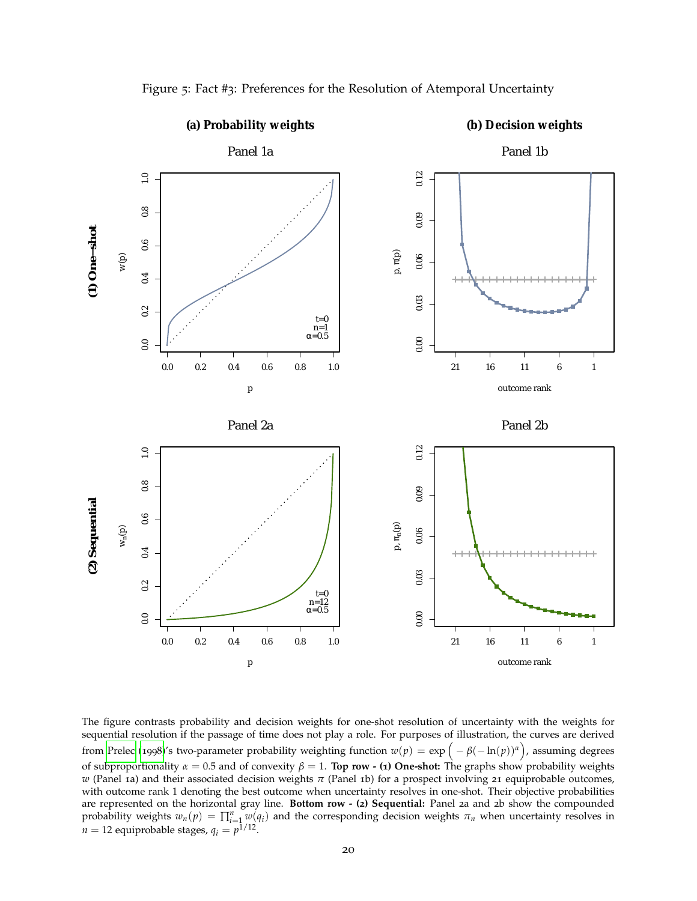<span id="page-20-0"></span>

Figure 5: Fact #3: Preferences for the Resolution of Atemporal Uncertainty

The figure contrasts probability and decision weights for one-shot resolution of uncertainty with the weights for sequential resolution if the passage of time does not play a role. For purposes of illustration, the curves are derived from [Prelec](#page-66-3) ([1998](#page-66-3))'s two-parameter probability weighting function  $w(p) = \exp(-\beta(-\ln(p))^{\alpha})$ , assuming degrees of subproportionality *α* = 0.5 and of convexity *β* = 1. **Top row - (1) One-shot:** The graphs show probability weights *w* (Panel 1a) and their associated decision weights *π* (Panel 1b) for a prospect involving 21 equiprobable outcomes, with outcome rank 1 denoting the best outcome when uncertainty resolves in one-shot. Their objective probabilities are represented on the horizontal gray line. **Bottom row - (2) Sequential:** Panel 2a and 2b show the compounded probability weights  $w_n(p) = \prod_{i=1}^n w(q_i)$  and the corresponding decision weights  $\pi_n$  when uncertainty resolves in  $n = 12$  equiprobable stages,  $q_i = p^{1/12}$ .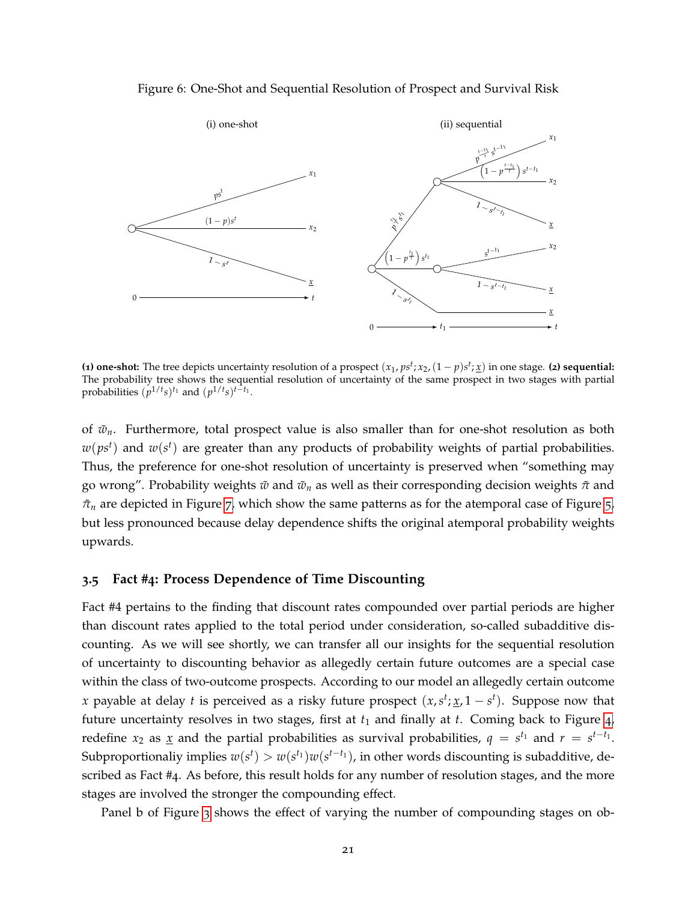#### Figure 6: One-Shot and Sequential Resolution of Prospect and Survival Risk

<span id="page-21-0"></span>

(**1)** one-shot: The tree depicts uncertainty resolution of a prospect  $(x_1, ps^t; x_2, (1-p)s^t; \underline{x})$  in one stage. (**2)** sequential: The probability tree shows the sequential resolution of uncertainty of the same prospect in two stages with partial probabilities  $(p^{1/t}s)^{t_1}$  and  $(p^{1/t}s)^{t-t_1}$ .

of  $\tilde{w}_n$ . Furthermore, total prospect value is also smaller than for one-shot resolution as both  $w(ps^t)$  and  $w(s^t)$  are greater than any products of probability weights of partial probabilities. Thus, the preference for one-shot resolution of uncertainty is preserved when "something may go wrong". Probability weights *w*˜ and *w*˜ *<sup>n</sup>* as well as their corresponding decision weights *π*˜ and  $\tilde{\pi}_n$  are depicted in Figure [7](#page-22-0), which show the same patterns as for the atemporal case of Figure [5](#page-20-0), but less pronounced because delay dependence shifts the original atemporal probability weights upwards.

#### **3.5 Fact #4: Process Dependence of Time Discounting**

Fact #4 pertains to the finding that discount rates compounded over partial periods are higher than discount rates applied to the total period under consideration, so-called subadditive discounting. As we will see shortly, we can transfer all our insights for the sequential resolution of uncertainty to discounting behavior as allegedly certain future outcomes are a special case within the class of two-outcome prospects. According to our model an allegedly certain outcome *x* payable at delay *t* is perceived as a risky future prospect  $(x, s^t; \underline{x}, 1 - s^t)$ . Suppose now that future uncertainty resolves in two stages, first at  $t_1$  and finally at  $t$ . Coming back to Figure  $4$ , redefine  $x_2$  as  $\underline{x}$  and the partial probabilities as survival probabilities,  $q = s^{t_1}$  and  $r = s^{t-t_1}$ . Subproportionaliy implies  $w(s^t) > w(s^{t_1})w(s^{t-t_1})$ , in other words discounting is subadditive, described as Fact #4. As before, this result holds for any number of resolution stages, and the more stages are involved the stronger the compounding effect.

Panel b of Figure [3](#page-15-0) shows the effect of varying the number of compounding stages on ob-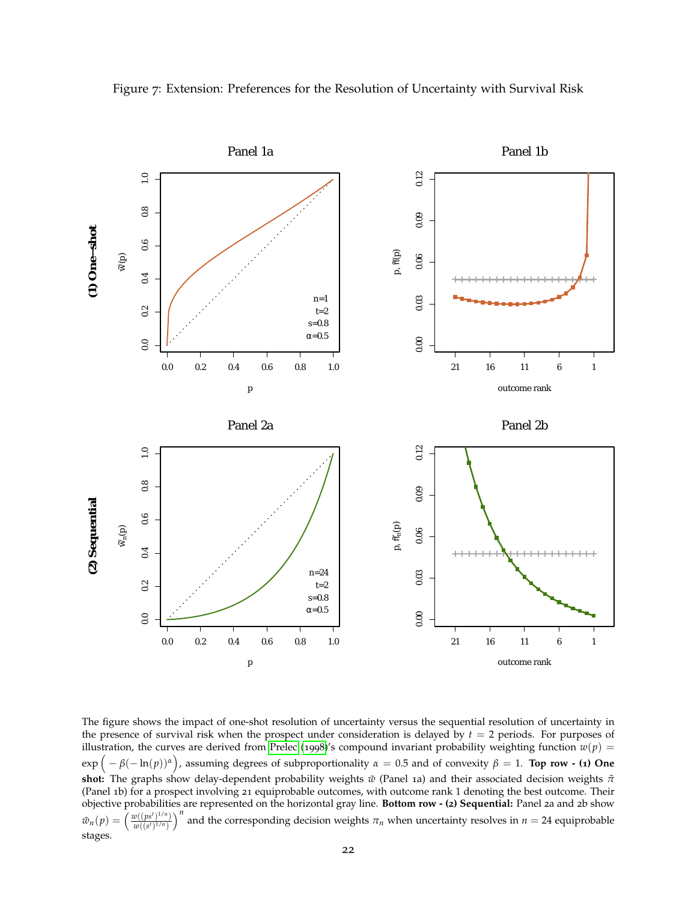

<span id="page-22-0"></span>Figure 7: Extension: Preferences for the Resolution of Uncertainty with Survival Risk

The figure shows the impact of one-shot resolution of uncertainty versus the sequential resolution of uncertainty in the presence of survival risk when the prospect under consideration is delayed by  $t = 2$  periods. For purposes of illustration, the curves are derived from [Prelec](#page-66-3) ([1998](#page-66-3))'s compound invariant probability weighting function  $w(p)$  =  $\exp\left(-\beta(-\ln(p))^{\alpha}\right)$ , assuming degrees of subproportionality  $\alpha = 0.5$  and of convexity  $\beta = 1$ . **Top row - (1) One shot:** The graphs show delay-dependent probability weights *w*˜ (Panel 1a) and their associated decision weights *π*˜ (Panel 1b) for a prospect involving 21 equiprobable outcomes, with outcome rank 1 denoting the best outcome. Their objective probabilities are represented on the horizontal gray line. **Bottom row - (2) Sequential:** Panel 2a and 2b show  $\tilde{w}_n(p) =$  $w((ps^t)^{1/n})$  $w((s^t)^{1/n})$ *n* and the corresponding decision weights  $\pi_n$  when uncertainty resolves in  $n = 24$  equiprobable stages.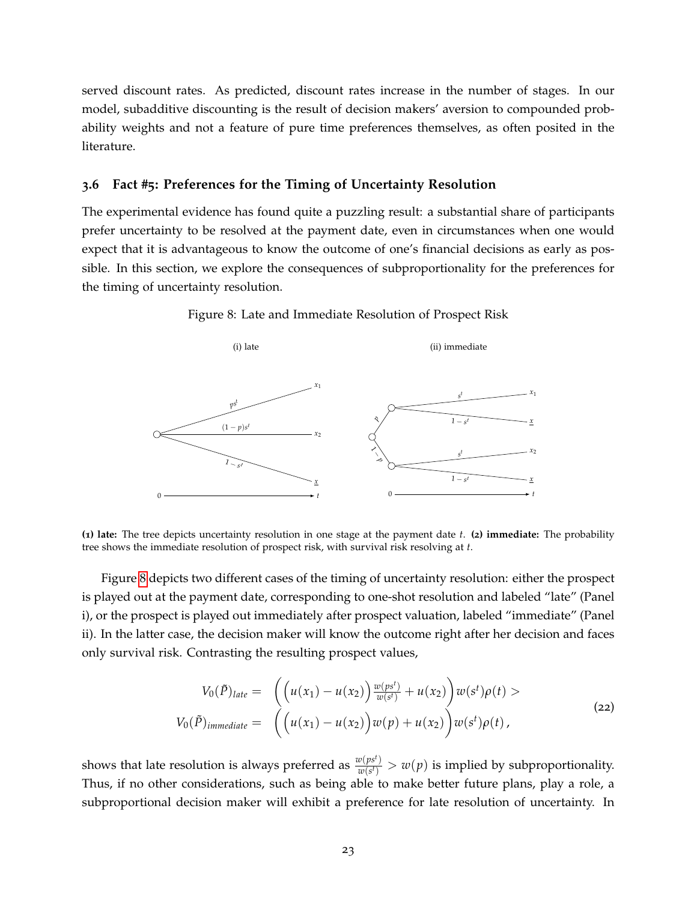served discount rates. As predicted, discount rates increase in the number of stages. In our model, subadditive discounting is the result of decision makers' aversion to compounded probability weights and not a feature of pure time preferences themselves, as often posited in the literature.

# **3.6 Fact #5: Preferences for the Timing of Uncertainty Resolution**

The experimental evidence has found quite a puzzling result: a substantial share of participants prefer uncertainty to be resolved at the payment date, even in circumstances when one would expect that it is advantageous to know the outcome of one's financial decisions as early as possible. In this section, we explore the consequences of subproportionality for the preferences for the timing of uncertainty resolution.

Figure 8: Late and Immediate Resolution of Prospect Risk

<span id="page-23-0"></span>

**(1) late:** The tree depicts uncertainty resolution in one stage at the payment date *t*. **(2) immediate:** The probability tree shows the immediate resolution of prospect risk, with survival risk resolving at *t*.

Figure [8](#page-23-0) depicts two different cases of the timing of uncertainty resolution: either the prospect is played out at the payment date, corresponding to one-shot resolution and labeled "late" (Panel i), or the prospect is played out immediately after prospect valuation, labeled "immediate" (Panel ii). In the latter case, the decision maker will know the outcome right after her decision and faces only survival risk. Contrasting the resulting prospect values,

$$
V_0(\tilde{P})_{late} = \left( \left( u(x_1) - u(x_2) \right) \frac{w(ps^t)}{w(s^t)} + u(x_2) \right) w(s^t) \rho(t) >
$$
  
\n
$$
V_0(\tilde{P})_{immediate} = \left( \left( u(x_1) - u(x_2) \right) w(p) + u(x_2) \right) w(s^t) \rho(t),
$$
\n(22)

shows that late resolution is always preferred as  $\frac{w(ps^t)}{w(q^t)}$  $\frac{w(ps^r)}{w(s^t)} > w(p)$  is implied by subproportionality. Thus, if no other considerations, such as being able to make better future plans, play a role, a subproportional decision maker will exhibit a preference for late resolution of uncertainty. In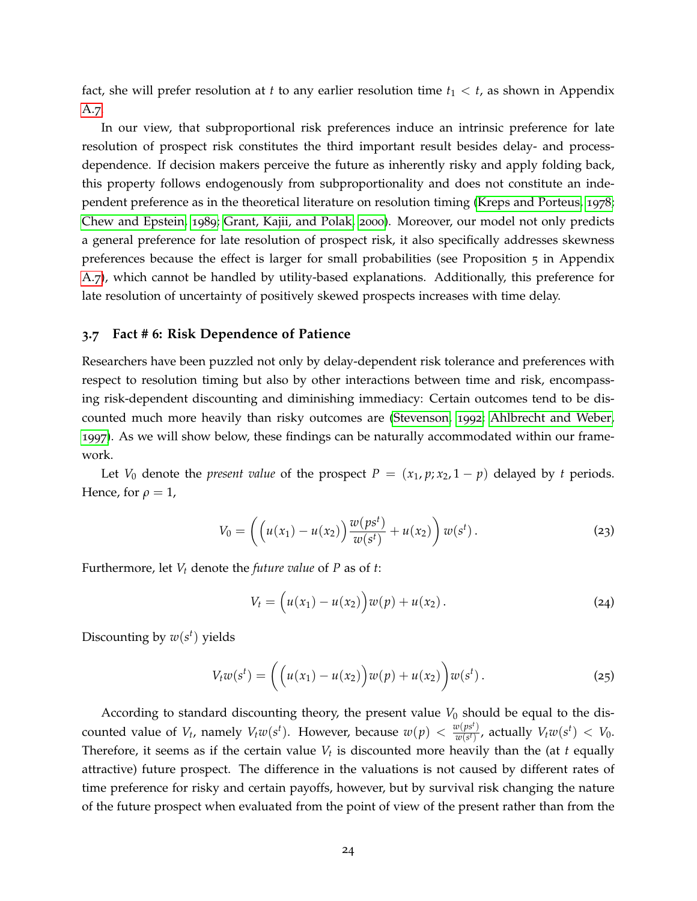fact, she will prefer resolution at *t* to any earlier resolution time  $t_1 < t$ , as shown in Appendix [A.](#page-52-0)7.

In our view, that subproportional risk preferences induce an intrinsic preference for late resolution of prospect risk constitutes the third important result besides delay- and processdependence. If decision makers perceive the future as inherently risky and apply folding back, this property follows endogenously from subproportionality and does not constitute an independent preference as in the theoretical literature on resolution timing [\(Kreps and Porteus,](#page-65-2) [1978](#page-65-2); [Chew and Epstein,](#page-62-8) [1989](#page-62-8); [Grant, Kajii, and Polak,](#page-64-7) [2000](#page-64-7)). Moreover, our model not only predicts a general preference for late resolution of prospect risk, it also specifically addresses skewness preferences because the effect is larger for small probabilities (see Proposition 5 in Appendix [A.](#page-52-0)7), which cannot be handled by utility-based explanations. Additionally, this preference for late resolution of uncertainty of positively skewed prospects increases with time delay.

#### **3.7 Fact # 6: Risk Dependence of Patience**

Researchers have been puzzled not only by delay-dependent risk tolerance and preferences with respect to resolution timing but also by other interactions between time and risk, encompassing risk-dependent discounting and diminishing immediacy: Certain outcomes tend to be discounted much more heavily than risky outcomes are [\(Stevenson,](#page-67-9) [1992](#page-67-9); [Ahlbrecht and Weber,](#page-60-6) [1997](#page-60-6)). As we will show below, these findings can be naturally accommodated within our framework.

Let *V*<sub>0</sub> denote the *present value* of the prospect  $P = (x_1, p; x_2, 1 - p)$  delayed by *t* periods. Hence, for  $\rho = 1$ ,

$$
V_0 = \left( \left( u(x_1) - u(x_2) \right) \frac{w(ps^t)}{w(s^t)} + u(x_2) \right) w(s^t).
$$
 (23)

Furthermore, let *V<sup>t</sup>* denote the *future value* of *P* as of *t*:

$$
V_t = (u(x_1) - u(x_2))w(p) + u(x_2).
$$
 (24)

Discounting by  $w(s^t)$  yields

$$
V_t w(s^t) = \left( \left( u(x_1) - u(x_2) \right) w(p) + u(x_2) \right) w(s^t).
$$
 (25)

According to standard discounting theory, the present value  $V_0$  should be equal to the discounted value of  $V_t$ , namely  $V_t w(s^t)$ . However, because  $w(p) < \frac{w(ps^t)}{w(s^t)}$  $\frac{w(ps^t)}{w(s^t)}$ , actually  $V_t w(s^t) < V_0$ . Therefore, it seems as if the certain value *V<sup>t</sup>* is discounted more heavily than the (at *t* equally attractive) future prospect. The difference in the valuations is not caused by different rates of time preference for risky and certain payoffs, however, but by survival risk changing the nature of the future prospect when evaluated from the point of view of the present rather than from the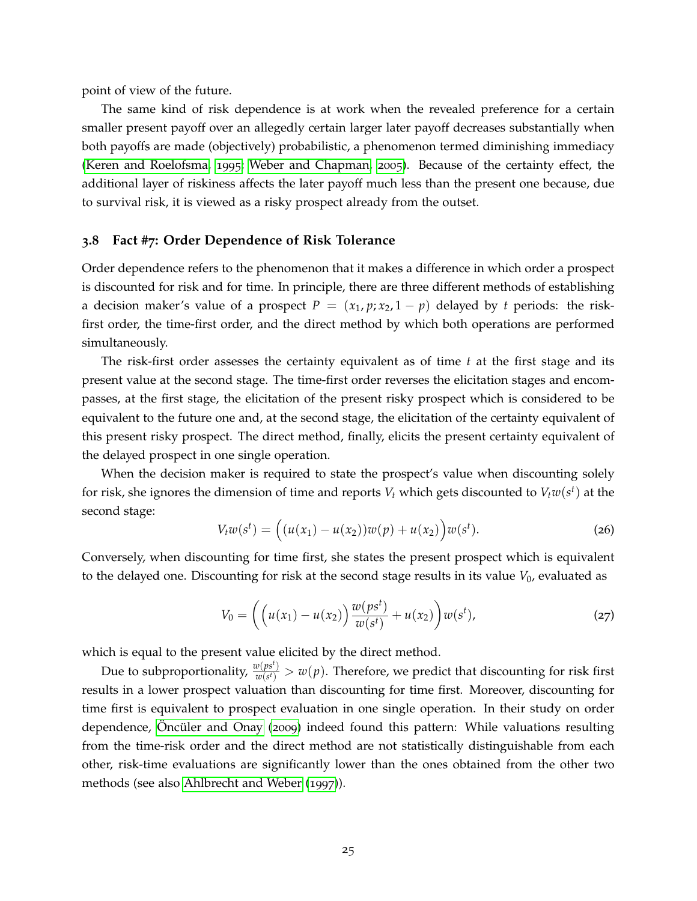point of view of the future.

The same kind of risk dependence is at work when the revealed preference for a certain smaller present payoff over an allegedly certain larger later payoff decreases substantially when both payoffs are made (objectively) probabilistic, a phenomenon termed diminishing immediacy [\(Keren and Roelofsma,](#page-64-0) [1995](#page-64-0); [Weber and Chapman,](#page-68-2) [2005](#page-68-2)). Because of the certainty effect, the additional layer of riskiness affects the later payoff much less than the present one because, due to survival risk, it is viewed as a risky prospect already from the outset.

### **3.8 Fact #7: Order Dependence of Risk Tolerance**

Order dependence refers to the phenomenon that it makes a difference in which order a prospect is discounted for risk and for time. In principle, there are three different methods of establishing a decision maker's value of a prospect  $P = (x_1, p; x_2, 1 - p)$  delayed by *t* periods: the riskfirst order, the time-first order, and the direct method by which both operations are performed simultaneously.

The risk-first order assesses the certainty equivalent as of time *t* at the first stage and its present value at the second stage. The time-first order reverses the elicitation stages and encompasses, at the first stage, the elicitation of the present risky prospect which is considered to be equivalent to the future one and, at the second stage, the elicitation of the certainty equivalent of this present risky prospect. The direct method, finally, elicits the present certainty equivalent of the delayed prospect in one single operation.

When the decision maker is required to state the prospect's value when discounting solely for risk, she ignores the dimension of time and reports  $V_t$  which gets discounted to  $V_t w(s^t)$  at the second stage:

$$
V_t w(s^t) = ((u(x_1) - u(x_2))w(p) + u(x_2))w(s^t).
$$
 (26)

Conversely, when discounting for time first, she states the present prospect which is equivalent to the delayed one. Discounting for risk at the second stage results in its value  $V_0$ , evaluated as

$$
V_0 = \left( \left( u(x_1) - u(x_2) \right) \frac{w(ps^t)}{w(s^t)} + u(x_2) \right) w(s^t), \tag{27}
$$

which is equal to the present value elicited by the direct method.

Due to subproportionality,  $\frac{w(ps^t)}{w(q^t)}$  $\frac{w(p|s^x)}{w(s^t)} > w(p)$ . Therefore, we predict that discounting for risk first results in a lower prospect valuation than discounting for time first. Moreover, discounting for time first is equivalent to prospect evaluation in one single operation. In their study on order dependence, Oncüler and Onay ([2009](#page-66-1)) indeed found this pattern: While valuations resulting from the time-risk order and the direct method are not statistically distinguishable from each other, risk-time evaluations are significantly lower than the ones obtained from the other two methods (see also [Ahlbrecht and Weber](#page-60-6) ([1997](#page-60-6))).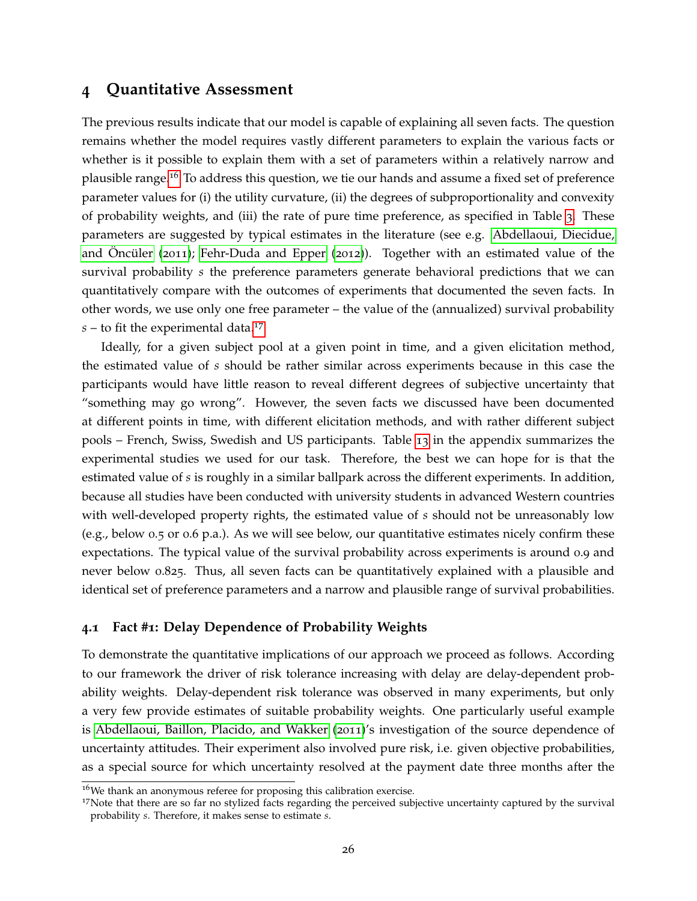# <span id="page-26-0"></span>**4 Quantitative Assessment**

The previous results indicate that our model is capable of explaining all seven facts. The question remains whether the model requires vastly different parameters to explain the various facts or whether is it possible to explain them with a set of parameters within a relatively narrow and plausible range.[16](#page-26-1) To address this question, we tie our hands and assume a fixed set of preference parameter values for (i) the utility curvature, (ii) the degrees of subproportionality and convexity of probability weights, and (iii) the rate of pure time preference, as specified in Table [3](#page-27-0). These parameters are suggested by typical estimates in the literature (see e.g. [Abdellaoui, Diecidue,](#page-60-7) and Oncüler ( $2011$ ); [Fehr-Duda and Epper](#page-63-2) ( $2012$ )). Together with an estimated value of the survival probability *s* the preference parameters generate behavioral predictions that we can quantitatively compare with the outcomes of experiments that documented the seven facts. In other words, we use only one free parameter – the value of the (annualized) survival probability  $s$  – to fit the experimental data.<sup>[17](#page-26-2)</sup>

Ideally, for a given subject pool at a given point in time, and a given elicitation method, the estimated value of *s* should be rather similar across experiments because in this case the participants would have little reason to reveal different degrees of subjective uncertainty that "something may go wrong". However, the seven facts we discussed have been documented at different points in time, with different elicitation methods, and with rather different subject pools – French, Swiss, Swedish and US participants. Table [13](#page-57-0) in the appendix summarizes the experimental studies we used for our task. Therefore, the best we can hope for is that the estimated value of *s* is roughly in a similar ballpark across the different experiments. In addition, because all studies have been conducted with university students in advanced Western countries with well-developed property rights, the estimated value of *s* should not be unreasonably low (e.g., below 0.5 or 0.6 p.a.). As we will see below, our quantitative estimates nicely confirm these expectations. The typical value of the survival probability across experiments is around 0.9 and never below 0.825. Thus, all seven facts can be quantitatively explained with a plausible and identical set of preference parameters and a narrow and plausible range of survival probabilities.

# **4.1 Fact #1: Delay Dependence of Probability Weights**

To demonstrate the quantitative implications of our approach we proceed as follows. According to our framework the driver of risk tolerance increasing with delay are delay-dependent probability weights. Delay-dependent risk tolerance was observed in many experiments, but only a very few provide estimates of suitable probability weights. One particularly useful example is [Abdellaoui, Baillon, Placido, and Wakker](#page-60-8) ([2011](#page-60-8))'s investigation of the source dependence of uncertainty attitudes. Their experiment also involved pure risk, i.e. given objective probabilities, as a special source for which uncertainty resolved at the payment date three months after the

<span id="page-26-1"></span><sup>&</sup>lt;sup>16</sup>We thank an anonymous referee for proposing this calibration exercise.

<span id="page-26-2"></span><sup>&</sup>lt;sup>17</sup>Note that there are so far no stylized facts regarding the perceived subjective uncertainty captured by the survival probability *s*. Therefore, it makes sense to estimate *s*.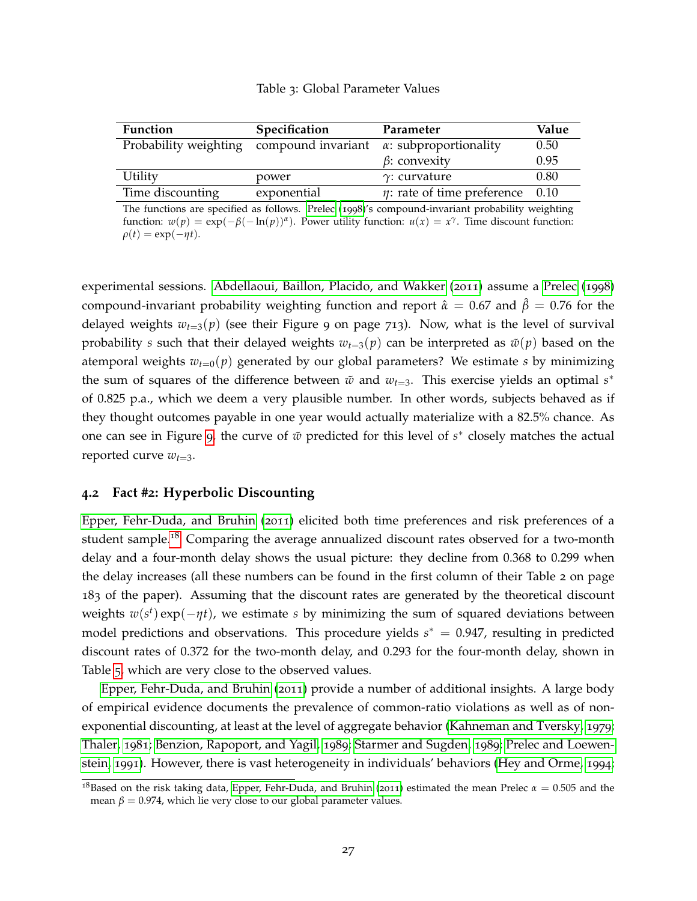# Table 3: Global Parameter Values

<span id="page-27-0"></span>

| <b>Function</b>       | Specification      | Parameter                             | Value |
|-----------------------|--------------------|---------------------------------------|-------|
| Probability weighting | compound invariant | $\alpha$ : subproportionality         | 0.50  |
|                       |                    | $\beta$ : convexity                   | 0.95  |
| Utility               | power              | $\gamma$ : curvature                  | 0.80  |
| Time discounting      | exponential        | $\eta$ : rate of time preference 0.10 |       |

The functions are specified as follows. [Prelec](#page-66-3) ([1998](#page-66-3))'s compound-invariant probability weighting function:  $w(p) = \exp(-\beta(-\ln(p))^{\alpha})$ . Power utility function:  $u(x) = x^{\gamma}$ . Time discount function:  $\rho(t) = \exp(-\eta t).$ 

experimental sessions. [Abdellaoui, Baillon, Placido, and Wakker](#page-60-8) ([2011](#page-60-8)) assume a [Prelec](#page-66-3) ([1998](#page-66-3)) compound-invariant probability weighting function and report  $\hat{\alpha} = 0.67$  and  $\hat{\beta} = 0.76$  for the delayed weights  $w_{t=3}(p)$  (see their Figure 9 on page 713). Now, what is the level of survival probability *s* such that their delayed weights  $w_{t=3}(p)$  can be interpreted as  $\tilde{w}(p)$  based on the atemporal weights  $w_{t=0}(p)$  generated by our global parameters? We estimate *s* by minimizing the sum of squares of the difference between  $\tilde{w}$  and  $w_{t=3}$ . This exercise yields an optimal  $s^*$ of 0.825 p.a., which we deem a very plausible number. In other words, subjects behaved as if they thought outcomes payable in one year would actually materialize with a 82.5% chance. As one can see in Figure [9](#page-28-0), the curve of  $\tilde{w}$  predicted for this level of *s*<sup>∗</sup> closely matches the actual reported curve  $w_{t=3}$ .

# **4.2 Fact #2: Hyperbolic Discounting**

[Epper, Fehr-Duda, and Bruhin](#page-63-7) ([2011](#page-63-7)) elicited both time preferences and risk preferences of a student sample.<sup>[18](#page-27-1)</sup> Comparing the average annualized discount rates observed for a two-month delay and a four-month delay shows the usual picture: they decline from 0.368 to 0.299 when the delay increases (all these numbers can be found in the first column of their Table 2 on page 183 of the paper). Assuming that the discount rates are generated by the theoretical discount weights  $w(s^t) \exp(-\eta t)$ , we estimate *s* by minimizing the sum of squared deviations between model predictions and observations. This procedure yields  $s^* = 0.947$ , resulting in predicted discount rates of 0.372 for the two-month delay, and 0.293 for the four-month delay, shown in Table [5](#page-29-0), which are very close to the observed values.

[Epper, Fehr-Duda, and Bruhin](#page-63-7) ([2011](#page-63-7)) provide a number of additional insights. A large body of empirical evidence documents the prevalence of common-ratio violations as well as of nonexponential discounting, at least at the level of aggregate behavior [\(Kahneman and Tversky,](#page-64-1) [1979](#page-64-1); [Thaler,](#page-68-9) [1981](#page-68-9); [Benzion, Rapoport, and Yagil,](#page-61-10) [1989](#page-61-10); [Starmer and Sugden,](#page-67-10) [1989](#page-67-10); [Prelec and Loewen](#page-66-2)[stein,](#page-66-2) [1991](#page-66-2)). However, there is vast heterogeneity in individuals' behaviors [\(Hey and Orme,](#page-64-8) [1994](#page-64-8);

<span id="page-27-1"></span><sup>&</sup>lt;sup>18</sup>Based on the risk taking data, [Epper, Fehr-Duda, and Bruhin](#page-63-7) ([2011](#page-63-7)) estimated the mean Prelec  $α = 0.505$  and the mean  $\beta = 0.974$ , which lie very close to our global parameter values.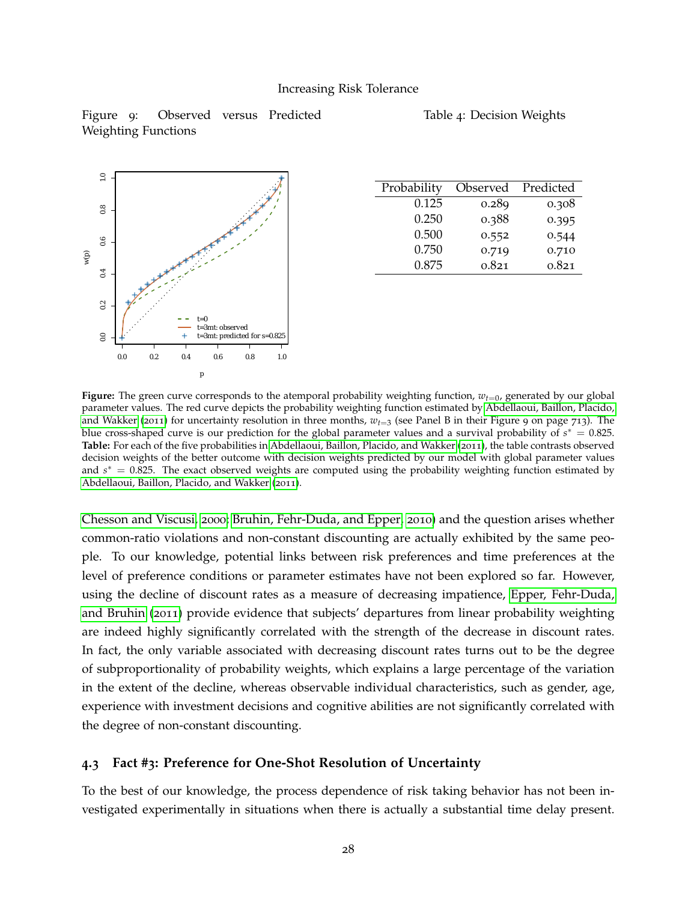<span id="page-28-0"></span>Figure 9: Observed versus Predicted Weighting Functions





| Probability | Observed | Predicted |
|-------------|----------|-----------|
| 0.125       | 0.289    | 0.308     |
| 0.250       | 0.388    | 0.395     |
| 0.500       | 0.552    | 0.544     |
| 0.750       | 0.719    | 0.710     |
| 0.875       | 0.821    | 0.821     |

**Figure:** The green curve corresponds to the atemporal probability weighting function,  $w_{t=0}$ , generated by our global parameter values. The red curve depicts the probability weighting function estimated by [Abdellaoui, Baillon, Placido,](#page-60-8) [and Wakker](#page-60-8) ([2011](#page-60-8)) for uncertainty resolution in three months, *wt*=<sup>3</sup> (see Panel B in their Figure 9 on page 713). The blue cross-shaped curve is our prediction for the global parameter values and a survival probability of  $s^* = 0.825$ . **Table:** For each of the five probabilities in [Abdellaoui, Baillon, Placido, and Wakker](#page-60-8) ([2011](#page-60-8)), the table contrasts observed decision weights of the better outcome with decision weights predicted by our model with global parameter values and  $s^* = 0.825$ . The exact observed weights are computed using the probability weighting function estimated by [Abdellaoui, Baillon, Placido, and Wakker](#page-60-8) ([2011](#page-60-8)).

[Chesson and Viscusi,](#page-62-9) [2000](#page-62-9); [Bruhin, Fehr-Duda, and Epper,](#page-61-6) [2010](#page-61-6)) and the question arises whether common-ratio violations and non-constant discounting are actually exhibited by the same people. To our knowledge, potential links between risk preferences and time preferences at the level of preference conditions or parameter estimates have not been explored so far. However, using the decline of discount rates as a measure of decreasing impatience, [Epper, Fehr-Duda,](#page-63-7) [and Bruhin](#page-63-7) ([2011](#page-63-7)) provide evidence that subjects' departures from linear probability weighting are indeed highly significantly correlated with the strength of the decrease in discount rates. In fact, the only variable associated with decreasing discount rates turns out to be the degree of subproportionality of probability weights, which explains a large percentage of the variation in the extent of the decline, whereas observable individual characteristics, such as gender, age, experience with investment decisions and cognitive abilities are not significantly correlated with the degree of non-constant discounting.

# **4.3 Fact #3: Preference for One-Shot Resolution of Uncertainty**

To the best of our knowledge, the process dependence of risk taking behavior has not been investigated experimentally in situations when there is actually a substantial time delay present.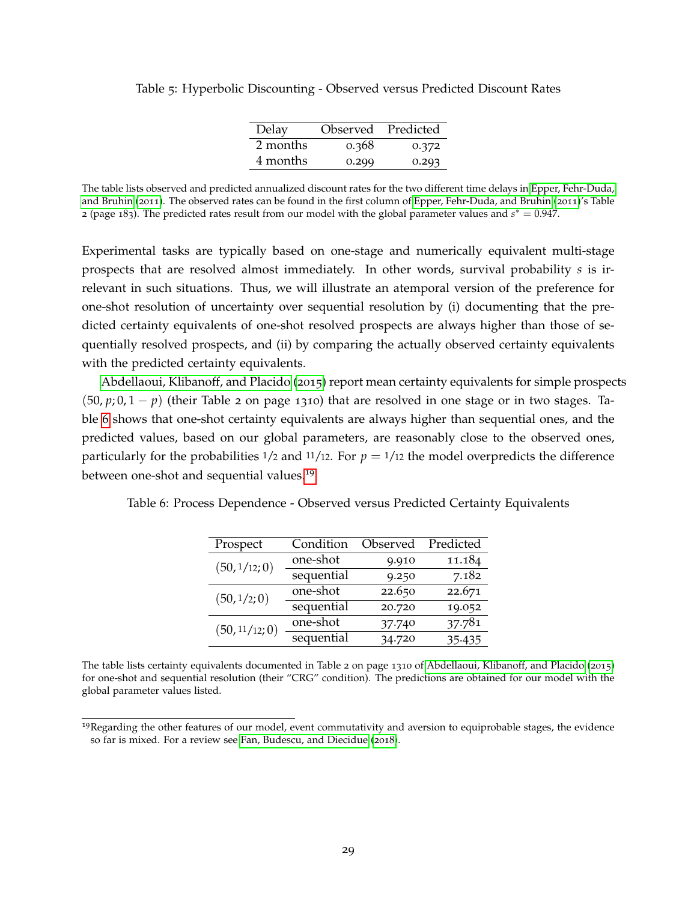| Delay    | <b>Observed</b> | Predicted |
|----------|-----------------|-----------|
| 2 months | 0.368           | 0.372     |
| 4 months | 0.299           | 0.293     |

<span id="page-29-0"></span>Table 5: Hyperbolic Discounting - Observed versus Predicted Discount Rates

The table lists observed and predicted annualized discount rates for the two different time delays in [Epper, Fehr-Duda,](#page-63-7) [and Bruhin](#page-63-7) ([2011](#page-63-7)). The observed rates can be found in the first column of [Epper, Fehr-Duda, and Bruhin](#page-63-7) ([2011](#page-63-7))'s Table 2 (page 183). The predicted rates result from our model with the global parameter values and  $s^* = 0.947$ .

Experimental tasks are typically based on one-stage and numerically equivalent multi-stage prospects that are resolved almost immediately. In other words, survival probability *s* is irrelevant in such situations. Thus, we will illustrate an atemporal version of the preference for one-shot resolution of uncertainty over sequential resolution by (i) documenting that the predicted certainty equivalents of one-shot resolved prospects are always higher than those of sequentially resolved prospects, and (ii) by comparing the actually observed certainty equivalents with the predicted certainty equivalents.

[Abdellaoui, Klibanoff, and Placido](#page-60-0) ([2015](#page-60-0)) report mean certainty equivalents for simple prospects  $(50, p; 0, 1-p)$  (their Table 2 on page 1310) that are resolved in one stage or in two stages. Table [6](#page-29-1) shows that one-shot certainty equivalents are always higher than sequential ones, and the predicted values, based on our global parameters, are reasonably close to the observed ones, particularly for the probabilities  $1/2$  and  $11/12$ . For  $p = 1/12$  the model overpredicts the difference between one-shot and sequential values.<sup>[19](#page-29-2)</sup>

<span id="page-29-1"></span>Table 6: Process Dependence - Observed versus Predicted Certainty Equivalents

| Prospect       | Condition  | Observed | Predicted |
|----------------|------------|----------|-----------|
| (50, 1/12; 0)  | one-shot   | 9.910    | 11.184    |
|                | sequential | 9.250    | 7.182     |
| (50, 1/2; 0)   | one-shot   | 22.650   | 22.671    |
|                | sequential | 20.720   | 19.052    |
| (50, 11/12; 0) | one-shot   | 37.740   | 37.781    |
|                | sequential | 34.720   | 35.435    |

The table lists certainty equivalents documented in Table 2 on page 1310 of [Abdellaoui, Klibanoff, and Placido](#page-60-0) ([2015](#page-60-0)) for one-shot and sequential resolution (their "CRG" condition). The predictions are obtained for our model with the global parameter values listed.

<span id="page-29-2"></span> $<sup>19</sup>$ Regarding the other features of our model, event commutativity and aversion to equiprobable stages, the evidence</sup> so far is mixed. For a review see [Fan, Budescu, and Diecidue](#page-63-8) ([2018](#page-63-8)).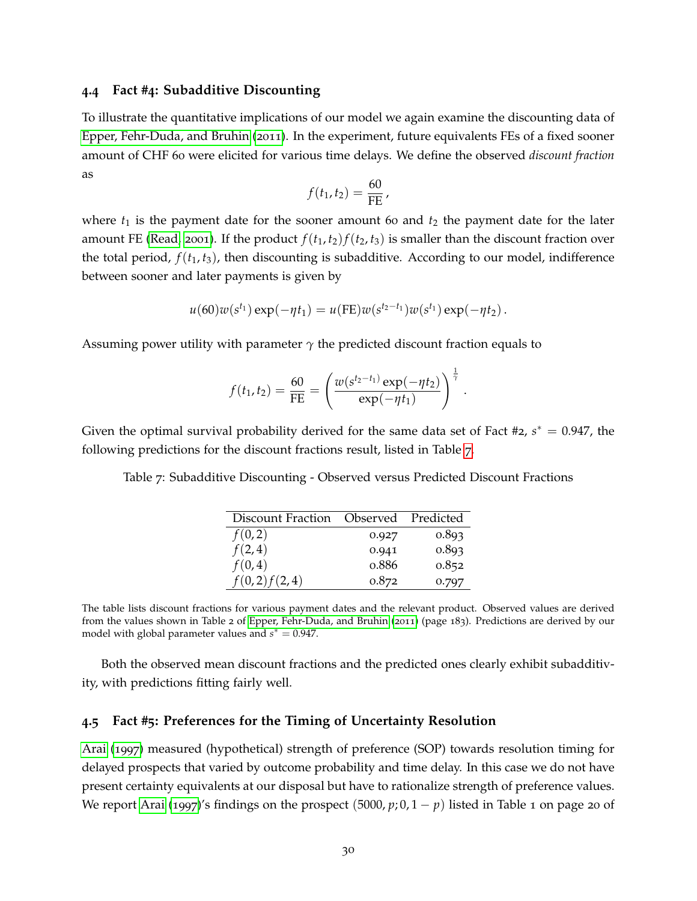### **4.4 Fact #4: Subadditive Discounting**

To illustrate the quantitative implications of our model we again examine the discounting data of [Epper, Fehr-Duda, and Bruhin](#page-63-7) ([2011](#page-63-7)). In the experiment, future equivalents FEs of a fixed sooner amount of CHF 60 were elicited for various time delays. We define the observed *discount fraction* as

$$
f(t_1,t_2)=\frac{60}{\mathrm{FE}}\,
$$

where  $t_1$  is the payment date for the sooner amount 60 and  $t_2$  the payment date for the later amount FE [\(Read,](#page-66-0) [2001](#page-66-0)). If the product  $f(t_1, t_2) f(t_2, t_3)$  is smaller than the discount fraction over the total period,  $f(t_1, t_3)$ , then discounting is subadditive. According to our model, indifference between sooner and later payments is given by

$$
u(60)w(s^{t_1})\exp(-\eta t_1) = u(FE)w(s^{t_2-t_1})w(s^{t_1})\exp(-\eta t_2).
$$

Assuming power utility with parameter  $\gamma$  the predicted discount fraction equals to

$$
f(t_1, t_2) = \frac{60}{\text{FE}} = \left(\frac{w(s^{t_2 - t_1)} \exp(-\eta t_2)}{\exp(-\eta t_1)}\right)^{\frac{1}{\gamma}}.
$$

<span id="page-30-0"></span>Given the optimal survival probability derived for the same data set of Fact #2,  $s^* = 0.947$ , the following predictions for the discount fractions result, listed in Table [7](#page-30-0).

Table 7: Subadditive Discounting - Observed versus Predicted Discount Fractions

| Discount Fraction | Observed | Predicted |
|-------------------|----------|-----------|
| f(0,2)            | 0.927    | 0.893     |
| f(2,4)            | 0.941    | 0.893     |
| f(0,4)            | 0.886    | 0.852     |
| f(0,2) f(2,4)     | 0.872    | 0.797     |

The table lists discount fractions for various payment dates and the relevant product. Observed values are derived from the values shown in Table 2 of [Epper, Fehr-Duda, and Bruhin](#page-63-7) ([2011](#page-63-7)) (page 183). Predictions are derived by our model with global parameter values and  $s^* = 0.947$ .

Both the observed mean discount fractions and the predicted ones clearly exhibit subadditivity, with predictions fitting fairly well.

### **4.5 Fact #5: Preferences for the Timing of Uncertainty Resolution**

[Arai](#page-60-9) ([1997](#page-60-9)) measured (hypothetical) strength of preference (SOP) towards resolution timing for delayed prospects that varied by outcome probability and time delay. In this case we do not have present certainty equivalents at our disposal but have to rationalize strength of preference values. We report [Arai](#page-60-9) ([1997](#page-60-9))'s findings on the prospect (5000,  $p$ ; 0, 1 –  $p$ ) listed in Table 1 on page 20 of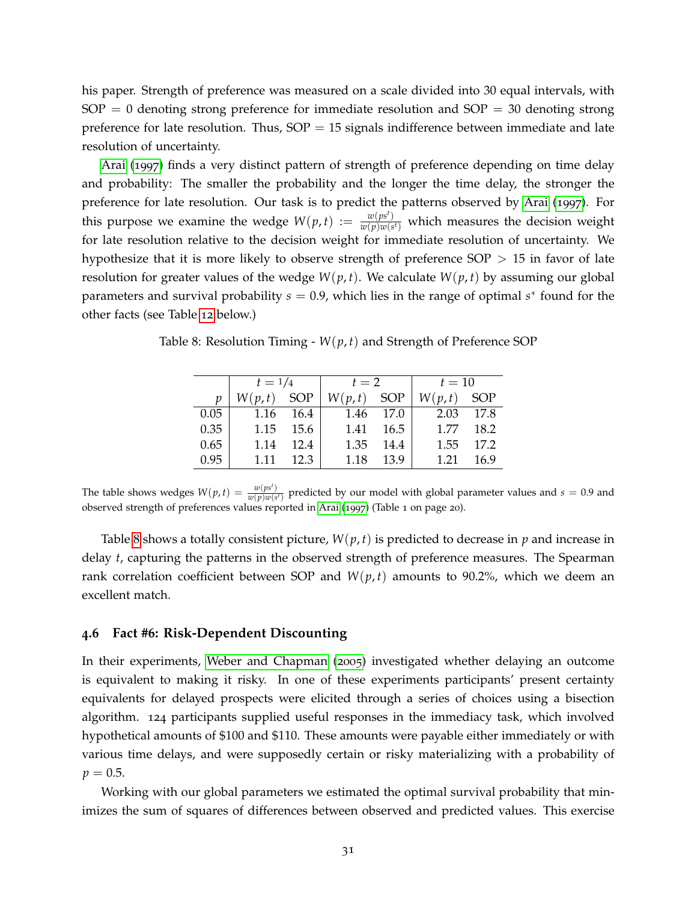his paper. Strength of preference was measured on a scale divided into 30 equal intervals, with  $SOP = 0$  denoting strong preference for immediate resolution and  $SOP = 30$  denoting strong preference for late resolution. Thus,  $SOP = 15$  signals indifference between immediate and late resolution of uncertainty.

[Arai](#page-60-9) ([1997](#page-60-9)) finds a very distinct pattern of strength of preference depending on time delay and probability: The smaller the probability and the longer the time delay, the stronger the preference for late resolution. Our task is to predict the patterns observed by [Arai](#page-60-9) ([1997](#page-60-9)). For this purpose we examine the wedge  $W(p,t) := w \frac{w(ps^t)}{w(p)w(s^t)}$  $\frac{w(p|s|)}{w(p)w(s)}$  which measures the decision weight for late resolution relative to the decision weight for immediate resolution of uncertainty. We hypothesize that it is more likely to observe strength of preference  $SOP > 15$  in favor of late resolution for greater values of the wedge  $W(p, t)$ . We calculate  $W(p, t)$  by assuming our global parameters and survival probability *s* = 0.9, which lies in the range of optimal *s* ∗ found for the other facts (see Table [12](#page-34-1) below.)

<span id="page-31-0"></span>Table 8: Resolution Timing - *W*(*p*, *t*) and Strength of Preference SOP

|      | $t = 1/4$    |           | $t=2$        |           | $t=10$       |           |
|------|--------------|-----------|--------------|-----------|--------------|-----------|
|      | $W(p,t)$ SOP |           | $W(p,t)$ SOP |           | $W(p,t)$ SOP |           |
| 0.05 |              | 1.16 16.4 |              | 1.46 17.0 |              | 2.03 17.8 |
| 0.35 | 1.15         | 15.6      | 1.41         | 16.5      | 1.77         | 18.2      |
| 0.65 | 1.14         | 12.4      | 1.35         | 14.4      | 1.55         | 17.2      |
| 0.95 | 1.11         | 12.3      | 1.18         | 13.9      | 1.21         | 16.9      |

The table shows wedges  $W(p, t) = \frac{w(ps^t)}{w(n)w(s^t)}$  $\frac{w(p\mid s)}{w(p)w(s')}$  predicted by our model with global parameter values and  $s = 0.9$  and observed strength of preferences values reported in [Arai](#page-60-9) ([1997](#page-60-9)) (Table 1 on page 20).

Table [8](#page-31-0) shows a totally consistent picture,  $W(p, t)$  is predicted to decrease in  $p$  and increase in delay *t*, capturing the patterns in the observed strength of preference measures. The Spearman rank correlation coefficient between SOP and  $W(p,t)$  amounts to 90.2%, which we deem an excellent match.

# **4.6 Fact #6: Risk-Dependent Discounting**

In their experiments, [Weber and Chapman](#page-68-2) ([2005](#page-68-2)) investigated whether delaying an outcome is equivalent to making it risky. In one of these experiments participants' present certainty equivalents for delayed prospects were elicited through a series of choices using a bisection algorithm. 124 participants supplied useful responses in the immediacy task, which involved hypothetical amounts of \$100 and \$110. These amounts were payable either immediately or with various time delays, and were supposedly certain or risky materializing with a probability of  $p = 0.5$ .

Working with our global parameters we estimated the optimal survival probability that minimizes the sum of squares of differences between observed and predicted values. This exercise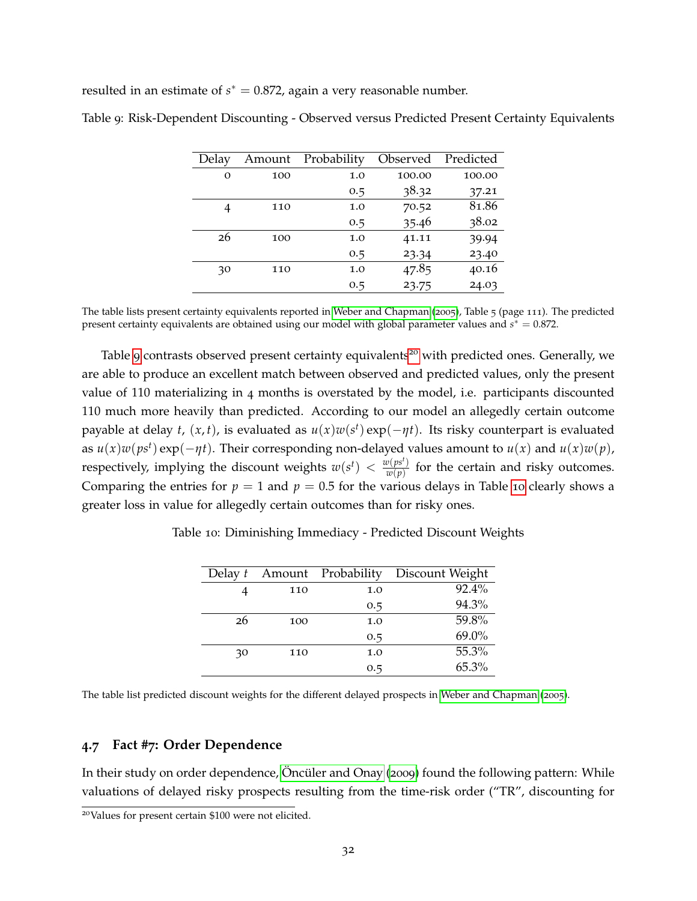resulted in an estimate of  $s^* = 0.872$ , again a very reasonable number.

| Delay    | Amount | Probability | Observed | Predicted |
|----------|--------|-------------|----------|-----------|
| $\Omega$ | 100    | 1.0         | 100.00   | 100.00    |
|          |        | 0.5         | 38.32    | 37.21     |
|          | 110    | 1.0         | 70.52    | 81.86     |
|          |        | 0.5         | 35.46    | 38.02     |
| 26       | 100    | 1.0         | 41.11    | 39.94     |
|          |        | 0.5         | 23.34    | 23.40     |
| 30       | 110    | 1.0         | 47.85    | 40.16     |
|          |        | 0.5         | 23.75    | 24.03     |
|          |        |             |          |           |

<span id="page-32-0"></span>Table 9: Risk-Dependent Discounting - Observed versus Predicted Present Certainty Equivalents

The table lists present certainty equivalents reported in [Weber and Chapman](#page-68-2) ([2005](#page-68-2)), Table 5 (page 111). The predicted present certainty equivalents are obtained using our model with global parameter values and *s* ∗ = 0.872.

Table [9](#page-32-0) contrasts observed present certainty equivalents<sup>[20](#page-32-1)</sup> with predicted ones. Generally, we are able to produce an excellent match between observed and predicted values, only the present value of 110 materializing in 4 months is overstated by the model, i.e. participants discounted 110 much more heavily than predicted. According to our model an allegedly certain outcome payable at delay *t*,  $(x, t)$ , is evaluated as  $u(x)w(s^t)$  exp $(-\eta t)$ . Its risky counterpart is evaluated as  $u(x)w(ps^t) \exp(-\eta t)$ . Their corresponding non-delayed values amount to  $u(x)$  and  $u(x)w(p)$ , respectively, implying the discount weights  $w(s^t) < \frac{w(ps^t)}{w(n)}$  $\frac{w(p|S')}{w(p)}$  for the certain and risky outcomes. Comparing the entries for  $p = 1$  and  $p = 0.5$  for the various delays in Table [10](#page-32-2) clearly shows a greater loss in value for allegedly certain outcomes than for risky ones.

<span id="page-32-2"></span>Table 10: Diminishing Immediacy - Predicted Discount Weights

| Delay t |     | Amount Probability | Discount Weight |
|---------|-----|--------------------|-----------------|
|         | 110 | 1.0                | 92.4%           |
|         |     | 0.5                | 94.3%           |
| 26      | 100 | 1.0                | 59.8%           |
|         |     | 0.5                | 69.0%           |
| 30      | 110 | 1.0                | 55.3%           |
|         |     | 0.5                | 65.3%           |

The table list predicted discount weights for the different delayed prospects in [Weber and Chapman](#page-68-2) ([2005](#page-68-2)).

# **4.7 Fact #7: Order Dependence**

In their study on order dependence, Oncüler and Onay ([2009](#page-66-1)) found the following pattern: While valuations of delayed risky prospects resulting from the time-risk order ("TR", discounting for

<span id="page-32-1"></span><sup>20</sup>Values for present certain \$100 were not elicited.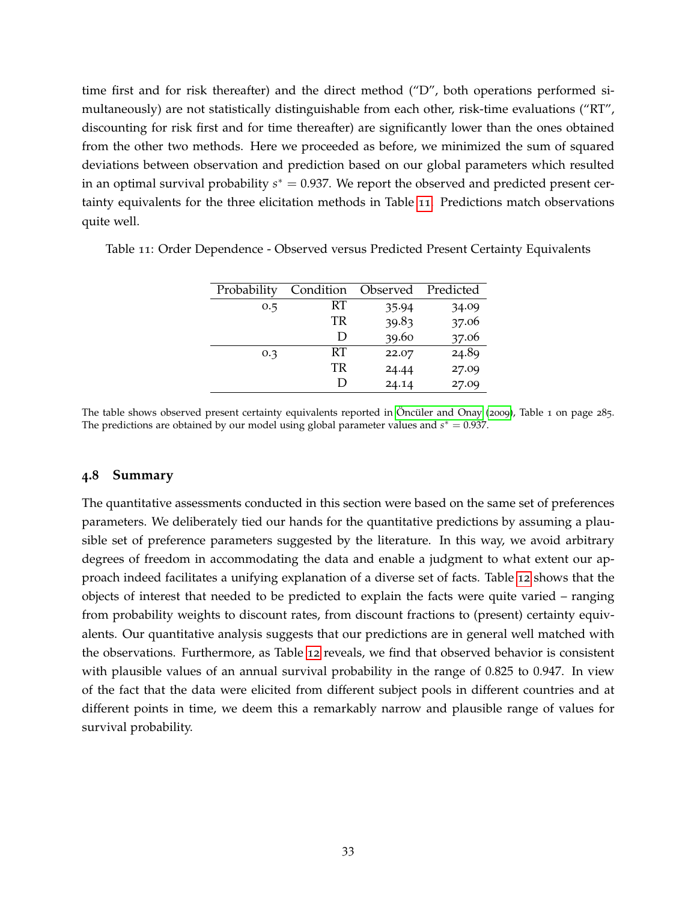time first and for risk thereafter) and the direct method ("D", both operations performed simultaneously) are not statistically distinguishable from each other, risk-time evaluations ("RT", discounting for risk first and for time thereafter) are significantly lower than the ones obtained from the other two methods. Here we proceeded as before, we minimized the sum of squared deviations between observation and prediction based on our global parameters which resulted in an optimal survival probability *s* ∗ = 0.937. We report the observed and predicted present certainty equivalents for the three elicitation methods in Table [11](#page-33-0). Predictions match observations quite well.

| Probability | Condition | Observed Predicted |       |
|-------------|-----------|--------------------|-------|
| 0.5         | RT        | 35.94              | 34.09 |
|             | TR        | 39.83              | 37.06 |
|             | Ð         | 39.60              | 37.06 |
| 0.3         | <b>RT</b> | 22.07              | 24.89 |
|             | TR        | 24.44              | 27.09 |
|             | ו ו       | 24.14              | 27.09 |

<span id="page-33-0"></span>Table 11: Order Dependence - Observed versus Predicted Present Certainty Equivalents

The table shows observed present certainty equivalents reported in Öncüler and Onay ([2009](#page-66-1)), Table 1 on page 285. The predictions are obtained by our model using global parameter values and  $s^* = 0.937$ .

# **4.8 Summary**

The quantitative assessments conducted in this section were based on the same set of preferences parameters. We deliberately tied our hands for the quantitative predictions by assuming a plausible set of preference parameters suggested by the literature. In this way, we avoid arbitrary degrees of freedom in accommodating the data and enable a judgment to what extent our approach indeed facilitates a unifying explanation of a diverse set of facts. Table [12](#page-34-1) shows that the objects of interest that needed to be predicted to explain the facts were quite varied – ranging from probability weights to discount rates, from discount fractions to (present) certainty equivalents. Our quantitative analysis suggests that our predictions are in general well matched with the observations. Furthermore, as Table [12](#page-34-1) reveals, we find that observed behavior is consistent with plausible values of an annual survival probability in the range of 0.825 to 0.947. In view of the fact that the data were elicited from different subject pools in different countries and at different points in time, we deem this a remarkably narrow and plausible range of values for survival probability.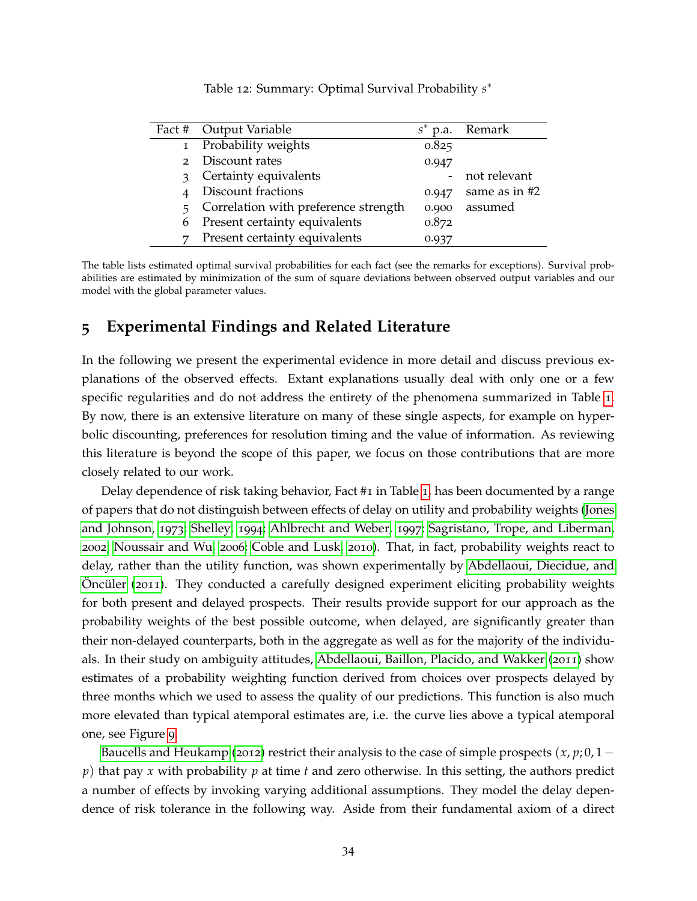<span id="page-34-1"></span>

|              | Fact # Output Variable                 |       | $s^*$ p.a. Remark |
|--------------|----------------------------------------|-------|-------------------|
|              | 1 Probability weights                  | 0.825 |                   |
| $2^{\circ}$  | Discount rates                         | 0.947 |                   |
| $\mathbf{R}$ | Certainty equivalents                  |       | not relevant      |
|              | Discount fractions                     | 0.947 | same as in #2     |
|              | 5 Correlation with preference strength | 0.900 | assumed           |
|              | 6 Present certainty equivalents        | 0.872 |                   |
| 7            | Present certainty equivalents          | 0.937 |                   |

Table 12: Summary: Optimal Survival Probability *s* ∗

The table lists estimated optimal survival probabilities for each fact (see the remarks for exceptions). Survival probabilities are estimated by minimization of the sum of square deviations between observed output variables and our model with the global parameter values.

# <span id="page-34-0"></span>**5 Experimental Findings and Related Literature**

In the following we present the experimental evidence in more detail and discuss previous explanations of the observed effects. Extant explanations usually deal with only one or a few specific regularities and do not address the entirety of the phenomena summarized in Table [1](#page-2-0). By now, there is an extensive literature on many of these single aspects, for example on hyperbolic discounting, preferences for resolution timing and the value of information. As reviewing this literature is beyond the scope of this paper, we focus on those contributions that are more closely related to our work.

Delay dependence of risk taking behavior, Fact #1 in Table [1](#page-2-0), has been documented by a range of papers that do not distinguish between effects of delay on utility and probability weights [\(Jones](#page-64-9) [and Johnson,](#page-64-9) [1973](#page-64-9); [Shelley,](#page-67-1) [1994](#page-67-1); [Ahlbrecht and Weber,](#page-60-6) [1997](#page-60-6); [Sagristano, Trope, and Liberman,](#page-67-11) [2002](#page-67-11); [Noussair and Wu,](#page-66-11) [2006](#page-66-11); [Coble and Lusk,](#page-62-10) [2010](#page-62-10)). That, in fact, probability weights react to delay, rather than the utility function, was shown experimentally by [Abdellaoui, Diecidue, and](#page-60-7) Oncüler ( $2011$ ). They conducted a carefully designed experiment eliciting probability weights for both present and delayed prospects. Their results provide support for our approach as the probability weights of the best possible outcome, when delayed, are significantly greater than their non-delayed counterparts, both in the aggregate as well as for the majority of the individuals. In their study on ambiguity attitudes, [Abdellaoui, Baillon, Placido, and Wakker](#page-60-8) ([2011](#page-60-8)) show estimates of a probability weighting function derived from choices over prospects delayed by three months which we used to assess the quality of our predictions. This function is also much more elevated than typical atemporal estimates are, i.e. the curve lies above a typical atemporal one, see Figure [9](#page-28-0).

[Baucells and Heukamp](#page-61-2) ([2012](#page-61-2)) restrict their analysis to the case of simple prospects  $(x, p; 0, 1$ *p*) that pay *x* with probability *p* at time *t* and zero otherwise. In this setting, the authors predict a number of effects by invoking varying additional assumptions. They model the delay dependence of risk tolerance in the following way. Aside from their fundamental axiom of a direct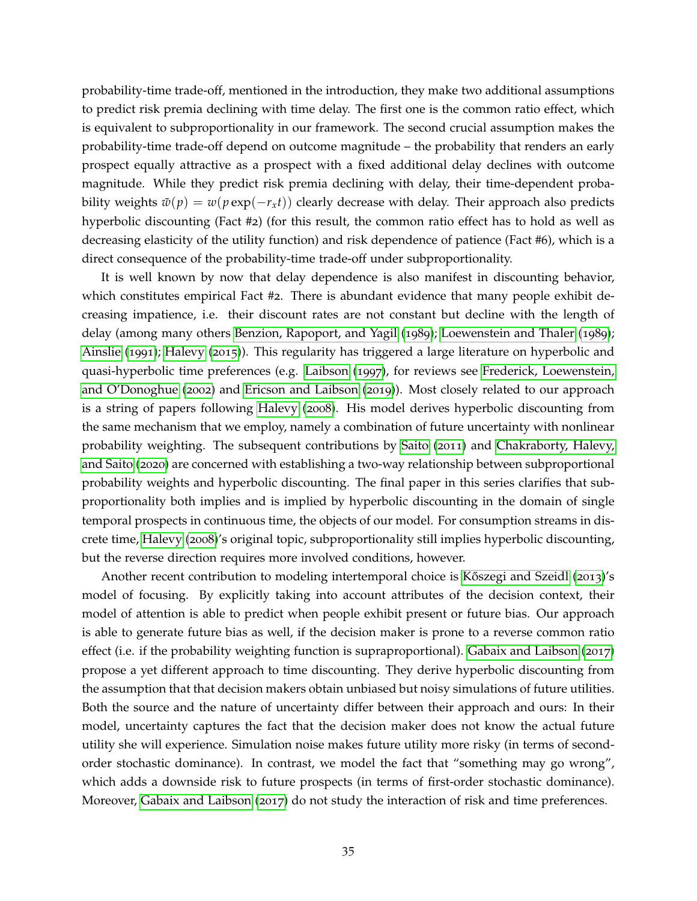probability-time trade-off, mentioned in the introduction, they make two additional assumptions to predict risk premia declining with time delay. The first one is the common ratio effect, which is equivalent to subproportionality in our framework. The second crucial assumption makes the probability-time trade-off depend on outcome magnitude – the probability that renders an early prospect equally attractive as a prospect with a fixed additional delay declines with outcome magnitude. While they predict risk premia declining with delay, their time-dependent probability weights  $\tilde{w}(p) = w(p \exp(-r_x t))$  clearly decrease with delay. Their approach also predicts hyperbolic discounting (Fact #2) (for this result, the common ratio effect has to hold as well as decreasing elasticity of the utility function) and risk dependence of patience (Fact #6), which is a direct consequence of the probability-time trade-off under subproportionality.

It is well known by now that delay dependence is also manifest in discounting behavior, which constitutes empirical Fact #2. There is abundant evidence that many people exhibit decreasing impatience, i.e. their discount rates are not constant but decline with the length of delay (among many others [Benzion, Rapoport, and Yagil](#page-61-10) ([1989](#page-61-10)); [Loewenstein and Thaler](#page-65-0) ([1989](#page-65-0)); [Ainslie](#page-60-10) ([1991](#page-60-10)); [Halevy](#page-64-10) ([2015](#page-64-10))). This regularity has triggered a large literature on hyperbolic and quasi-hyperbolic time preferences (e.g. [Laibson](#page-65-1) ([1997](#page-65-1)), for reviews see [Frederick, Loewenstein,](#page-63-0) [and O'Donoghue](#page-63-0) ([2002](#page-63-0)) and [Ericson and Laibson](#page-63-1) ([2019](#page-63-1))). Most closely related to our approach is a string of papers following [Halevy](#page-64-3) ([2008](#page-64-3)). His model derives hyperbolic discounting from the same mechanism that we employ, namely a combination of future uncertainty with nonlinear probability weighting. The subsequent contributions by [Saito](#page-67-3) ([2011](#page-67-3)) and [Chakraborty, Halevy,](#page-61-0) [and Saito](#page-61-0) ([2020](#page-61-0)) are concerned with establishing a two-way relationship between subproportional probability weights and hyperbolic discounting. The final paper in this series clarifies that subproportionality both implies and is implied by hyperbolic discounting in the domain of single temporal prospects in continuous time, the objects of our model. For consumption streams in discrete time, [Halevy](#page-64-3) ([2008](#page-64-3))'s original topic, subproportionality still implies hyperbolic discounting, but the reverse direction requires more involved conditions, however.

Another recent contribution to modeling intertemporal choice is Kőszegi and Szeidl ([2013](#page-65-9))'s model of focusing. By explicitly taking into account attributes of the decision context, their model of attention is able to predict when people exhibit present or future bias. Our approach is able to generate future bias as well, if the decision maker is prone to a reverse common ratio effect (i.e. if the probability weighting function is supraproportional). [Gabaix and Laibson](#page-63-9) ([2017](#page-63-9)) propose a yet different approach to time discounting. They derive hyperbolic discounting from the assumption that that decision makers obtain unbiased but noisy simulations of future utilities. Both the source and the nature of uncertainty differ between their approach and ours: In their model, uncertainty captures the fact that the decision maker does not know the actual future utility she will experience. Simulation noise makes future utility more risky (in terms of secondorder stochastic dominance). In contrast, we model the fact that "something may go wrong", which adds a downside risk to future prospects (in terms of first-order stochastic dominance). Moreover, [Gabaix and Laibson](#page-63-9) ([2017](#page-63-9)) do not study the interaction of risk and time preferences.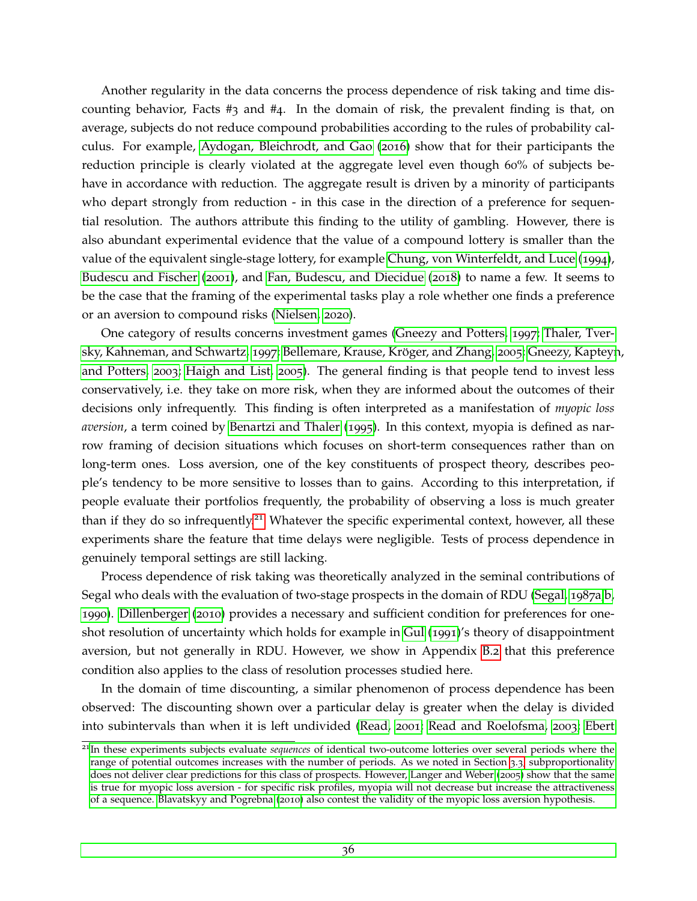Another regularity in the data concerns the process dependence of risk taking and time discounting behavior, Facts #3 and #4. In the domain of risk, the prevalent finding is that, on average, subjects do not reduce compound probabilities according to the rules of probability calculus. For example, [Aydogan, Bleichrodt, and Gao](#page-60-4) ([2016](#page-60-4)) show that for their participants the reduction principle is clearly violated at the aggregate level even though 60% of subjects behave in accordance with reduction. The aggregate result is driven by a minority of participants who depart strongly from reduction - in this case in the direction of a preference for sequential resolution. The authors attribute this finding to the utility of gambling. However, there is also abundant experimental evidence that the value of a compound lottery is smaller than the value of the equivalent single-stage lottery, for example [Chung, von Winterfeldt, and Luce](#page-62-5) ([1994](#page-62-5)), [Budescu and Fischer](#page-61-11) ([2001](#page-61-11)), and [Fan, Budescu, and Diecidue](#page-63-8) ([2018](#page-63-8)) to name a few. It seems to be the case that the framing of the experimental tasks play a role whether one finds a preference or an aversion to compound risks [\(Nielsen,](#page-66-12) [2020](#page-66-12)).

One category of results concerns investment games [\(Gneezy and Potters,](#page-64-6) [1997](#page-64-6); [Thaler, Tver](#page-68-10)[sky, Kahneman, and Schwartz,](#page-68-10) [1997](#page-68-10); Bellemare, Krause, Kröger, and Zhang, [2005](#page-61-9); [Gneezy, Kapteyn](#page-63-6), [and Potters,](#page-63-6) [2003](#page-63-6); [Haigh and List,](#page-64-11) [2005](#page-64-11)). The general finding is that people tend to invest less conservatively, i.e. they take on more risk, when they are informed about the outcomes of their decisions only infrequently. This finding is often interpreted as a manifestation of *myopic loss aversion*, a term coined by [Benartzi and Thaler](#page-61-8) ([1995](#page-61-8)). In this context, myopia is defined as narrow framing of decision situations which focuses on short-term consequences rather than on long-term ones. Loss aversion, one of the key constituents of prospect theory, describes people's tendency to be more sensitive to losses than to gains. According to this interpretation, if people evaluate their portfolios frequently, the probability of observing a loss is much greater than if they do so infrequently.<sup>[21](#page-36-0)</sup> Whatever the specific experimental context, however, all these experiments share the feature that time delays were negligible. Tests of process dependence in genuinely temporal settings are still lacking.

Process dependence of risk taking was theoretically analyzed in the seminal contributions of Segal who deals with the evaluation of two-stage prospects in the domain of RDU [\(Segal,](#page-67-4) [1987](#page-67-4)a[,b,](#page-67-5) [1990](#page-67-2)). [Dillenberger](#page-62-7) ([2010](#page-62-7)) provides a necessary and sufficient condition for preferences for oneshot resolution of uncertainty which holds for example in [Gul](#page-64-5) ([1991](#page-64-5))'s theory of disappointment aversion, but not generally in RDU. However, we show in Appendix [B.](#page-55-0)2 that this preference condition also applies to the class of resolution processes studied here.

In the domain of time discounting, a similar phenomenon of process dependence has been observed: The discounting shown over a particular delay is greater when the delay is divided into subintervals than when it is left undivided [\(Read,](#page-66-0) [2001](#page-66-0); [Read and Roelofsma,](#page-66-13) [2003](#page-66-13); [Ebert](#page-62-11)

<span id="page-36-0"></span><sup>21</sup>In these experiments subjects evaluate *sequences* [of identical two-outcome lotteries over several periods where the](#page-62-11) [range of potential outcomes increases with the number of periods. As we noted in Section](#page-62-11) [3](#page-16-1).3, subproportionality [does not deliver clear predictions for this class of prospects. However, Langer and Weber \(](#page-62-11)[2005](#page-65-10)) show that the same [is true for myopic loss aversion - for specific risk profiles, myopia will not decrease but increase the attractiveness](#page-62-11) of a sequence. [Blavatskyy and Pogrebna](#page-61-12) ([2010](#page-61-12)[\) also contest the validity of the myopic loss aversion hypothesis.](#page-62-11)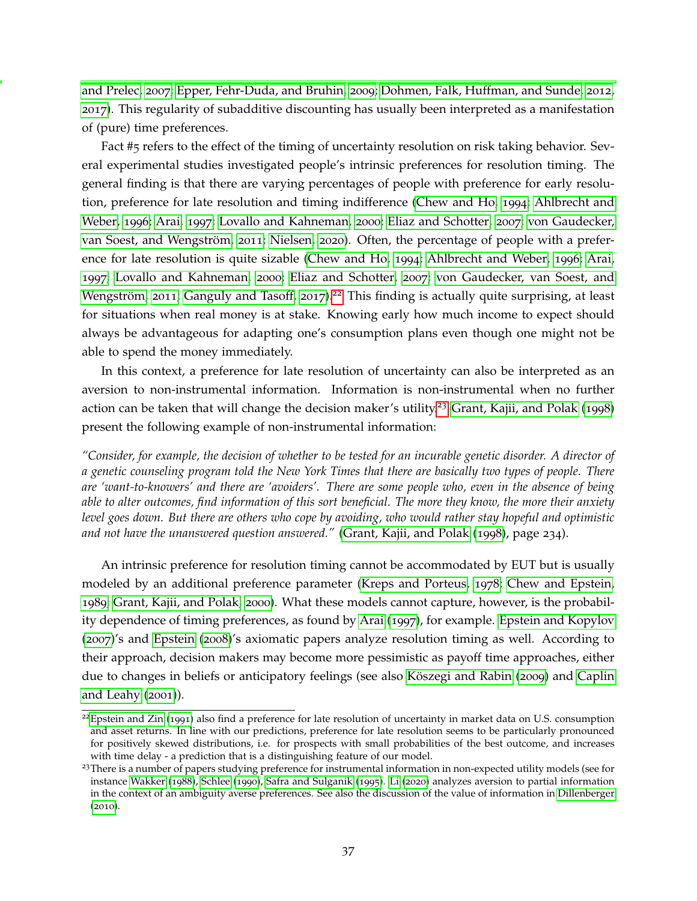[and Prelec,](#page-62-11) [2007](#page-62-11); [Epper, Fehr-Duda, and Bruhin,](#page-63-10) [2009](#page-63-10); [Dohmen, Falk, Huffman, and Sunde,](#page-62-12) [2012](#page-62-12), [2017](#page-62-0)). This regularity of subadditive discounting has usually been interpreted as a manifestation of (pure) time preferences.

Fact #5 refers to the effect of the timing of uncertainty resolution on risk taking behavior. Several experimental studies investigated people's intrinsic preferences for resolution timing. The general finding is that there are varying percentages of people with preference for early resolution, preference for late resolution and timing indifference [\(Chew and Ho,](#page-62-13) [1994](#page-62-13); [Ahlbrecht and](#page-60-11) [Weber,](#page-60-11) [1996](#page-60-11); [Arai,](#page-60-9) [1997](#page-60-9); [Lovallo and Kahneman,](#page-65-11) [2000](#page-65-11); [Eliaz and Schotter,](#page-63-11) [2007](#page-63-11); [von Gaudecker,](#page-68-11) van Soest, and Wengström, [2011](#page-68-11); [Nielsen,](#page-66-12) [2020](#page-66-12)). Often, the percentage of people with a preference for late resolution is quite sizable [\(Chew and Ho,](#page-62-13) [1994](#page-62-13); [Ahlbrecht and Weber,](#page-60-11) [1996](#page-60-11); [Arai,](#page-60-9) [1997](#page-60-9); [Lovallo and Kahneman,](#page-65-11) [2000](#page-65-11); [Eliaz and Schotter,](#page-63-11) [2007](#page-63-11); [von Gaudecker, van Soest, and](#page-68-11) Wengström, [2011](#page-68-11); [Ganguly and Tasoff,](#page-63-12) [2017](#page-63-12)).<sup>[22](#page-37-0)</sup> This finding is actually quite surprising, at least for situations when real money is at stake. Knowing early how much income to expect should always be advantageous for adapting one's consumption plans even though one might not be able to spend the money immediately.

In this context, a preference for late resolution of uncertainty can also be interpreted as an aversion to non-instrumental information. Information is non-instrumental when no further action can be taken that will change the decision maker's utility.<sup>[23](#page-37-1)</sup> [Grant, Kajii, and Polak](#page-64-12) ([1998](#page-64-12)) present the following example of non-instrumental information:

*"Consider, for example, the decision of whether to be tested for an incurable genetic disorder. A director of a genetic counseling program told the New York Times that there are basically two types of people. There are 'want-to-knowers' and there are 'avoiders'. There are some people who, even in the absence of being able to alter outcomes, find information of this sort beneficial. The more they know, the more their anxiety level goes down. But there are others who cope by avoiding, who would rather stay hopeful and optimistic and not have the unanswered question answered."* [\(Grant, Kajii, and Polak](#page-64-12) ([1998](#page-64-12)), page 234).

An intrinsic preference for resolution timing cannot be accommodated by EUT but is usually modeled by an additional preference parameter [\(Kreps and Porteus,](#page-65-2) [1978](#page-65-2); [Chew and Epstein,](#page-62-8) [1989](#page-62-8); [Grant, Kajii, and Polak,](#page-64-7) [2000](#page-64-7)). What these models cannot capture, however, is the probability dependence of timing preferences, as found by [Arai](#page-60-9) ([1997](#page-60-9)), for example. [Epstein and Kopylov](#page-63-13) ([2007](#page-63-13))'s and [Epstein](#page-63-14) ([2008](#page-63-14))'s axiomatic papers analyze resolution timing as well. According to their approach, decision makers may become more pessimistic as payoff time approaches, either due to changes in beliefs or anticipatory feelings (see also Köszegi and Rabin ([2009](#page-65-12)) and [Caplin](#page-61-13) [and Leahy](#page-61-13) ([2001](#page-61-13))).

<span id="page-37-0"></span> $^{22}$ [Epstein and Zin](#page-63-15) ([1991](#page-63-15)) also find a preference for late resolution of uncertainty in market data on U.S. consumption and asset returns. In line with our predictions, preference for late resolution seems to be particularly pronounced for positively skewed distributions, i.e. for prospects with small probabilities of the best outcome, and increases with time delay - a prediction that is a distinguishing feature of our model.

<span id="page-37-1"></span><sup>&</sup>lt;sup>23</sup>There is a number of papers studying preference for instrumental information in non-expected utility models (see for instance [Wakker](#page-68-12) ([1988](#page-68-12)), [Schlee](#page-67-12) ([1990](#page-67-12)), [Safra and Sulganik](#page-67-13) ([1995](#page-67-13)). [Li](#page-65-13) ([2020](#page-65-13)) analyzes aversion to partial information in the context of an ambiguity averse preferences. See also the discussion of the value of information in [Dillenberger](#page-62-7) ([2010](#page-62-7)).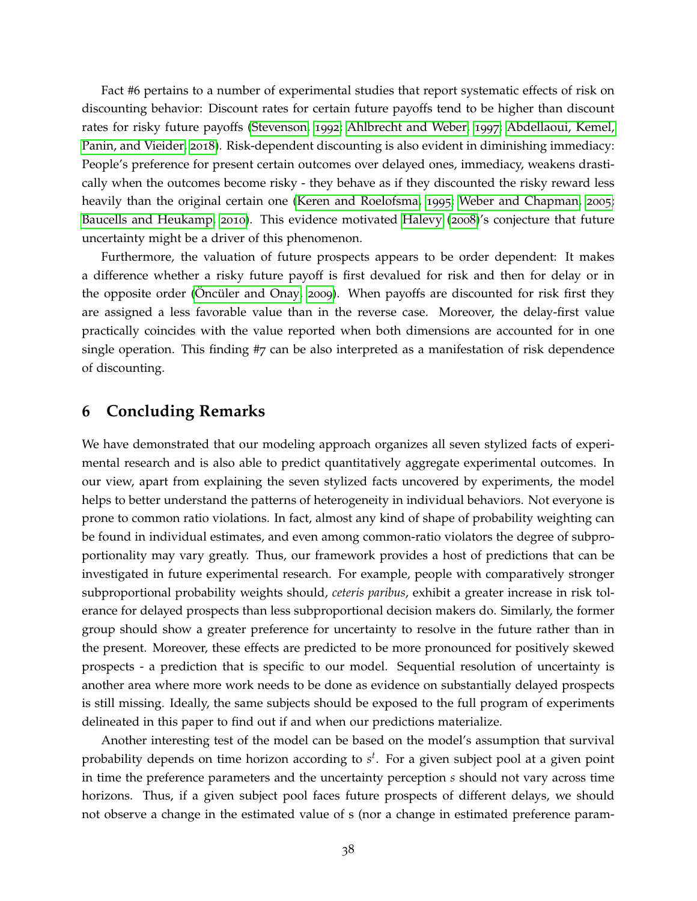Fact #6 pertains to a number of experimental studies that report systematic effects of risk on discounting behavior: Discount rates for certain future payoffs tend to be higher than discount rates for risky future payoffs [\(Stevenson,](#page-67-9) [1992](#page-67-9); [Ahlbrecht and Weber,](#page-60-6) [1997](#page-60-6); [Abdellaoui, Kemel,](#page-60-12) [Panin, and Vieider,](#page-60-12) [2018](#page-60-12)). Risk-dependent discounting is also evident in diminishing immediacy: People's preference for present certain outcomes over delayed ones, immediacy, weakens drastically when the outcomes become risky - they behave as if they discounted the risky reward less heavily than the original certain one [\(Keren and Roelofsma,](#page-64-0) [1995](#page-64-0); [Weber and Chapman,](#page-68-2) [2005](#page-68-2); [Baucells and Heukamp,](#page-60-13) [2010](#page-60-13)). This evidence motivated [Halevy](#page-64-3) ([2008](#page-64-3))'s conjecture that future uncertainty might be a driver of this phenomenon.

Furthermore, the valuation of future prospects appears to be order dependent: It makes a difference whether a risky future payoff is first devalued for risk and then for delay or in the opposite order (Oncüler and Onay, [2009](#page-66-1)). When payoffs are discounted for risk first they are assigned a less favorable value than in the reverse case. Moreover, the delay-first value practically coincides with the value reported when both dimensions are accounted for in one single operation. This finding #7 can be also interpreted as a manifestation of risk dependence of discounting.

# <span id="page-38-0"></span>**6 Concluding Remarks**

We have demonstrated that our modeling approach organizes all seven stylized facts of experimental research and is also able to predict quantitatively aggregate experimental outcomes. In our view, apart from explaining the seven stylized facts uncovered by experiments, the model helps to better understand the patterns of heterogeneity in individual behaviors. Not everyone is prone to common ratio violations. In fact, almost any kind of shape of probability weighting can be found in individual estimates, and even among common-ratio violators the degree of subproportionality may vary greatly. Thus, our framework provides a host of predictions that can be investigated in future experimental research. For example, people with comparatively stronger subproportional probability weights should, *ceteris paribus*, exhibit a greater increase in risk tolerance for delayed prospects than less subproportional decision makers do. Similarly, the former group should show a greater preference for uncertainty to resolve in the future rather than in the present. Moreover, these effects are predicted to be more pronounced for positively skewed prospects - a prediction that is specific to our model. Sequential resolution of uncertainty is another area where more work needs to be done as evidence on substantially delayed prospects is still missing. Ideally, the same subjects should be exposed to the full program of experiments delineated in this paper to find out if and when our predictions materialize.

Another interesting test of the model can be based on the model's assumption that survival probability depends on time horizon according to *s t* . For a given subject pool at a given point in time the preference parameters and the uncertainty perception *s* should not vary across time horizons. Thus, if a given subject pool faces future prospects of different delays, we should not observe a change in the estimated value of s (nor a change in estimated preference param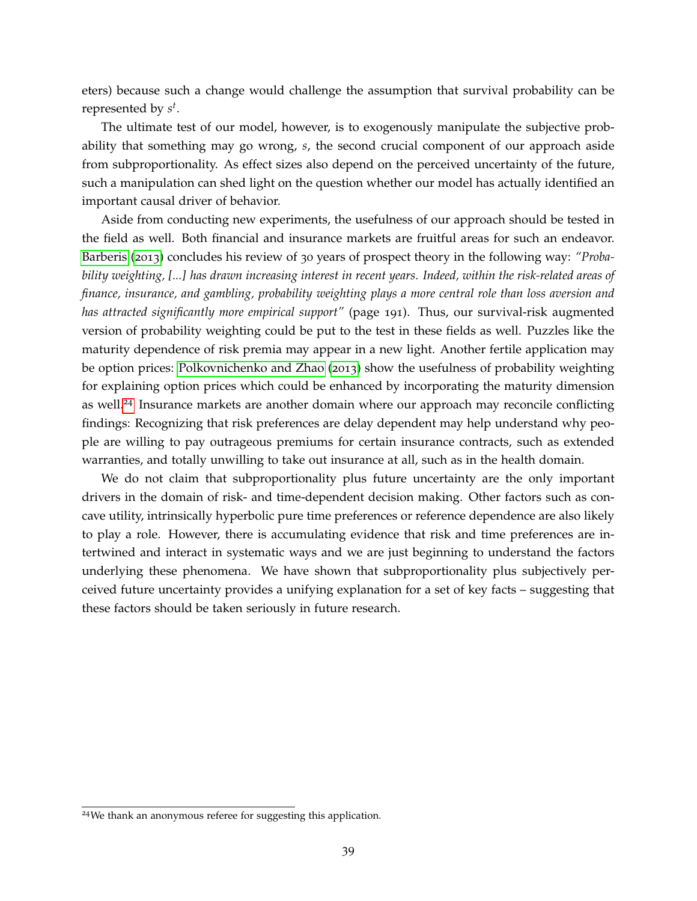eters) because such a change would challenge the assumption that survival probability can be represented by *s t* .

The ultimate test of our model, however, is to exogenously manipulate the subjective probability that something may go wrong, *s*, the second crucial component of our approach aside from subproportionality. As effect sizes also depend on the perceived uncertainty of the future, such a manipulation can shed light on the question whether our model has actually identified an important causal driver of behavior.

Aside from conducting new experiments, the usefulness of our approach should be tested in the field as well. Both financial and insurance markets are fruitful areas for such an endeavor. [Barberis](#page-60-1) ([2013](#page-60-1)) concludes his review of 30 years of prospect theory in the following way: *"Probability weighting, [...] has drawn increasing interest in recent years. Indeed, within the risk-related areas of finance, insurance, and gambling, probability weighting plays a more central role than loss aversion and has attracted significantly more empirical support"* (page 191). Thus, our survival-risk augmented version of probability weighting could be put to the test in these fields as well. Puzzles like the maturity dependence of risk premia may appear in a new light. Another fertile application may be option prices: [Polkovnichenko and Zhao](#page-66-14) ([2013](#page-66-14)) show the usefulness of probability weighting for explaining option prices which could be enhanced by incorporating the maturity dimension as well.<sup>[24](#page-39-0)</sup> Insurance markets are another domain where our approach may reconcile conflicting findings: Recognizing that risk preferences are delay dependent may help understand why people are willing to pay outrageous premiums for certain insurance contracts, such as extended warranties, and totally unwilling to take out insurance at all, such as in the health domain.

We do not claim that subproportionality plus future uncertainty are the only important drivers in the domain of risk- and time-dependent decision making. Other factors such as concave utility, intrinsically hyperbolic pure time preferences or reference dependence are also likely to play a role. However, there is accumulating evidence that risk and time preferences are intertwined and interact in systematic ways and we are just beginning to understand the factors underlying these phenomena. We have shown that subproportionality plus subjectively perceived future uncertainty provides a unifying explanation for a set of key facts – suggesting that these factors should be taken seriously in future research.

<span id="page-39-0"></span><sup>24</sup>We thank an anonymous referee for suggesting this application.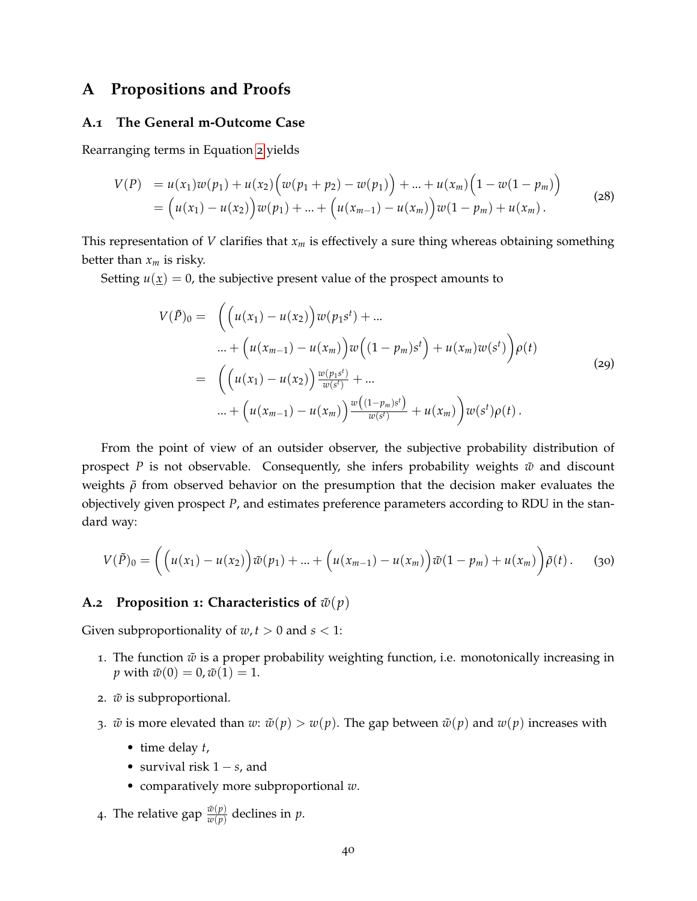# <span id="page-40-1"></span>**A Propositions and Proofs**

# <span id="page-40-0"></span>**A.1 The General m-Outcome Case**

Rearranging terms in Equation [2](#page-6-1) yields

$$
V(P) = u(x_1)w(p_1) + u(x_2)\Big(w(p_1 + p_2) - w(p_1)\Big) + ... + u(x_m)\Big(1 - w(1 - p_m)\Big)
$$
  
=  $(u(x_1) - u(x_2))w(p_1) + ... + (u(x_{m-1}) - u(x_m))w(1 - p_m) + u(x_m).$  (28)

This representation of *V* clarifies that *x<sup>m</sup>* is effectively a sure thing whereas obtaining something better than *x<sup>m</sup>* is risky.

Setting  $u(\underline{x}) = 0$ , the subjective present value of the prospect amounts to

$$
V(\tilde{P})_0 = \left( \left( u(x_1) - u(x_2) \right) w(p_1 s^t) + \dots \n \dots + \left( u(x_{m-1}) - u(x_m) \right) w \left( (1 - p_m) s^t \right) + u(x_m) w(s^t) \right) \rho(t) \n = \left( \left( u(x_1) - u(x_2) \right) \frac{w(p_1 s^t)}{w(s^t)} + \dots \n \dots + \left( u(x_{m-1}) - u(x_m) \right) \frac{w \left( (1 - p_m) s^t \right)}{w(s^t)} + u(x_m) \right) w(s^t) \rho(t).
$$
\n(29)

From the point of view of an outsider observer, the subjective probability distribution of prospect *P* is not observable. Consequently, she infers probability weights  $\tilde{w}$  and discount weights  $ρ$  from observed behavior on the presumption that the decision maker evaluates the objectively given prospect *P*, and estimates preference parameters according to RDU in the standard way:

$$
V(\tilde{P})_0 = \left( \left( u(x_1) - u(x_2) \right) \tilde{w}(p_1) + \ldots + \left( u(x_{m-1}) - u(x_m) \right) \tilde{w}(1 - p_m) + u(x_m) \right) \tilde{\rho}(t).
$$
 (30)

# <span id="page-40-2"></span>**A.2 Proposition 1: Characteristics of**  $\tilde{w}(p)$

Given subproportionality of  $w, t > 0$  and  $s < 1$ :

- 1. The function  $\tilde{w}$  is a proper probability weighting function, i.e. monotonically increasing in *p* with  $\tilde{w}(0) = 0$ ,  $\tilde{w}(1) = 1$ .
- 2.  $\tilde{w}$  is subproportional.
- 3.  $\tilde{w}$  is more elevated than  $w: \tilde{w}(p) > w(p)$ . The gap between  $\tilde{w}(p)$  and  $w(p)$  increases with
	- time delay *t*,
	- survival risk 1 − *s*, and
	- comparatively more subproportional *w*.
- 4. The relative gap  $\frac{\tilde{w}(p)}{w(p)}$  declines in  $p$ .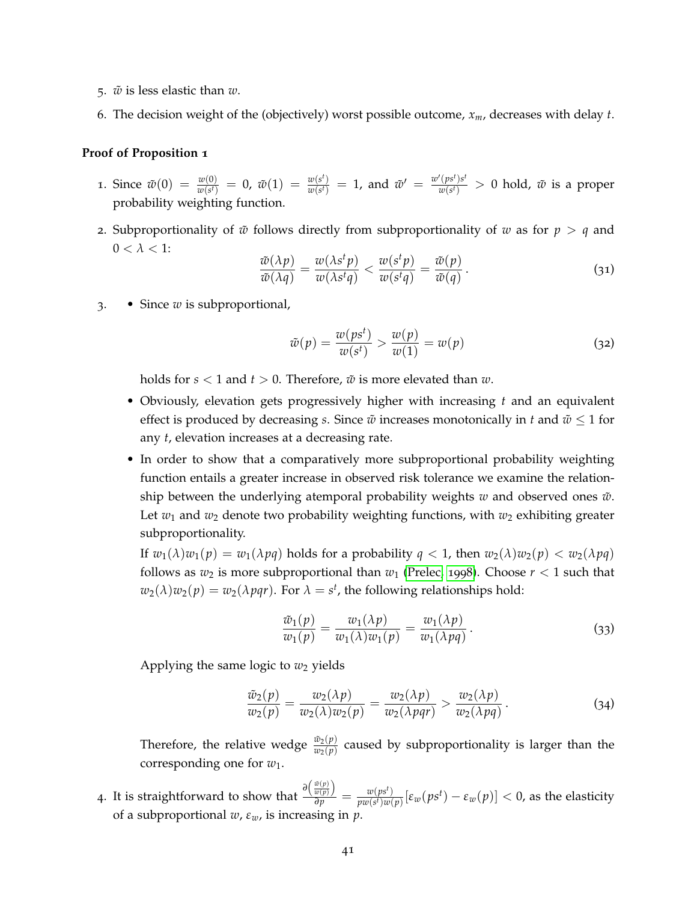- 5. *w*˜ is less elastic than *w*.
- 6. The decision weight of the (objectively) worst possible outcome, *xm*, decreases with delay *t*.

# **Proof of Proposition 1**

- 1. Since  $\tilde{w}(0) = \frac{w(0)}{w(s^t)} = 0$ ,  $\tilde{w}(1) = \frac{w(s^t)}{w(s^t)}$  $\frac{w(s^t)}{w(s^t)} = 1$ , and  $\tilde{w}' = \frac{w'(ps^t)s^t}{w(s^t)}$  $\frac{(ps^r)s^r}{w(s^t)} > 0$  hold,  $\tilde{w}$  is a proper probability weighting function.
- 2. Subproportionality of  $\tilde{w}$  follows directly from subproportionality of  $w$  as for  $p > q$  and  $0 < \lambda < 1$ :

$$
\frac{\tilde{w}(\lambda p)}{\tilde{w}(\lambda q)} = \frac{w(\lambda s^t p)}{w(\lambda s^t q)} < \frac{w(s^t p)}{w(s^t q)} = \frac{\tilde{w}(p)}{\tilde{w}(q)}\,. \tag{31}
$$

3. • Since *w* is subproportional,

$$
\tilde{w}(p) = \frac{w(ps^t)}{w(s^t)} > \frac{w(p)}{w(1)} = w(p) \tag{32}
$$

holds for  $s < 1$  and  $t > 0$ . Therefore,  $\tilde{w}$  is more elevated than  $w$ .

- Obviously, elevation gets progressively higher with increasing *t* and an equivalent effect is produced by decreasing *s*. Since  $\tilde{w}$  increases monotonically in *t* and  $\tilde{w} \le 1$  for any *t*, elevation increases at a decreasing rate.
- In order to show that a comparatively more subproportional probability weighting function entails a greater increase in observed risk tolerance we examine the relationship between the underlying atemporal probability weights  $w$  and observed ones  $\tilde{w}$ . Let  $w_1$  and  $w_2$  denote two probability weighting functions, with  $w_2$  exhibiting greater subproportionality.

If  $w_1(\lambda)w_1(p) = w_1(\lambda pq)$  holds for a probability  $q < 1$ , then  $w_2(\lambda)w_2(p) < w_2(\lambda pq)$ follows as  $w_2$  is more subproportional than  $w_1$  [\(Prelec,](#page-66-3) [1998](#page-66-3)). Choose  $r < 1$  such that  $w_2(\lambda)w_2(p) = w_2(\lambda pqr)$ . For  $\lambda = s^t$ , the following relationships hold:

$$
\frac{\tilde{w}_1(p)}{w_1(p)} = \frac{w_1(\lambda p)}{w_1(\lambda)w_1(p)} = \frac{w_1(\lambda p)}{w_1(\lambda pq)}.
$$
\n(33)

Applying the same logic to  $w_2$  yields

$$
\frac{\tilde{w}_2(p)}{w_2(p)} = \frac{w_2(\lambda p)}{w_2(\lambda)w_2(p)} = \frac{w_2(\lambda p)}{w_2(\lambda pqr)} > \frac{w_2(\lambda p)}{w_2(\lambda pq)}.
$$
\n(34)

Therefore, the relative wedge  $\frac{\bar{w}_2(p)}{w_2(p)}$  caused by subproportionality is larger than the corresponding one for *w*1.

**4.** It is straightforward to show that  $\frac{\partial (\frac{\tilde{w}(p)}{w(p)})}{\partial p}$  $\frac{w(p)}{dp}$  =  $\frac{w(ps^t)}{pw(s^t)w(s^t)}$  $\frac{w(ps^t)}{pw(s^t)w(p)}[\varepsilon_w(ps^t)-\varepsilon_w(p)] < 0$ , as the elasticity of a subproportional *w*, *εw*, is increasing in *p*.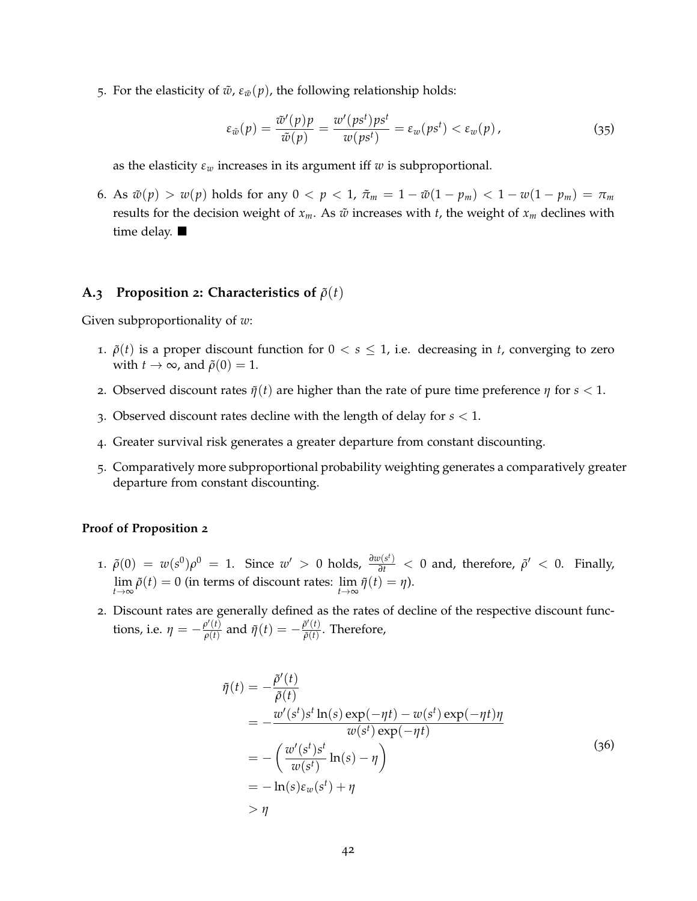5. For the elasticity of  $\tilde{w}$ ,  $\varepsilon_{\tilde{w}}(p)$ , the following relationship holds:

$$
\varepsilon_{\tilde{w}}(p) = \frac{\tilde{w}'(p)p}{\tilde{w}(p)} = \frac{w'(ps^t)ps^t}{w(ps^t)} = \varepsilon_w(ps^t) < \varepsilon_w(p) \,,\tag{35}
$$

as the elasticity *ε<sup>w</sup>* increases in its argument iff *w* is subproportional.

6. As  $\tilde{w}(p) > w(p)$  holds for any  $0 < p < 1$ ,  $\tilde{\pi}_m = 1 - \tilde{w}(1 - p_m) < 1 - w(1 - p_m) = \pi_m$ results for the decision weight of  $x_m$ . As  $\tilde{w}$  increases with *t*, the weight of  $x_m$  declines with time delay. ■

#### <span id="page-42-0"></span>**A.3 Proposition 2: Characteristics of**  $\tilde{\rho}(t)$

Given subproportionality of *w*:

- 1.  $\tilde{\rho}(t)$  is a proper discount function for  $0 < s \leq 1$ , i.e. decreasing in *t*, converging to zero with  $t \to \infty$ , and  $\tilde{\rho}(0) = 1$ .
- 2. Observed discount rates  $\tilde{\eta}(t)$  are higher than the rate of pure time preference  $\eta$  for  $s < 1$ .
- 3. Observed discount rates decline with the length of delay for *s* < 1.
- 4. Greater survival risk generates a greater departure from constant discounting.
- 5. Comparatively more subproportional probability weighting generates a comparatively greater departure from constant discounting.

### **Proof of Proposition 2**

- 1.  $\tilde{\rho}(0) = w(s^0)\rho^0 = 1$ . Since  $w' > 0$  holds,  $\frac{\partial w(s^t)}{\partial t} < 0$  and, therefore,  $\tilde{\rho}' < 0$ . Finally, lim  $\lim_{t \to \infty} \tilde{\rho}(t) = 0$  (in terms of discount rates:  $\lim_{t \to \infty} \tilde{\eta}(t) = \eta$ ).
- 2. Discount rates are generally defined as the rates of decline of the respective discount functions, i.e.  $\eta = -\frac{\rho'(t)}{\rho(t)}$  $\frac{\rho'(t)}{\rho(t)}$  and  $\tilde{\eta}(t) = -\frac{\tilde{\rho}'(t)}{\tilde{\rho}(t)}$  $\frac{\partial^{\alpha}(t)}{\partial(t)}$ . Therefore,

$$
\tilde{\eta}(t) = -\frac{\tilde{\rho}'(t)}{\tilde{\rho}(t)} \n= -\frac{w'(s^t)s^t \ln(s) \exp(-\eta t) - w(s^t) \exp(-\eta t)\eta}{w(s^t) \exp(-\eta t)} \n= -\left(\frac{w'(s^t)s^t}{w(s^t)} \ln(s) - \eta\right) \n= -\ln(s) \varepsilon_w(s^t) + \eta
$$
\n
$$
> \eta
$$
\n(36)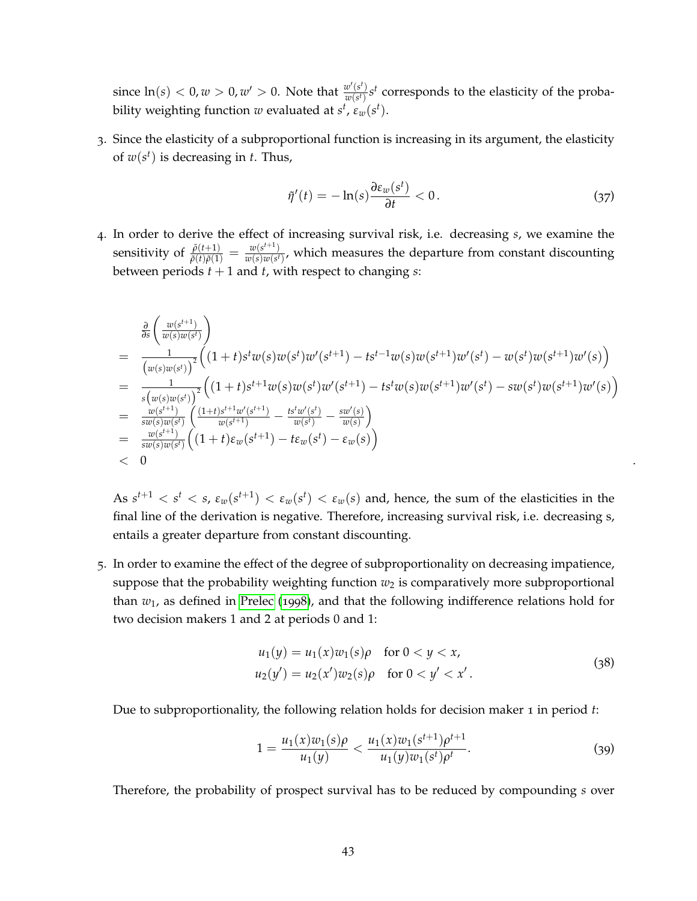since  $\ln(s) < 0, w > 0, w' > 0$ . Note that  $\frac{w'(s^t)}{w(s^t)}$  $\frac{w'(s')}{w(s')}s^t$  corresponds to the elasticity of the probability weighting function  $w$  evaluated at  $s^t$ ,  $\varepsilon_w(s^t)$ .

3. Since the elasticity of a subproportional function is increasing in its argument, the elasticity of  $w(s^t)$  is decreasing in *t*. Thus,

$$
\tilde{\eta}'(t) = -\ln(s)\frac{\partial \varepsilon_w(s^t)}{\partial t} < 0. \tag{37}
$$

4. In order to derive the effect of increasing survival risk, i.e. decreasing *s*, we examine the sensitivity of  $\frac{\tilde{\rho}(t+1)}{\tilde{\rho}(t)\tilde{\rho}(1)} = \frac{w(s^{t+1})}{w(s)w(s^t)}$  $\frac{w(s^{(k)})}{w(s)w(s^{k})}$ , which measures the departure from constant discounting between periods  $t + 1$  and  $t$ , with respect to changing  $s$ :

$$
\begin{array}{lll}\n&\frac{\partial}{\partial s}\left(\frac{w(s^{t+1})}{w(s)w(s^{t})}\right) \\
&=\frac{1}{\left(w(s)w(s^{t})\right)^{2}}\left((1+t)s^{t}w(s)w(s^{t})w'(s^{t+1})-ts^{t-1}w(s)w(s^{t+1})w'(s^{t})-w(s^{t})w(s^{t+1})w'(s)\right) \\
&=\frac{1}{s\left(w(s)w(s^{t})\right)^{2}}\left((1+t)s^{t+1}w(s)w(s^{t})w'(s^{t+1})-ts^{t}w(s)w(s^{t+1})w'(s^{t})-sw(s^{t})w(s^{t+1})w'(s)\right) \\
&=\frac{w(s^{t+1})}{sw(s)w(s^{t})}\left(\frac{(1+t)s^{t+1}w'(s^{t+1})}{w(s^{t+1})}-\frac{ts^{t}w'(s^{t})}{w(s^{t})}-\frac{sw'(s)}{w(s)}\right) \\
&=\frac{w(s^{t+1})}{sw(s)w(s^{t})}\left((1+t)\varepsilon_{w}(s^{t+1})-t\varepsilon_{w}(s^{t})-\varepsilon_{w}(s)\right) \\
&<0\n\end{array}.
$$

As  $s^{t+1} < s^t < s$ ,  $\varepsilon_w(s^{t+1}) < \varepsilon_w(s^t) < \varepsilon_w(s)$  and, hence, the sum of the elasticities in the final line of the derivation is negative. Therefore, increasing survival risk, i.e. decreasing s, entails a greater departure from constant discounting.

5. In order to examine the effect of the degree of subproportionality on decreasing impatience, suppose that the probability weighting function  $w_2$  is comparatively more subproportional than *w*1, as defined in [Prelec](#page-66-3) ([1998](#page-66-3)), and that the following indifference relations hold for two decision makers 1 and 2 at periods 0 and 1:

$$
u_1(y) = u_1(x)w_1(s)\rho \quad \text{for } 0 < y < x,
$$
\n
$$
u_2(y') = u_2(x')w_2(s)\rho \quad \text{for } 0 < y' < x'.
$$
\n(38)

Due to subproportionality, the following relation holds for decision maker 1 in period *t*:

$$
1 = \frac{u_1(x)w_1(s)\rho}{u_1(y)} < \frac{u_1(x)w_1(s^{t+1})\rho^{t+1}}{u_1(y)w_1(s^t)\rho^t}.\tag{39}
$$

Therefore, the probability of prospect survival has to be reduced by compounding *s* over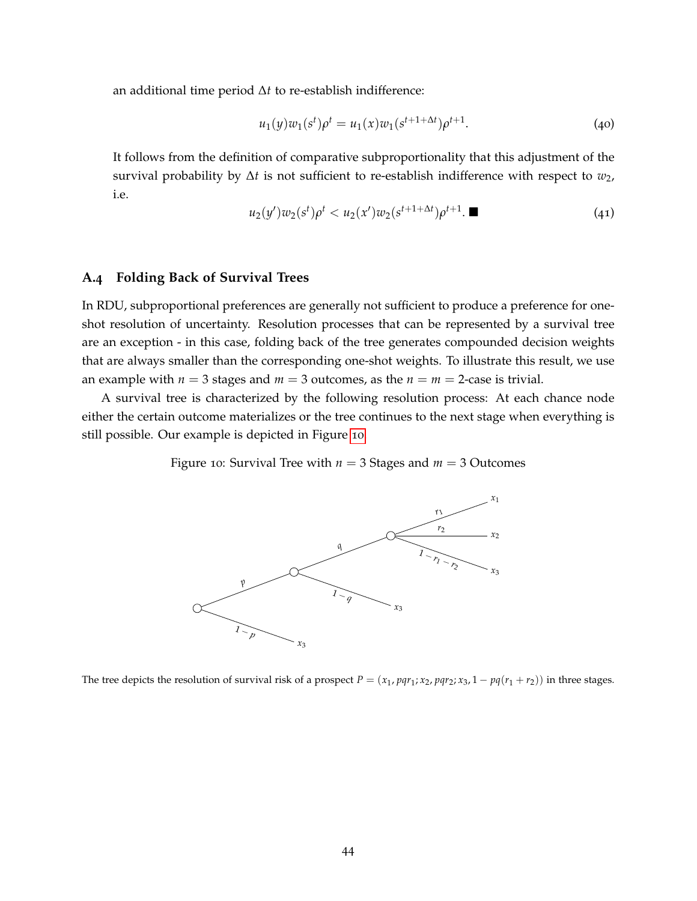an additional time period ∆*t* to re-establish indifference:

$$
u_1(y)w_1(s^t)\rho^t = u_1(x)w_1(s^{t+1+\Delta t})\rho^{t+1}.
$$
\n(40)

It follows from the definition of comparative subproportionality that this adjustment of the survival probability by ∆*t* is not sufficient to re-establish indifference with respect to *w*2, i.e.

$$
u_2(y')w_2(s^t)\rho^t < u_2(x')w_2(s^{t+1+\Delta t})\rho^{t+1}.\n\qquad \qquad (41)
$$

# <span id="page-44-0"></span>**A.4 Folding Back of Survival Trees**

In RDU, subproportional preferences are generally not sufficient to produce a preference for oneshot resolution of uncertainty. Resolution processes that can be represented by a survival tree are an exception - in this case, folding back of the tree generates compounded decision weights that are always smaller than the corresponding one-shot weights. To illustrate this result, we use an example with  $n = 3$  stages and  $m = 3$  outcomes, as the  $n = m = 2$ -case is trivial.

<span id="page-44-1"></span>A survival tree is characterized by the following resolution process: At each chance node either the certain outcome materializes or the tree continues to the next stage when everything is still possible. Our example is depicted in Figure [10](#page-44-1).

Figure 10: Survival Tree with *n* = 3 Stages and *m* = 3 Outcomes



The tree depicts the resolution of survival risk of a prospect  $P = (x_1, pqr_1; x_2, pqr_2; x_3, 1 - pq(r_1 + r_2))$  in three stages.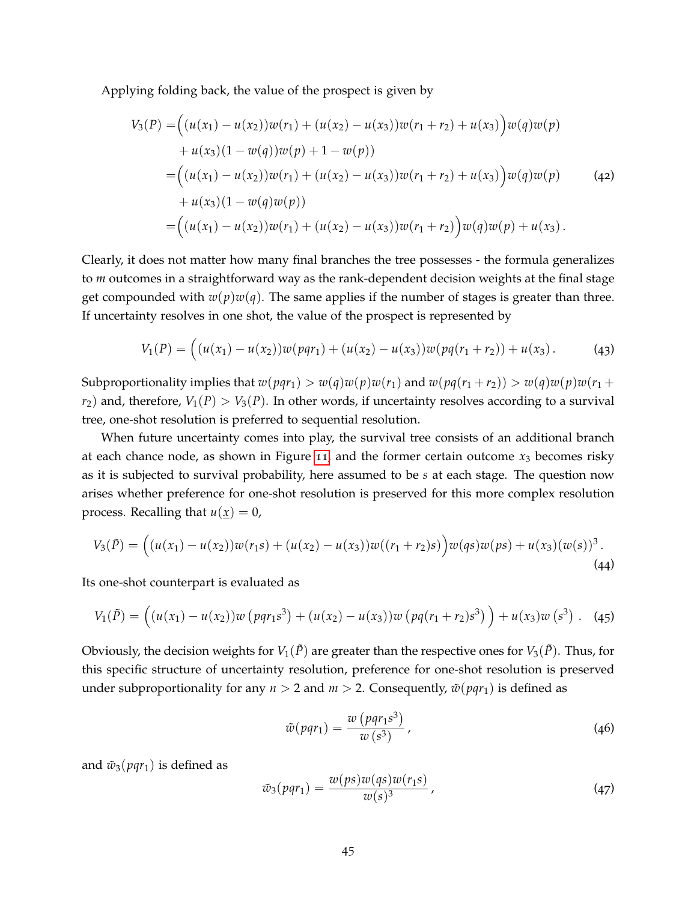Applying folding back, the value of the prospect is given by

$$
V_3(P) = ((u(x_1) - u(x_2))w(r_1) + (u(x_2) - u(x_3))w(r_1 + r_2) + u(x_3))w(q)w(p)
$$
  
+  $u(x_3)(1 - w(q))w(p) + 1 - w(p))$   
=  $((u(x_1) - u(x_2))w(r_1) + (u(x_2) - u(x_3))w(r_1 + r_2) + u(x_3))w(q)w(p)$  (42)  
+  $u(x_3)(1 - w(q)w(p))$   
=  $((u(x_1) - u(x_2))w(r_1) + (u(x_2) - u(x_3))w(r_1 + r_2))w(q)w(p) + u(x_3).$ 

Clearly, it does not matter how many final branches the tree possesses - the formula generalizes to *m* outcomes in a straightforward way as the rank-dependent decision weights at the final stage get compounded with  $w(p)w(q)$ . The same applies if the number of stages is greater than three. If uncertainty resolves in one shot, the value of the prospect is represented by

$$
V_1(P) = ((u(x_1) - u(x_2))w(pqr_1) + (u(x_2) - u(x_3))w(pq(r_1 + r_2)) + u(x_3).
$$
 (43)

Subproportionality implies that  $w(pqr_1) > w(q)w(p)w(r_1)$  and  $w(pq(r_1 + r_2)) > w(q)w(p)w(r_1 + r_2)$  $r_2$ ) and, therefore,  $V_1(P) > V_3(P)$ . In other words, if uncertainty resolves according to a survival tree, one-shot resolution is preferred to sequential resolution.

When future uncertainty comes into play, the survival tree consists of an additional branch at each chance node, as shown in Figure [11](#page-46-0), and the former certain outcome  $x_3$  becomes risky as it is subjected to survival probability, here assumed to be *s* at each stage. The question now arises whether preference for one-shot resolution is preserved for this more complex resolution process. Recalling that  $u(\underline{x}) = 0$ ,

$$
V_3(\tilde{P}) = ((u(x_1) - u(x_2))w(r_1s) + (u(x_2) - u(x_3))w((r_1 + r_2)s))w(qs)w(ps) + u(x_3)(w(s))^3.
$$
\n(44)

Its one-shot counterpart is evaluated as

$$
V_1(\tilde{P}) = ((u(x_1) - u(x_2))w(pqr_1s^3) + (u(x_2) - u(x_3))w(pq(r_1+r_2)s^3) + u(x_3)w(s^3).
$$
 (45)

Obviously, the decision weights for  $V_1(\tilde{P})$  are greater than the respective ones for  $V_3(\tilde{P})$ . Thus, for this specific structure of uncertainty resolution, preference for one-shot resolution is preserved under subproportionality for any  $n > 2$  and  $m > 2$ . Consequently,  $\tilde{w}(pqr_1)$  is defined as

$$
\tilde{w}(pqr_1) = \frac{w(pqr_1s^3)}{w(s^3)},
$$
\n(46)

and  $\tilde{w}_3(pqr_1)$  is defined as

$$
\tilde{w}_3(pqr_1) = \frac{w(ps)w(qs)w(r_1s)}{w(s)^3},
$$
\n(47)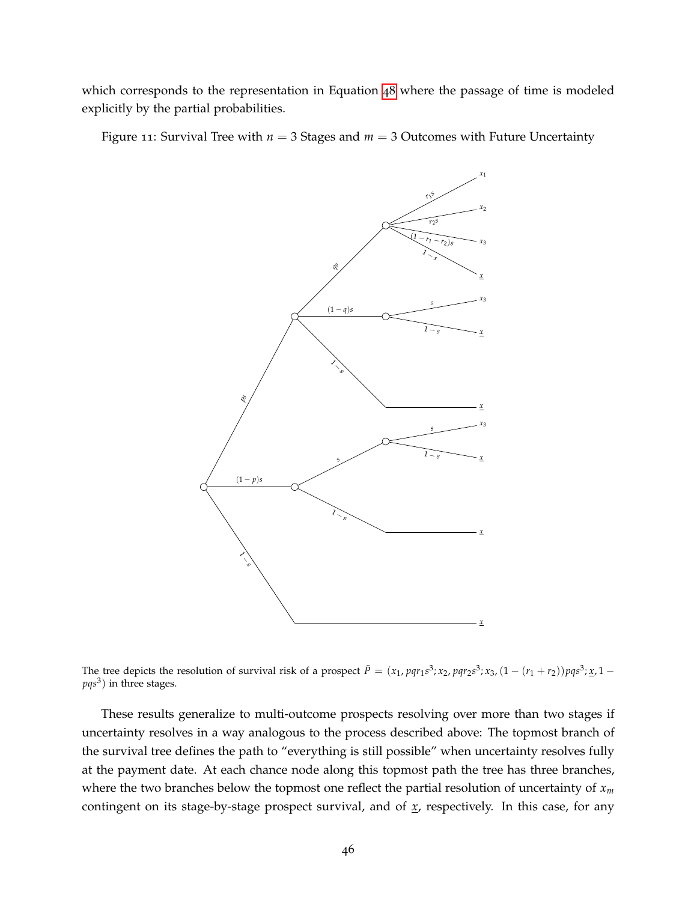which corresponds to the representation in Equation [48](#page-47-1) where the passage of time is modeled explicitly by the partial probabilities.

<span id="page-46-0"></span>Figure 11: Survival Tree with  $n = 3$  Stages and  $m = 3$  Outcomes with Future Uncertainty



The tree depicts the resolution of survival risk of a prospect  $\tilde{P} = (x_1, pqr_1s^3; x_2, pqr_2s^3; x_3, (1 - (r_1 + r_2))pqs^3; x_1 - q_2$ *pqs*<sup>3</sup> ) in three stages.

These results generalize to multi-outcome prospects resolving over more than two stages if uncertainty resolves in a way analogous to the process described above: The topmost branch of the survival tree defines the path to "everything is still possible" when uncertainty resolves fully at the payment date. At each chance node along this topmost path the tree has three branches, where the two branches below the topmost one reflect the partial resolution of uncertainty of *x<sup>m</sup>* contingent on its stage-by-stage prospect survival, and of *x*, respectively. In this case, for any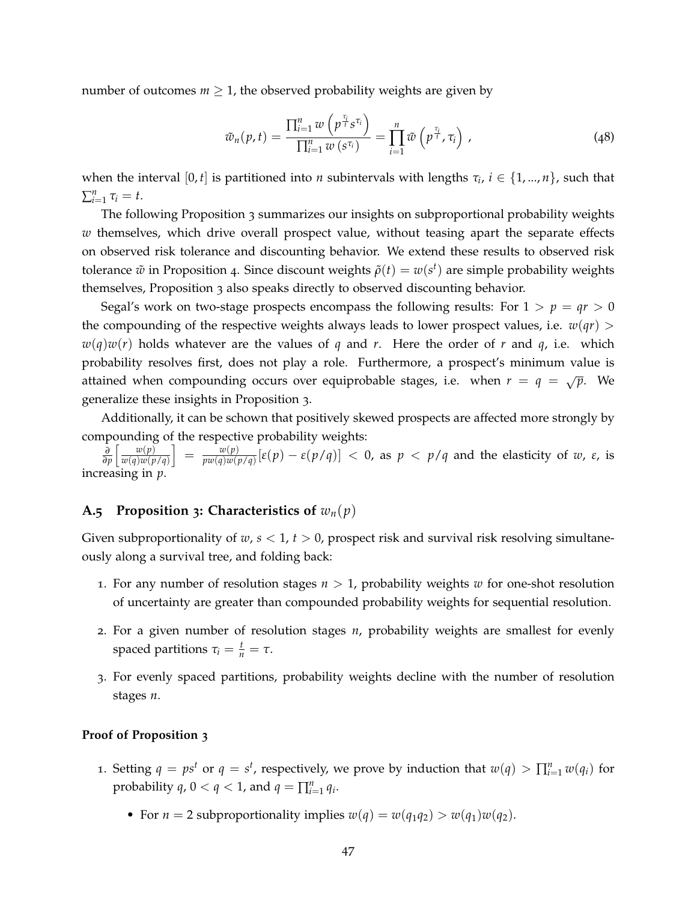number of outcomes  $m \geq 1$ , the observed probability weights are given by

<span id="page-47-1"></span>
$$
\tilde{w}_n(p,t) = \frac{\prod_{i=1}^n w\left(p^{\frac{\tau_i}{t}} s^{\tau_i}\right)}{\prod_{i=1}^n w\left(s^{\tau_i}\right)} = \prod_{i=1}^n \tilde{w}\left(p^{\frac{\tau_i}{t}}, \tau_i\right),\tag{48}
$$

when the interval  $[0, t]$  is partitioned into *n* subintervals with lengths  $\tau_i$ ,  $i \in \{1, ..., n\}$ , such that  $\sum_{i=1}^n \tau_i = t.$ 

The following Proposition 3 summarizes our insights on subproportional probability weights *w* themselves, which drive overall prospect value, without teasing apart the separate effects on observed risk tolerance and discounting behavior. We extend these results to observed risk tolerance  $\tilde{w}$  in Proposition 4. Since discount weights  $\tilde{\rho}(t) = w(s^t)$  are simple probability weights themselves, Proposition 3 also speaks directly to observed discounting behavior.

Segal's work on two-stage prospects encompass the following results: For  $1 > p = qr > 0$ the compounding of the respective weights always leads to lower prospect values, i.e.  $w(qr)$  $w(q)w(r)$  holds whatever are the values of *q* and *r*. Here the order of *r* and *q*, i.e. which probability resolves first, does not play a role. Furthermore, a prospect's minimum value is attained when compounding occurs over equiprobable stages, i.e. when  $r = q = \sqrt{p}$ . We generalize these insights in Proposition 3.

Additionally, it can be schown that positively skewed prospects are affected more strongly by compounding of the respective probability weights:

*∂ ∂p*  $\lceil \quad w(p) \rceil$ *w*(*q*)*w*(*p*/*q*)  $\Big] = \frac{w(p)}{w(p)}$ *pw*(*q*)*w*(*p*/*q*)</sub> [*ε*(*p*) – *ε*(*p*/*q*)] < 0, as *p* < *p*/*q* and the elasticity of *w*, *ε*, is increasing in *p*.

### <span id="page-47-0"></span>**A.5 Proposition 3: Characteristics of**  $w_n(p)$

Given subproportionality of *w*, *s* < 1, *t* > 0, prospect risk and survival risk resolving simultaneously along a survival tree, and folding back:

- 1. For any number of resolution stages  $n > 1$ , probability weights *w* for one-shot resolution of uncertainty are greater than compounded probability weights for sequential resolution.
- 2. For a given number of resolution stages *n*, probability weights are smallest for evenly spaced partitions  $\tau_i = \frac{t}{n} = \tau$ .
- 3. For evenly spaced partitions, probability weights decline with the number of resolution stages *n*.

# **Proof of Proposition 3**

- 1. Setting  $q = ps^t$  or  $q = s^t$ , respectively, we prove by induction that  $w(q) > \prod_{i=1}^n w(q_i)$  for probability  $q$ ,  $0 < q < 1$ , and  $q = \prod_{i=1}^{n} q_i$ .
	- For  $n = 2$  subproportionality implies  $w(q) = w(q_1q_2) > w(q_1)w(q_2)$ .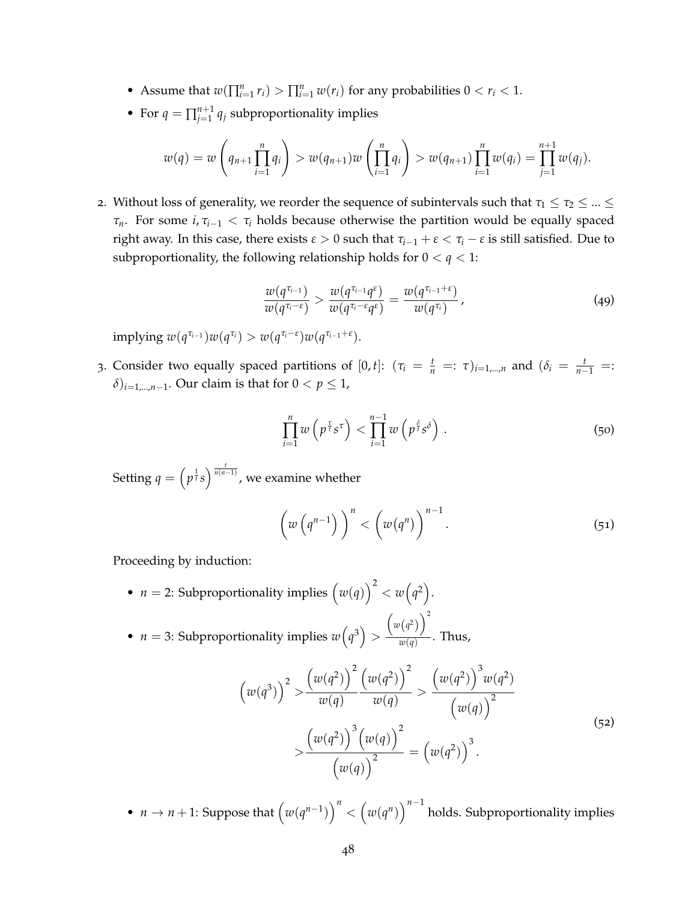- Assume that  $w(\prod_{i=1}^n r_i) > \prod_{i=1}^n w(r_i)$  for any probabilities  $0 < r_i < 1$ .
- For  $q = \prod_{i=1}^{n+1}$  $j=1 \atop j=1}^{n+1}$   $q_j$  subproportionality implies

$$
w(q) = w\left(q_{n+1} \prod_{i=1}^{n} q_i\right) > w(q_{n+1})w\left(\prod_{i=1}^{n} q_i\right) > w(q_{n+1}) \prod_{i=1}^{n} w(q_i) = \prod_{j=1}^{n+1} w(q_j).
$$

2. Without loss of generality, we reorder the sequence of subintervals such that  $\tau_1 \leq \tau_2 \leq ... \leq \tau_n$ *τn*. For some *i*, *τi*−<sup>1</sup> < *τ<sup>i</sup>* holds because otherwise the partition would be equally spaced right away. In this case, there exists  $\varepsilon > 0$  such that  $\tau_{i-1} + \varepsilon < \tau_i - \varepsilon$  is still satisfied. Due to subproportionality, the following relationship holds for  $0 < q < 1$ :

$$
\frac{w(q^{\tau_{i-1}})}{w(q^{\tau_i-\varepsilon})} > \frac{w(q^{\tau_{i-1}}q^{\varepsilon})}{w(q^{\tau_i-\varepsilon}q^{\varepsilon})} = \frac{w(q^{\tau_{i-1}+\varepsilon})}{w(q^{\tau_i})},
$$
\n(49)

 $\text{implying } w(q^{\tau_{i-1}})w(q^{\tau_i}) > w(q^{\tau_i-\epsilon})w(q^{\tau_{i-1}+\epsilon}).$ 

3. Consider two equally spaced partitions of  $[0, t]$ :  $(\tau_i = \frac{t}{n} =: \tau)_{i=1,\dots,n}$  and  $(\delta_i = \frac{t}{n-1} =:$  $(\delta)_{i=1,\dots,n-1}$ . Our claim is that for  $0 < p \leq 1$ ,

$$
\prod_{i=1}^{n} w\left(p^{\frac{\tau}{t}} s^{\tau}\right) < \prod_{i=1}^{n-1} w\left(p^{\frac{\delta}{t}} s^{\delta}\right) \,. \tag{50}
$$

Setting  $q = \left(p^{\frac{1}{t}}s\right)^{\frac{t}{n(n-1)}}$ , we examine whether

$$
\left(w\left(q^{n-1}\right)\right)^n < \left(w(q^n)\right)^{n-1}.\tag{51}
$$

Proceeding by induction:

• *n* = 2: Subproportionality implies  $(w(q))^2 < w(q^2)$ .

• 
$$
n = 3
$$
: Subproportionality implies  $w(q^3) > \frac{w(q^2)}{w(q)}$ . Thus,

$$
\left(w(q^3)\right)^2 > \frac{\left(w(q^2)\right)^2}{w(q)} \frac{\left(w(q^2)\right)^2}{w(q)} > \frac{\left(w(q^2)\right)^3 w(q^2)}{\left(w(q)\right)^2} \\
&> \frac{\left(w(q^2)\right)^3 \left(w(q)\right)^2}{\left(w(q)\right)^2} = \left(w(q^2)\right)^3.
$$
\n(52)

•  $n \to n+1$ : Suppose that  $(w(q^{n-1}))^n < (w(q^n))^{n-1}$  holds. Subproportionality implies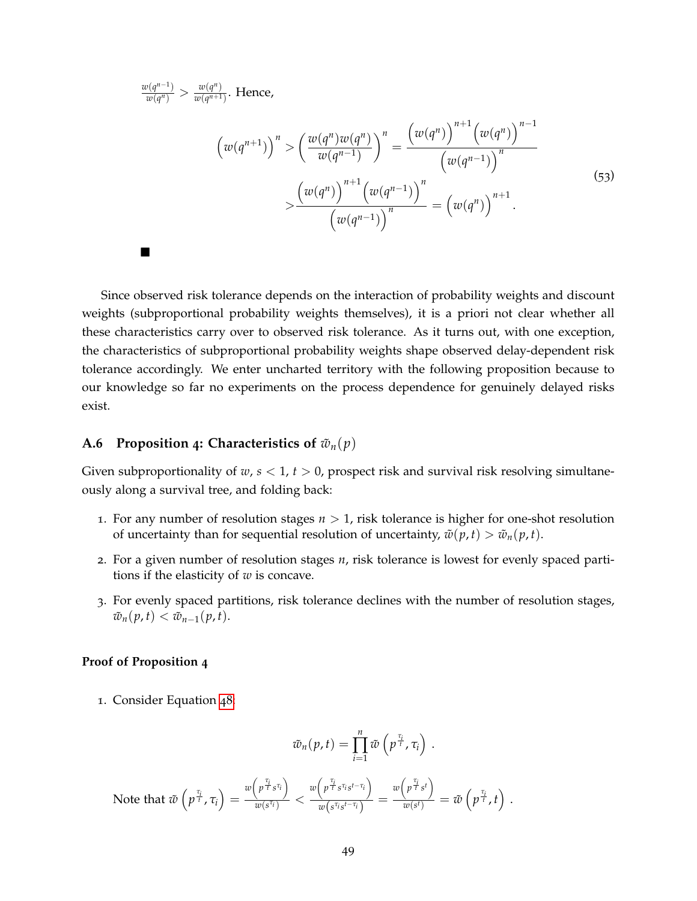$w(q^{n-1})$  $\frac{v(q^{n-1})}{w(q^n)} > \frac{w(q^n)}{w(q^{n+1})}$  $\frac{w(q)}{w(q^{n+1})}$ . Hence,

$$
\left(w(q^{n+1})\right)^n > \left(\frac{w(q^n)w(q^n)}{w(q^{n-1})}\right)^n = \frac{\left(w(q^n)\right)^{n+1}\left(w(q^n)\right)^{n-1}}{\left(w(q^{n-1})\right)^n} \times \frac{\left(w(q^n)\right)^{n+1}\left(w(q^{n-1})\right)^n}{\left(w(q^{n-1})\right)^n} = \left(w(q^n)\right)^{n+1}.
$$
\n(53)

Since observed risk tolerance depends on the interaction of probability weights and discount weights (subproportional probability weights themselves), it is a priori not clear whether all these characteristics carry over to observed risk tolerance. As it turns out, with one exception, the characteristics of subproportional probability weights shape observed delay-dependent risk tolerance accordingly. We enter uncharted territory with the following proposition because to our knowledge so far no experiments on the process dependence for genuinely delayed risks exist.

# <span id="page-49-0"></span>**A.6 Proposition 4: Characteristics of**  $\tilde{w}_n(p)$

Given subproportionality of *w*, *s* < 1, *t* > 0, prospect risk and survival risk resolving simultaneously along a survival tree, and folding back:

- 1. For any number of resolution stages  $n > 1$ , risk tolerance is higher for one-shot resolution of uncertainty than for sequential resolution of uncertainty,  $\tilde{w}(p, t) > \tilde{w}_n(p, t)$ .
- 2. For a given number of resolution stages *n*, risk tolerance is lowest for evenly spaced partitions if the elasticity of *w* is concave.
- 3. For evenly spaced partitions, risk tolerance declines with the number of resolution stages,  $\tilde{w}_n(p,t) < \tilde{w}_{n-1}(p,t).$

# **Proof of Proposition 4**

 $\blacksquare$ 

1. Consider Equation [48](#page-47-1):

$$
\tilde{w}_n(p,t)=\prod_{i=1}^n\tilde{w}\left(p^{\frac{\tau_i}{t}},\tau_i\right).
$$

Note that  $\tilde{w}$   $\left( p^{\frac{\tau_i}{t}} , \tau_i \right) =$  $w\left(p^{\frac{\tau_i}{t}} s^{\tau_i}\right)$  $\frac{1}{w(s^{\tau_i})}$  <  $w\left(p^{\frac{\tau_i}{t}} s^{\tau_i} s^{t-\tau_i}\right)$  $\frac{y}{w(s^{\tau_i}s^{t-\tau_i})}$  =  $w\left(p^{\frac{\tau_i}{t}}s^t\right)$  $\frac{p^{r+s}}{w(s^t)} = \tilde{w}\left(p^{\frac{\tau_i}{t}}, t\right)$  .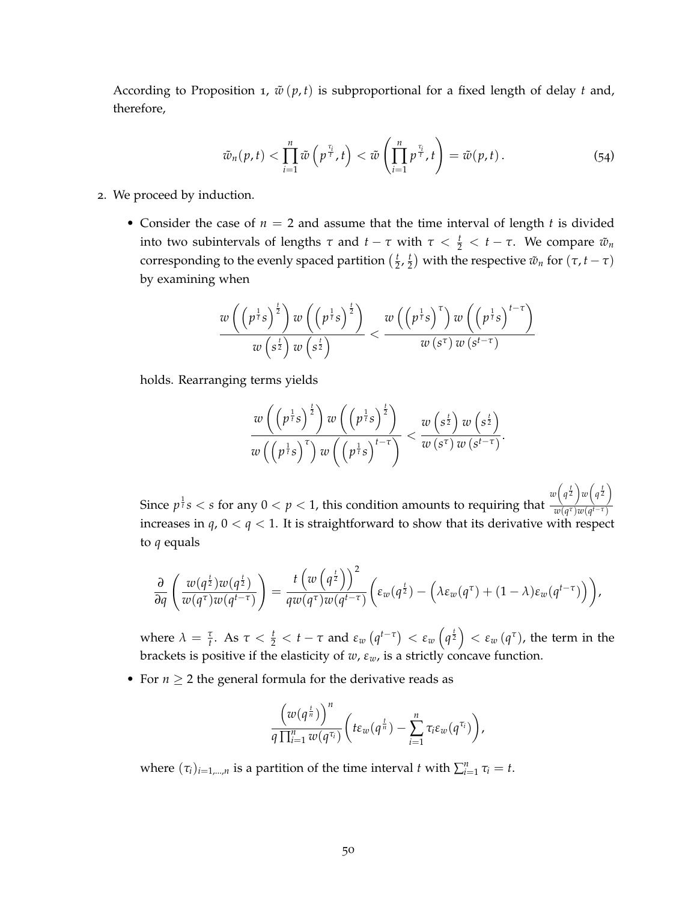According to Proposition 1,  $\tilde{w}(p, t)$  is subproportional for a fixed length of delay *t* and, therefore,

$$
\tilde{w}_n(p,t) < \prod_{i=1}^n \tilde{w}\left(p^{\frac{\tau_i}{t}},t\right) < \tilde{w}\left(\prod_{i=1}^n p^{\frac{\tau_i}{t}},t\right) = \tilde{w}(p,t)\,. \tag{54}
$$

- 2. We proceed by induction.
	- Consider the case of  $n = 2$  and assume that the time interval of length  $t$  is divided into two subintervals of lengths *τ* and *t* − *τ* with  $τ < \frac{t}{2} < t - τ$ . We compare  $\tilde{w}_n$ corresponding to the evenly spaced partition  $(\frac{t}{2}, \frac{t}{2})$  with the respective  $\tilde{w}_n$  for  $(\tau, t - \tau)$ by examining when

$$
\frac{w\left(\left(p^{\frac{1}{t}}s\right)^{\frac{t}{2}}\right)w\left(\left(p^{\frac{1}{t}}s\right)^{\frac{t}{2}}\right)}{w\left(s^{\frac{t}{2}}\right)w\left(s^{\frac{t}{2}}\right)} < \frac{w\left(\left(p^{\frac{1}{t}}s\right)^{\tau}\right)w\left(\left(p^{\frac{1}{t}}s\right)^{t-\tau}\right)}{w\left(s^{\tau}\right)w\left(s^{t-\tau}\right)}
$$

holds. Rearranging terms yields

$$
\frac{w\left(\left(p^{\frac{1}{t}}s\right)^{\frac{t}{2}}\right)w\left(\left(p^{\frac{1}{t}}s\right)^{\frac{t}{2}}\right)}{w\left(\left(p^{\frac{1}{t}}s\right)^{\tau}\right)w\left(\left(p^{\frac{1}{t}}s\right)^{t-\tau}\right)} < \frac{w\left(s^{\frac{t}{2}}\right)w\left(s^{\frac{t}{2}}\right)}{w\left(s^{\tau}\right)w\left(s^{t-\tau}\right)}.
$$

Since  $p^{\frac{1}{t}} s < s$  for any  $0 < p < 1$ , this condition amounts to requiring that  $w\left(q^{\frac{t}{2}}\right)w\left(q^{\frac{t}{2}}\right)$  $w(q^{\tau})w(q^{t-\tau})$ increases in  $q$ ,  $0 < q < 1$ . It is straightforward to show that its derivative with respect to *q* equals

$$
\frac{\partial}{\partial q}\left(\frac{w(q^{\frac{t}{2}})w(q^{\frac{t}{2}})}{w(q^{\tau})w(q^{t-\tau})}\right)=\frac{t\left(w\left(q^{\frac{t}{2}}\right)\right)^2}{q w(q^{\tau})w(q^{t-\tau})}\left(\epsilon_w(q^{\frac{t}{2}})-\left(\lambda\epsilon_w(q^{\tau})+(1-\lambda)\epsilon_w(q^{t-\tau})\right)\right),
$$

where  $\lambda = \frac{\tau}{t}$ . As  $\tau < \frac{t}{2} < t - \tau$  and  $\varepsilon_w(q^{t-\tau}) < \varepsilon_w(q^{\frac{t}{2}}) < \varepsilon_w(q^{\tau})$ , the term in the brackets is positive if the elasticity of *w*, *εw*, is a strictly concave function.

• For  $n \geq 2$  the general formula for the derivative reads as

$$
\frac{\left(w(q^{\frac{t}{n}})\right)^n}{q\prod_{i=1}^n w(q^{\tau_i})}\left(t\epsilon_w(q^{\frac{t}{n}})-\sum_{i=1}^n \tau_i \epsilon_w(q^{\tau_i})\right),\,
$$

where  $(\tau_i)_{i=1,\dots,n}$  is a partition of the time interval *t* with  $\sum_{i=1}^n \tau_i = t$ .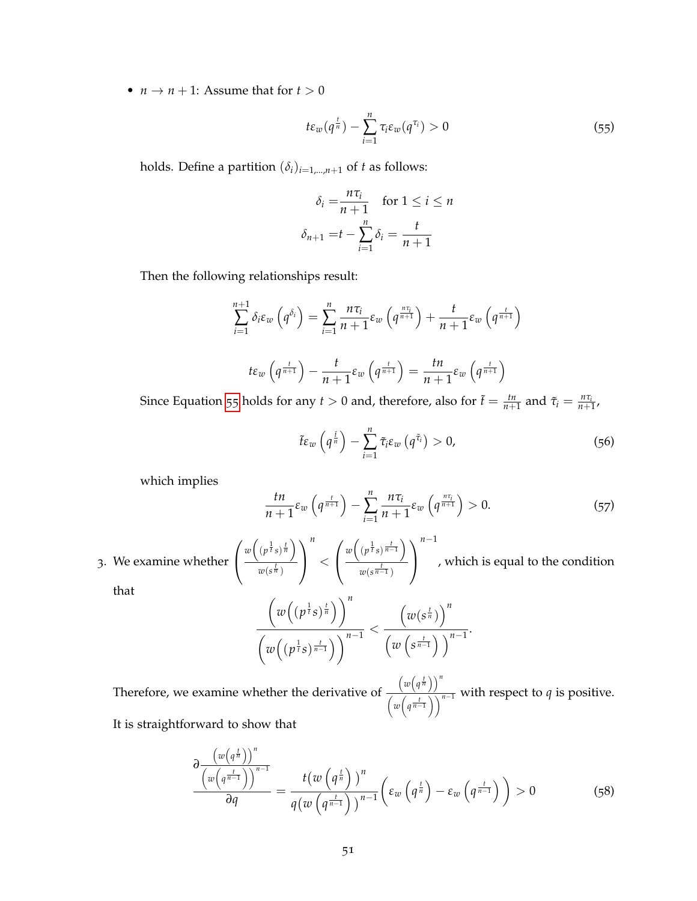•  $n \rightarrow n+1$ : Assume that for  $t > 0$ 

<span id="page-51-0"></span>
$$
t\varepsilon_w(q^{\frac{t}{n}})-\sum_{i=1}^n\tau_i\varepsilon_w(q^{\tau_i})>0
$$
\n(55)

holds. Define a partition  $(\delta_i)_{i=1,\dots,n+1}$  of *t* as follows:

$$
\delta_i = \frac{n\tau_i}{n+1} \quad \text{for } 1 \le i \le n
$$
\n
$$
\delta_{n+1} = t - \sum_{i=1}^n \delta_i = \frac{t}{n+1}
$$

Then the following relationships result:

$$
\sum_{i=1}^{n+1} \delta_i \varepsilon_w \left( q^{\delta_i} \right) = \sum_{i=1}^n \frac{n \tau_i}{n+1} \varepsilon_w \left( q^{\frac{n \tau_i}{n+1}} \right) + \frac{t}{n+1} \varepsilon_w \left( q^{\frac{t}{n+1}} \right)
$$

$$
t \varepsilon_w \left( q^{\frac{t}{n+1}} \right) - \frac{t}{n+1} \varepsilon_w \left( q^{\frac{t}{n+1}} \right) = \frac{tn}{n+1} \varepsilon_w \left( q^{\frac{t}{n+1}} \right)
$$

Since Equation [55](#page-51-0) holds for any  $t > 0$  and, therefore, also for  $\tilde{t} = \frac{tn}{n+1}$  and  $\tilde{\tau}_i = \frac{n\tau_i}{n+1}$ ,

$$
\tilde{t}\varepsilon_{w}\left(q^{\frac{\tilde{t}}{n}}\right)-\sum_{i=1}^{n}\tilde{\tau}_{i}\varepsilon_{w}\left(q^{\tilde{\tau}_{i}}\right)>0,\tag{56}
$$

which implies

$$
\frac{tn}{n+1}\varepsilon_w\left(q^{\frac{t}{n+1}}\right)-\sum_{i=1}^n\frac{n\tau_i}{n+1}\varepsilon_w\left(q^{\frac{n\tau_i}{n+1}}\right)>0.\tag{57}
$$

3. We examine whether  $\mathbf{I}$ 

 $\sqrt{ }$  $w\left((p^{\frac{1}{t}}s)^{\frac{t}{n}}\right)$  $w(s^{\frac{t}{n}})$  $\setminus$  $\mathbf{I}$ *n*  $\lt$  $\sqrt{ }$  $\mathbf{I}$  $w\left((p^{\frac{1}{t}}s)^{\frac{t}{n-1}}\right)$  $w(s^{\frac{t}{n-1}})$  $\setminus$  $\mathbf{I}$ *n*−1 , which is equal to the condition

that

$$
\frac{\left(w\left((p^{\frac{1}{t}}s)^{\frac{t}{n}}\right)\right)^n}{\left(w\left((p^{\frac{1}{t}}s)^{\frac{t}{n-1}}\right)\right)^{n-1}} < \frac{\left(w(s^{\frac{t}{n}})\right)^n}{\left(w\left(s^{\frac{t}{n-1}}\right)\right)^{n-1}}.
$$

Therefore, we examine whether the derivative of  $(w(q^{\frac{t}{n}}))^{n}$  $\frac{m(n+1)}{(w(q^{\frac{t}{n-1}}))^{n-1}}$  with respect to *q* is positive. It is straightforward to show that

$$
\frac{\partial \frac{\left(w\left(q^{\frac{t}{n}}\right)\right)^n}{\left(w\left(q^{\frac{t}{n-1}}\right)\right)^{n-1}}}{\partial q} = \frac{t\left(w\left(q^{\frac{t}{n}}\right)\right)^n}{q\left(w\left(q^{\frac{t}{n-1}}\right)\right)^{n-1}}\left(\varepsilon_w\left(q^{\frac{t}{n}}\right) - \varepsilon_w\left(q^{\frac{t}{n-1}}\right)\right) > 0\tag{58}
$$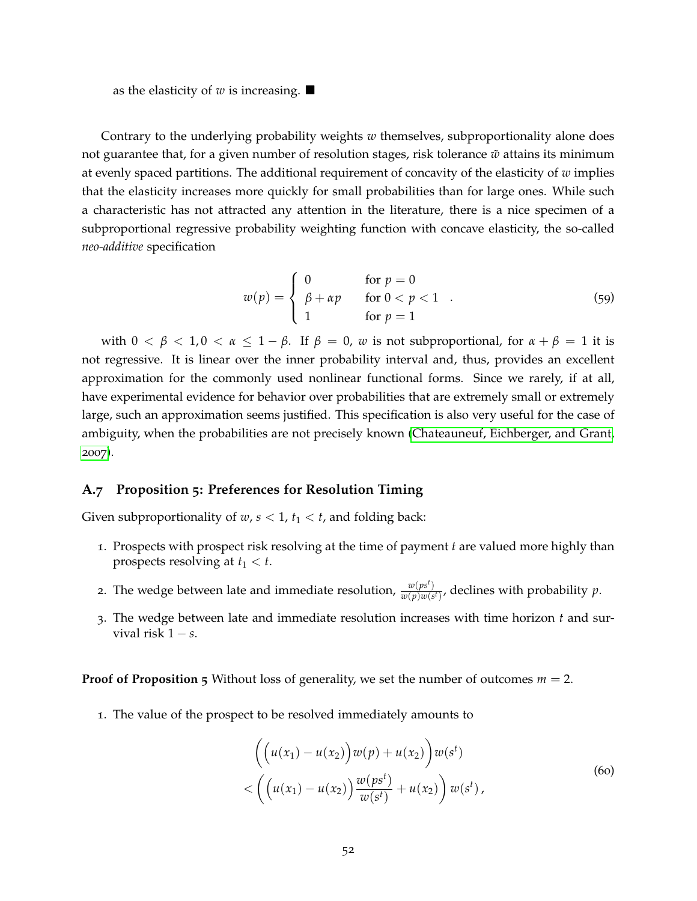as the elasticity of *w* is increasing.  $\blacksquare$ 

Contrary to the underlying probability weights *w* themselves, subproportionality alone does not guarantee that, for a given number of resolution stages, risk tolerance  $\tilde{w}$  attains its minimum at evenly spaced partitions. The additional requirement of concavity of the elasticity of *w* implies that the elasticity increases more quickly for small probabilities than for large ones. While such a characteristic has not attracted any attention in the literature, there is a nice specimen of a subproportional regressive probability weighting function with concave elasticity, the so-called *neo-additive* specification

$$
w(p) = \begin{cases} 0 & \text{for } p = 0\\ \beta + \alpha p & \text{for } 0 < p < 1\\ 1 & \text{for } p = 1 \end{cases} \tag{59}
$$

with  $0 < \beta < 1, 0 < \alpha \leq 1 - \beta$ . If  $\beta = 0$ , *w* is not subproportional, for  $\alpha + \beta = 1$  it is not regressive. It is linear over the inner probability interval and, thus, provides an excellent approximation for the commonly used nonlinear functional forms. Since we rarely, if at all, have experimental evidence for behavior over probabilities that are extremely small or extremely large, such an approximation seems justified. This specification is also very useful for the case of ambiguity, when the probabilities are not precisely known [\(Chateauneuf, Eichberger, and Grant,](#page-61-14) [2007](#page-61-14)).

#### <span id="page-52-0"></span>**A.7 Proposition 5: Preferences for Resolution Timing**

Given subproportionality of  $w, s < 1, t_1 < t$ , and folding back:

- 1. Prospects with prospect risk resolving at the time of payment *t* are valued more highly than prospects resolving at  $t_1 < t$ .
- 2. The wedge between late and immediate resolution,  $\frac{w(p s^t)}{w(p) w(s^t)}$  $\frac{w(p|s|)}{w(p)w(s)}$ , declines with probability *p*.
- 3. The wedge between late and immediate resolution increases with time horizon *t* and survival risk 1 − *s*.

**Proof of Proposition 5** Without loss of generality, we set the number of outcomes  $m = 2$ .

1. The value of the prospect to be resolved immediately amounts to

$$
\left( \left( u(x_1) - u(x_2) \right) w(p) + u(x_2) \right) w(s^t) < \left( \left( u(x_1) - u(x_2) \right) \frac{w(ps^t)}{w(s^t)} + u(x_2) \right) w(s^t),
$$
\n(60)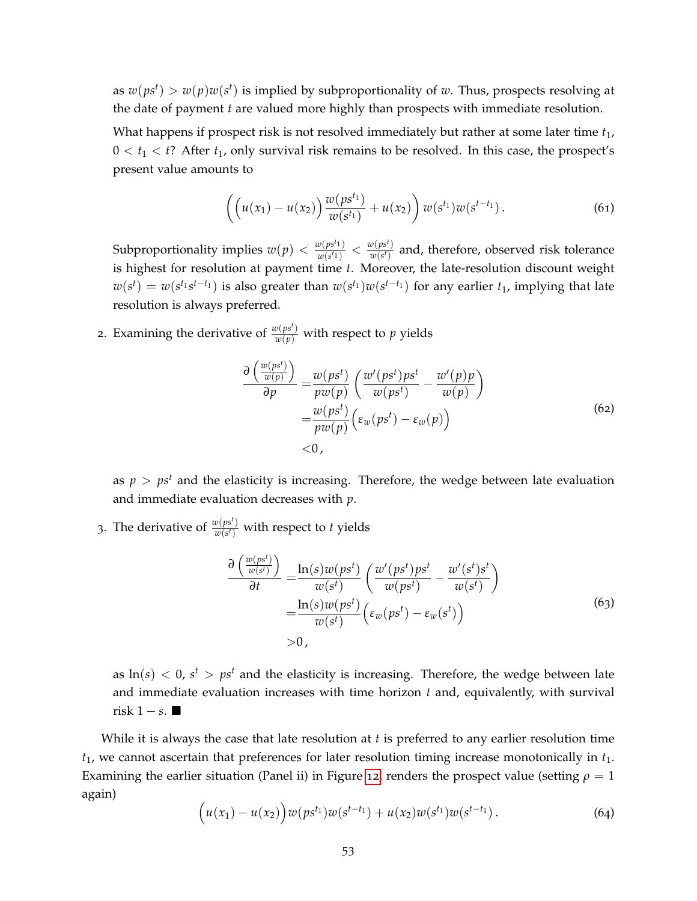as  $w(ps^t) > w(p)w(s^t)$  is implied by subproportionality of *w*. Thus, prospects resolving at the date of payment *t* are valued more highly than prospects with immediate resolution.

What happens if prospect risk is not resolved immediately but rather at some later time  $t_1$ ,  $0 < t_1 < t$ ? After  $t_1$ , only survival risk remains to be resolved. In this case, the prospect's present value amounts to

$$
\left( \left( u(x_1) - u(x_2) \right) \frac{w(ps^{t_1})}{w(s^{t_1})} + u(x_2) \right) w(s^{t_1}) w(s^{t-t_1}). \tag{61}
$$

Subproportionality implies  $w(p) < \frac{w(ps^t1)}{w(c^t1)}$  $\frac{w(ps^t1)}{w(s^t1)} < \frac{w(ps^t)}{w(s^t)}$  $\frac{w(\mathbf{p}s)}{w(\mathbf{s}t)}$  and, therefore, observed risk tolerance is highest for resolution at payment time *t*. Moreover, the late-resolution discount weight  $w(s^t) = w(s^{t_1} s^{t-t_1})$  is also greater than  $w(s^{t_1}) w(s^{t-t_1})$  for any earlier  $t_1$ , implying that late resolution is always preferred.

2. Examining the derivative of  $\frac{w(ps^t)}{w(p)}$  with respect to  $p$  yields

$$
\frac{\partial \left(\frac{w(ps^t)}{w(p)}\right)}{\partial p} = \frac{w(ps^t)}{pw(p)} \left(\frac{w'(ps^t)ps^t}{w(ps^t)} - \frac{w'(p)p}{w(p)}\right)
$$

$$
= \frac{w(ps^t)}{pw(p)} \left(\varepsilon_w(ps^t) - \varepsilon_w(p)\right)
$$

$$
< 0,
$$
\n(62)

as  $p > ps<sup>t</sup>$  and the elasticity is increasing. Therefore, the wedge between late evaluation and immediate evaluation decreases with *p*.

3. The derivative of  $\frac{w(ps^t)}{w(s^t)}$  $\frac{w(ps)}{w(s^t)}$  with respect to *t* yields

$$
\frac{\partial \left(\frac{w(ps^t)}{w(s^t)}\right)}{\partial t} = \frac{\ln(s)w(ps^t)}{w(s^t)} \left(\frac{w'(ps^t)ps^t}{w(ps^t)} - \frac{w'(s^t)s^t}{w(s^t)}\right)
$$
\n
$$
= \frac{\ln(s)w(ps^t)}{w(s^t)} \left(\varepsilon_w(ps^t) - \varepsilon_w(s^t)\right)
$$
\n
$$
> 0,
$$
\n(63)

as  $\ln(s) < 0$ ,  $s^t > ps^t$  and the elasticity is increasing. Therefore, the wedge between late and immediate evaluation increases with time horizon *t* and, equivalently, with survival risk  $1 - s$ . ■

While it is always the case that late resolution at *t* is preferred to any earlier resolution time *t*1, we cannot ascertain that preferences for later resolution timing increase monotonically in *t*1. Examining the earlier situation (Panel ii) in Figure [12](#page-54-1), renders the prospect value (setting  $\rho = 1$ again)

$$
(u(x_1) - u(x_2))w(ps^{t_1})w(s^{t-t_1}) + u(x_2)w(s^{t_1})w(s^{t-t_1}).
$$
\n(64)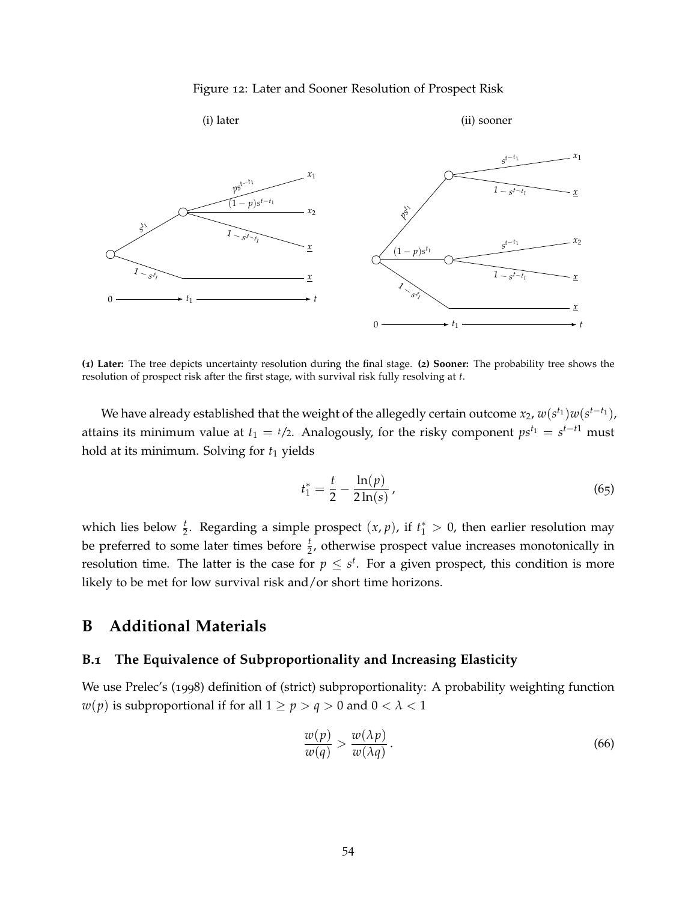#### Figure 12: Later and Sooner Resolution of Prospect Risk

<span id="page-54-1"></span>

**(1) Later:** The tree depicts uncertainty resolution during the final stage. **(2) Sooner:** The probability tree shows the resolution of prospect risk after the first stage, with survival risk fully resolving at *t*.

We have already established that the weight of the allegedly certain outcome  $x_2$ ,  $w(s^{t_1})w(s^{t-t_1})$ , attains its minimum value at  $t_1 = \frac{t}{2}$ . Analogously, for the risky component  $ps^{t_1} = s^{t-t1}$  must hold at its minimum. Solving for  $t_1$  yields

$$
t_1^* = \frac{t}{2} - \frac{\ln(p)}{2\ln(s)},
$$
\n(65)

which lies below  $\frac{t}{2}$ . Regarding a simple prospect  $(x, p)$ , if  $t_1^* > 0$ , then earlier resolution may be preferred to some later times before  $\frac{t}{2}$ , otherwise prospect value increases monotonically in resolution time. The latter is the case for  $p \leq s^t$ . For a given prospect, this condition is more likely to be met for low survival risk and/or short time horizons.

# **B Additional Materials**

# <span id="page-54-0"></span>**B.1 The Equivalence of Subproportionality and Increasing Elasticity**

We use Prelec's (1998) definition of (strict) subproportionality: A probability weighting function *w*(*p*) is subproportional if for all  $1 \ge p > q > 0$  and  $0 < \lambda < 1$ 

<span id="page-54-2"></span>
$$
\frac{w(p)}{w(q)} > \frac{w(\lambda p)}{w(\lambda q)}\tag{66}
$$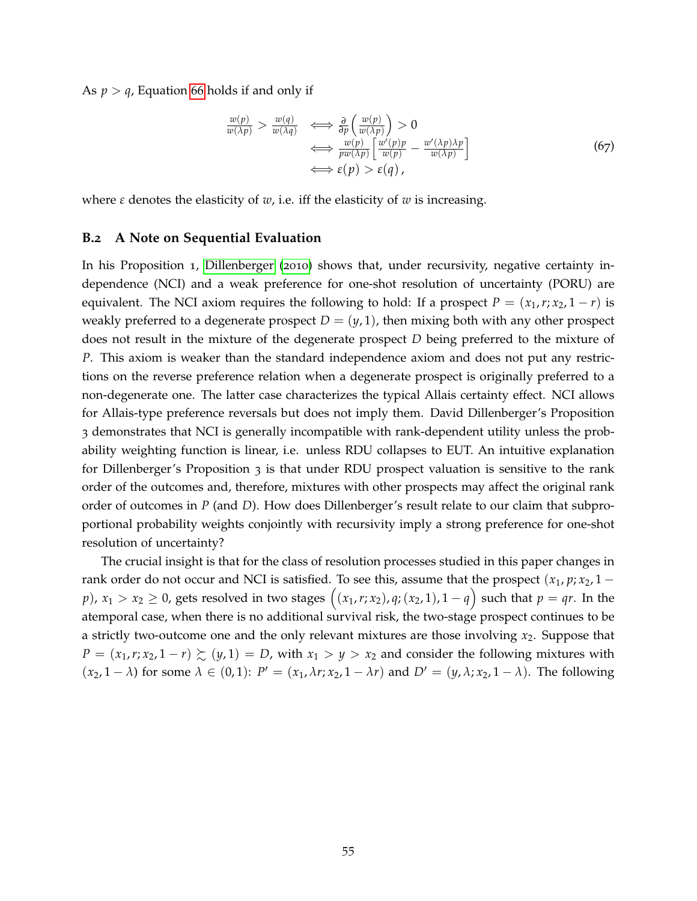As  $p > q$ , Equation [66](#page-54-2) holds if and only if

$$
\frac{w(p)}{w(\lambda p)} > \frac{w(q)}{w(\lambda q)} \iff \frac{\partial}{\partial p} \left( \frac{w(p)}{w(\lambda p)} \right) > 0
$$
\n
$$
\iff \frac{w(p)}{pw(\lambda p)} \left[ \frac{w'(p)p}{w(p)} - \frac{w'(\lambda p)\lambda p}{w(\lambda p)} \right]
$$
\n
$$
\iff \varepsilon(p) > \varepsilon(q),
$$
\n(67)

where  $\varepsilon$  denotes the elasticity of  $w$ , i.e. iff the elasticity of  $w$  is increasing.

# <span id="page-55-0"></span>**B.2 A Note on Sequential Evaluation**

In his Proposition 1, [Dillenberger](#page-62-7) ([2010](#page-62-7)) shows that, under recursivity, negative certainty independence (NCI) and a weak preference for one-shot resolution of uncertainty (PORU) are equivalent. The NCI axiom requires the following to hold: If a prospect  $P = (x_1, r; x_2, 1 - r)$  is weakly preferred to a degenerate prospect  $D = (y, 1)$ , then mixing both with any other prospect does not result in the mixture of the degenerate prospect *D* being preferred to the mixture of *P*. This axiom is weaker than the standard independence axiom and does not put any restrictions on the reverse preference relation when a degenerate prospect is originally preferred to a non-degenerate one. The latter case characterizes the typical Allais certainty effect. NCI allows for Allais-type preference reversals but does not imply them. David Dillenberger's Proposition 3 demonstrates that NCI is generally incompatible with rank-dependent utility unless the probability weighting function is linear, i.e. unless RDU collapses to EUT. An intuitive explanation for Dillenberger's Proposition 3 is that under RDU prospect valuation is sensitive to the rank order of the outcomes and, therefore, mixtures with other prospects may affect the original rank order of outcomes in *P* (and *D*). How does Dillenberger's result relate to our claim that subproportional probability weights conjointly with recursivity imply a strong preference for one-shot resolution of uncertainty?

The crucial insight is that for the class of resolution processes studied in this paper changes in rank order do not occur and NCI is satisfied. To see this, assume that the prospect  $(x_1, p; x_2, 1$ *p*),  $x_1 > x_2 \ge 0$ , gets resolved in two stages  $((x_1, r; x_2), q; (x_2, 1), 1 - q)$  such that  $p = qr$ . In the atemporal case, when there is no additional survival risk, the two-stage prospect continues to be a strictly two-outcome one and the only relevant mixtures are those involving *x*2. Suppose that *P* =  $(x_1, r; x_2, 1 - r)$   $\succsim$   $(y, 1)$  = *D*, with  $x_1 > y > x_2$  and consider the following mixtures with  $(x_2, 1 - \lambda)$  for some  $\lambda \in (0, 1)$ :  $P' = (x_1, \lambda r; x_2, 1 - \lambda r)$  and  $D' = (y, \lambda; x_2, 1 - \lambda)$ . The following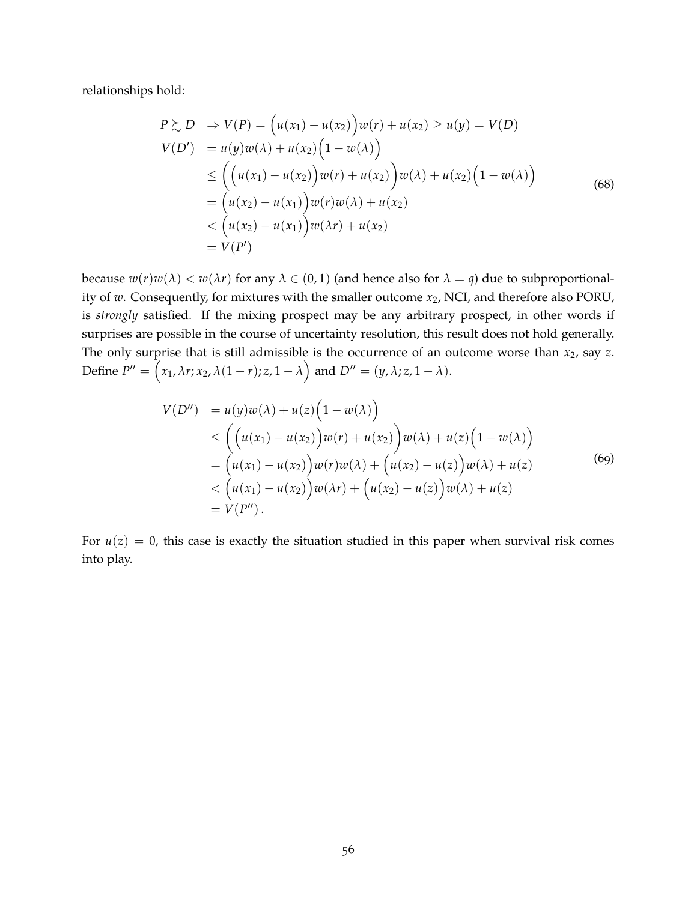relationships hold:

$$
P \ge D \Rightarrow V(P) = (u(x_1) - u(x_2))w(r) + u(x_2) \ge u(y) = V(D)
$$
  
\n
$$
V(D') = u(y)w(\lambda) + u(x_2)(1 - w(\lambda))
$$
  
\n
$$
\le ((u(x_1) - u(x_2))w(r) + u(x_2))w(\lambda) + u(x_2)(1 - w(\lambda))
$$
  
\n
$$
= (u(x_2) - u(x_1))w(r)w(\lambda) + u(x_2)
$$
  
\n
$$
< (u(x_2) - u(x_1))w(\lambda r) + u(x_2)
$$
  
\n
$$
= V(P')
$$
 (8)

because  $w(r)w(\lambda) < w(\lambda r)$  for any  $\lambda \in (0,1)$  (and hence also for  $\lambda = q$ ) due to subproportionality of *w*. Consequently, for mixtures with the smaller outcome *x*2, NCI, and therefore also PORU, is *strongly* satisfied. If the mixing prospect may be any arbitrary prospect, in other words if surprises are possible in the course of uncertainty resolution, this result does not hold generally. The only surprise that is still admissible is the occurrence of an outcome worse than *x*2, say *z*. Define  $P'' = (x_1, \lambda r; x_2, \lambda (1 - r); z, 1 - \lambda)$  and  $D'' = (y, \lambda; z, 1 - \lambda)$ .

*V*(*D*00) = *u*(*y*)*w*(*λ*) + *u*(*z*) 1 − *w*(*λ*) ≤ *u*(*x*1) − *u*(*x*2) *w*(*r*) + *u*(*x*2) *w*(*λ*) + *u*(*z*) 1 − *w*(*λ*) = *u*(*x*1) − *u*(*x*2) *<sup>w</sup>*(*r*)*w*(*λ*) + *u*(*x*2) − *u*(*z*) *w*(*λ*) + *u*(*z*) < *u*(*x*1) − *u*(*x*2) *<sup>w</sup>*(*λr*) + *u*(*x*2) − *u*(*z*) *w*(*λ*) + *u*(*z*) = *V*(*P* 00). (69)

For  $u(z) = 0$ , this case is exactly the situation studied in this paper when survival risk comes into play.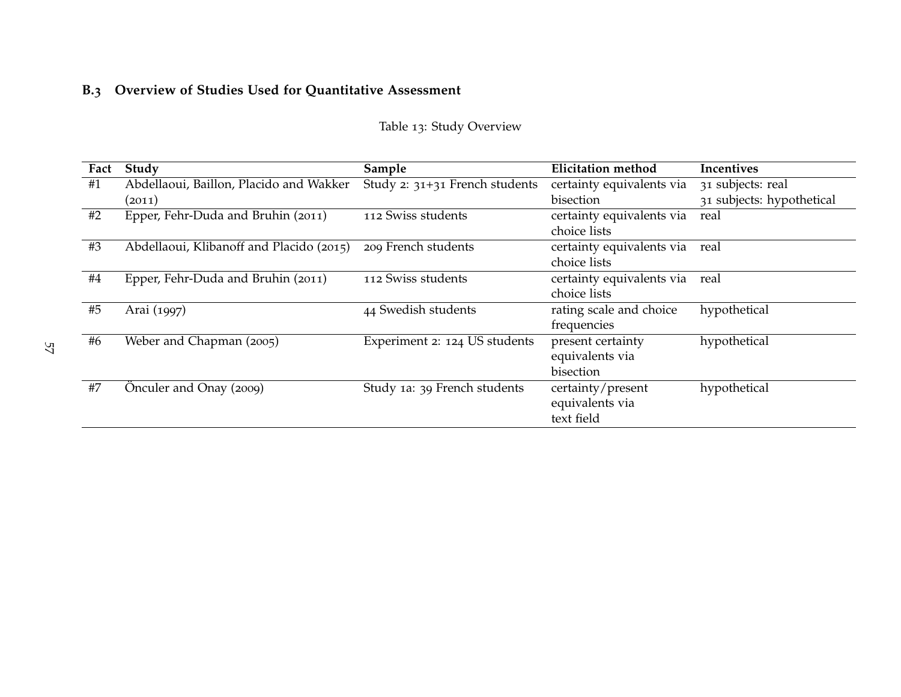# <span id="page-57-0"></span>**B.3 Overview of Studies Used for Quantitative Assessment**

| Fact | Study                                    | Sample                         | <b>Elicitation method</b> | Incentives                |
|------|------------------------------------------|--------------------------------|---------------------------|---------------------------|
| #1   | Abdellaoui, Baillon, Placido and Wakker  | Study 2: 31+31 French students | certainty equivalents via | 31 subjects: real         |
|      | (2011)                                   |                                | bisection                 | 31 subjects: hypothetical |
| #2   | Epper, Fehr-Duda and Bruhin (2011)       | 112 Swiss students             | certainty equivalents via | real                      |
|      |                                          |                                | choice lists              |                           |
| #3   | Abdellaoui, Klibanoff and Placido (2015) | 209 French students            | certainty equivalents via | real                      |
|      |                                          |                                | choice lists              |                           |
| #4   | Epper, Fehr-Duda and Bruhin (2011)       | 112 Swiss students             | certainty equivalents via | real                      |
|      |                                          |                                | choice lists              |                           |
| #5   | Arai (1997)                              | 44 Swedish students            | rating scale and choice   | hypothetical              |
|      |                                          |                                | frequencies               |                           |
| #6   | Weber and Chapman (2005)                 | Experiment 2: 124 US students  | present certainty         | hypothetical              |
|      |                                          |                                | equivalents via           |                           |
|      |                                          |                                | bisection                 |                           |
| #7   | Önculer and Onay (2009)                  | Study 1a: 39 French students   | certainty/present         | hypothetical              |
|      |                                          |                                | equivalents via           |                           |
|      |                                          |                                | text field                |                           |

Table <sup>13</sup>: Study Overview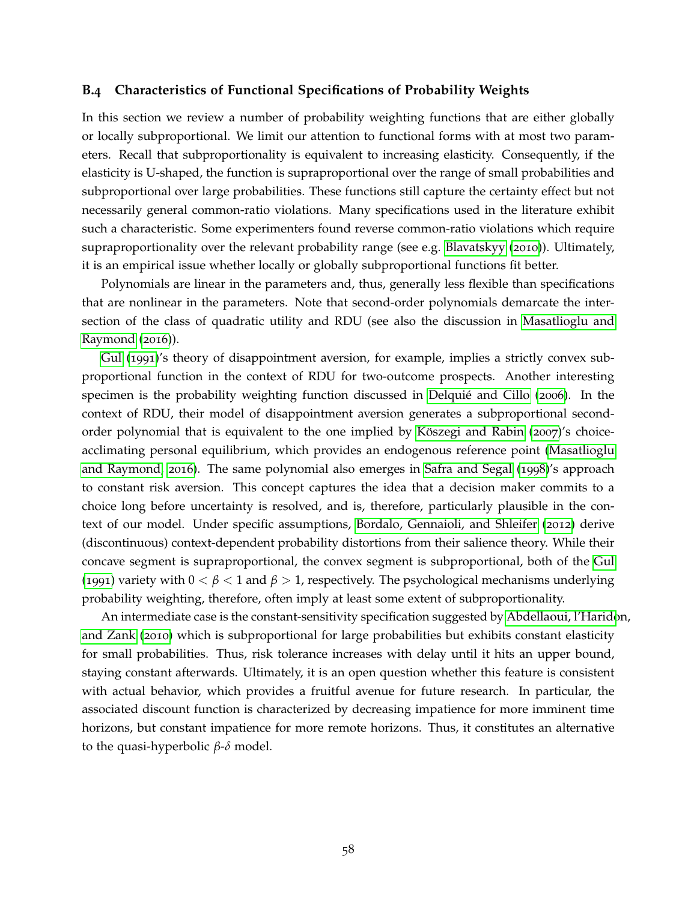### <span id="page-58-0"></span>**B.4 Characteristics of Functional Specifications of Probability Weights**

In this section we review a number of probability weighting functions that are either globally or locally subproportional. We limit our attention to functional forms with at most two parameters. Recall that subproportionality is equivalent to increasing elasticity. Consequently, if the elasticity is U-shaped, the function is supraproportional over the range of small probabilities and subproportional over large probabilities. These functions still capture the certainty effect but not necessarily general common-ratio violations. Many specifications used in the literature exhibit such a characteristic. Some experimenters found reverse common-ratio violations which require supraproportionality over the relevant probability range (see e.g. [Blavatskyy](#page-61-15) ([2010](#page-61-15))). Ultimately, it is an empirical issue whether locally or globally subproportional functions fit better.

Polynomials are linear in the parameters and, thus, generally less flexible than specifications that are nonlinear in the parameters. Note that second-order polynomials demarcate the intersection of the class of quadratic utility and RDU (see also the discussion in [Masatlioglu and](#page-66-15) [Raymond](#page-66-15) ([2016](#page-66-15))).

[Gul](#page-64-5) ([1991](#page-64-5))'s theory of disappointment aversion, for example, implies a strictly convex subproportional function in the context of RDU for two-outcome prospects. Another interesting specimen is the probability weighting function discussed in Delquié and Cillo ([2006](#page-62-14)). In the context of RDU, their model of disappointment aversion generates a subproportional secondorder polynomial that is equivalent to the one implied by Köszegi and Rabin  $(2007)'s$  $(2007)'s$  $(2007)'s$  choiceacclimating personal equilibrium, which provides an endogenous reference point [\(Masatlioglu](#page-66-15) [and Raymond,](#page-66-15) [2016](#page-66-15)). The same polynomial also emerges in [Safra and Segal](#page-67-14) ([1998](#page-67-14))'s approach to constant risk aversion. This concept captures the idea that a decision maker commits to a choice long before uncertainty is resolved, and is, therefore, particularly plausible in the context of our model. Under specific assumptions, [Bordalo, Gennaioli, and Shleifer](#page-61-3) ([2012](#page-61-3)) derive (discontinuous) context-dependent probability distortions from their salience theory. While their concave segment is supraproportional, the convex segment is subproportional, both of the [Gul](#page-64-5) ([1991](#page-64-5)) variety with  $0 < \beta < 1$  and  $\beta > 1$ , respectively. The psychological mechanisms underlying probability weighting, therefore, often imply at least some extent of subproportionality.

An intermediate case is the constant-sensitivity specification suggested by [Abdellaoui, l'Harido](#page-60-14)n, [and Zank](#page-60-14) ([2010](#page-60-14)) which is subproportional for large probabilities but exhibits constant elasticity for small probabilities. Thus, risk tolerance increases with delay until it hits an upper bound, staying constant afterwards. Ultimately, it is an open question whether this feature is consistent with actual behavior, which provides a fruitful avenue for future research. In particular, the associated discount function is characterized by decreasing impatience for more imminent time horizons, but constant impatience for more remote horizons. Thus, it constitutes an alternative to the quasi-hyperbolic *β*-*δ* model.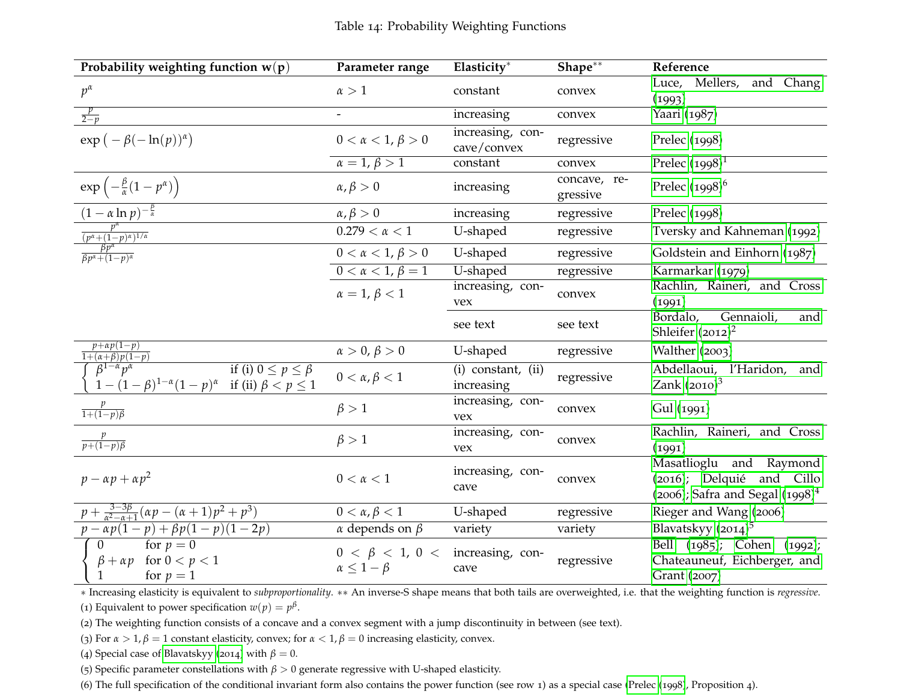| Probability weighting function $w(p)$                                                                                                                                                                             | Parameter range                                                   | Elasticity*                      | $Shape^{**}$             | Reference                                                                                     |  |  |
|-------------------------------------------------------------------------------------------------------------------------------------------------------------------------------------------------------------------|-------------------------------------------------------------------|----------------------------------|--------------------------|-----------------------------------------------------------------------------------------------|--|--|
| $p^{\alpha}$                                                                                                                                                                                                      | $\alpha > 1$                                                      | constant                         | convex                   | Mellers, and Chang<br>Luce,<br>(1993)                                                         |  |  |
| $\frac{p}{2-p}$                                                                                                                                                                                                   |                                                                   | increasing                       | convex                   | Yaari (1987)                                                                                  |  |  |
| $\exp(-\beta(-\ln(p))^{\alpha})$                                                                                                                                                                                  | $0 < \alpha < 1, \beta > 0$                                       | increasing, con-<br>cave/convex  | regressive               | Prelec (1998)                                                                                 |  |  |
|                                                                                                                                                                                                                   | $\alpha = 1, \beta > 1$                                           | constant                         | convex                   | Prelec $(1998)^1$                                                                             |  |  |
| $\exp\left(-\frac{\beta}{\alpha}(1-p^{\alpha})\right)$                                                                                                                                                            | $\alpha, \beta > 0$                                               | increasing                       | concave, re-<br>gressive | Prelec $(1998)^6$                                                                             |  |  |
| $\frac{(1-\alpha \ln p)^{-\frac{\beta}{\alpha}}}{\beta}$                                                                                                                                                          | $\alpha, \beta > 0$                                               | increasing                       | regressive               | Prelec (1998)                                                                                 |  |  |
|                                                                                                                                                                                                                   | $0.279 < \alpha < 1$                                              | U-shaped                         | regressive               | Tversky and Kahneman (1992)                                                                   |  |  |
| $\frac{p^{\alpha}}{(p^{\alpha}+(1-p)^{\alpha})^{1/\alpha}}$<br>$\frac{\beta p^{\alpha}}{\beta p^{\alpha}+(1-p)^{\alpha}}$                                                                                         | $0 < \alpha < 1, \beta > 0$                                       | U-shaped                         | regressive               | Goldstein and Einhorn (1987)                                                                  |  |  |
|                                                                                                                                                                                                                   | $0 < \alpha < 1, \beta = 1$                                       | U-shaped                         | regressive               | Karmarkar (1979)                                                                              |  |  |
|                                                                                                                                                                                                                   | $\alpha = 1, \beta < 1$                                           | increasing, con-<br>vex          | convex                   | Rachlin, Raineri, and Cross<br>(1991)                                                         |  |  |
|                                                                                                                                                                                                                   |                                                                   | see text                         | see text                 | Gennaioli,<br>Bordalo,<br>and<br>Shleifer $(2012)^2$                                          |  |  |
| $p+ap(1-p)$                                                                                                                                                                                                       | $\alpha > 0, \beta > 0$                                           | U-shaped                         | regressive               | Walther (2003)                                                                                |  |  |
| $\begin{cases}\n\frac{p^{(1)} + (x + \beta)p(1-p)}{1 + (\alpha + \beta)p(1-p)} \\ \int \beta^{1-\alpha} p^{\alpha} \\ 1 - (1-\beta)^{1-\alpha}(1-p)^{\alpha} \quad \text{if (ii) } \beta < p \leq 1\n\end{cases}$ | $0 < \alpha, \beta < 1$                                           | (i) constant, (ii)<br>increasing | regressive               | Abdellaoui, l'Haridon, and<br>Zank $(2010)^3$                                                 |  |  |
| $\frac{p}{1+(1-p)\beta}$                                                                                                                                                                                          | $\beta > 1$                                                       | increasing, con-<br>vex          | convex                   | Gul (1991)                                                                                    |  |  |
| $\frac{p}{p+(1-p)\beta}$                                                                                                                                                                                          | $\beta > 1$                                                       | increasing, con-<br>vex          | convex                   | Rachlin, Raineri, and Cross<br>(1991)                                                         |  |  |
| $p - \alpha p + \alpha p^2$                                                                                                                                                                                       | $0 < \alpha < 1$                                                  | increasing, con-<br>cave         | convex                   | Masatlioglu and Raymond<br>(2016); Delquié and Cillo<br>$(2006)$ ; Safra and Segal $(1998)^4$ |  |  |
| $p + \frac{3-3\beta}{\alpha^2 - \alpha + 1}(\alpha p - (\alpha + 1)p^2 + p^3)$                                                                                                                                    | $0 < \alpha, \beta < 1$                                           | U-shaped                         | regressive               | Rieger and Wang (2006)                                                                        |  |  |
| $p - \alpha p(1-p) + \beta p(1-p)(1-2p)$                                                                                                                                                                          | $\alpha$ depends on $\beta$                                       | variety                          | variety                  | Blavatskyy $(2014)^5$                                                                         |  |  |
| for $p = 0$<br>$\overline{0}$<br>$\beta + \alpha p$ for $0 < p < 1$<br>for $p = 1$                                                                                                                                | $0 < \beta < 1$ , $0 <$ increasing, con-<br>$\alpha \leq 1-\beta$ | cave                             | regressive               | Bell (1985); Cohen (1992);<br>Chateauneuf, Eichberger, and<br>Grant (2007)                    |  |  |
| * Increasing elasticity is equivalent to subproportionality. ** An inverse-S shape means that both tails are overweighted, i.e. that the weighting function is regressive.                                        |                                                                   |                                  |                          |                                                                                               |  |  |

(1) Equivalent to power specification  $w(p) = p^{\beta}$ .

(2) The weighting function consists of <sup>a</sup> concave and <sup>a</sup> convex segmen<sup>t</sup> with <sup>a</sup> jump discontinuity in between (see text).

(3) For  $\alpha > 1$ ,  $\beta = 1$  constant elasticity, convex; for  $\alpha < 1$ ,  $\beta = 0$  increasing elasticity, convex.

(4) Special case of [Blavatskyy](#page-61-17) ([2014](#page-61-17)) with  $\beta = 0$ .

(5) Specific parameter constellations with  $\beta > 0$  generate regressive with U-shaped elasticity.

(6) The full specification of the conditional invariant form also contains the power function (see row <sup>1</sup>) as <sup>a</sup> special case [\(Prelec](#page-66-16) ([1998](#page-66-16)), Proposition <sup>4</sup>).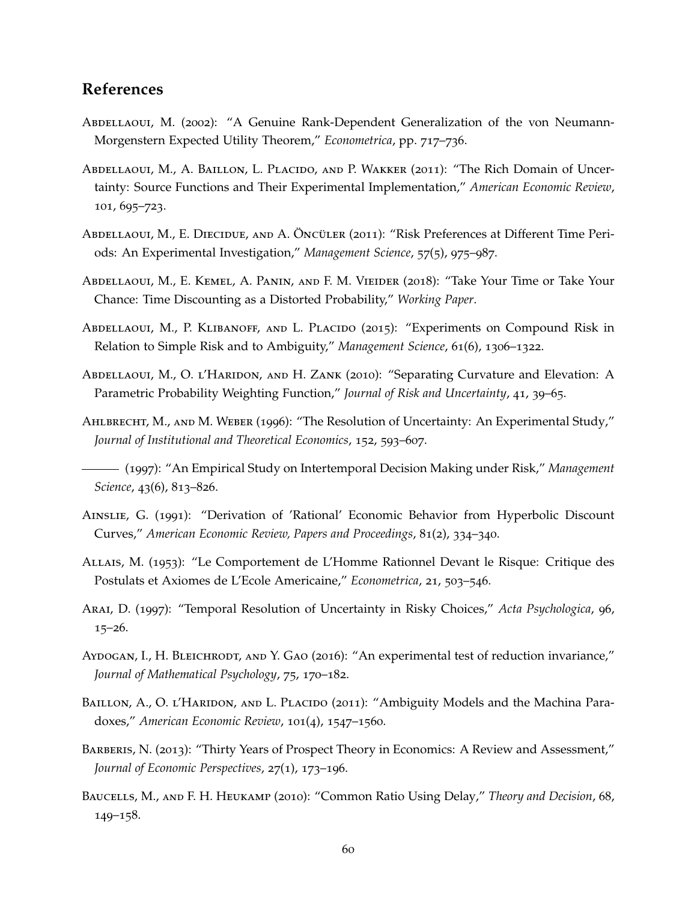# <span id="page-60-15"></span>**References**

- <span id="page-60-2"></span>ABDELLAOUI, M. (2002): "A Genuine Rank-Dependent Generalization of the von Neumann-Morgenstern Expected Utility Theorem," *Econometrica*, pp. 717–736.
- <span id="page-60-8"></span>ABDELLAOUI, M., A. BAILLON, L. PLACIDO, AND P. WAKKER (2011): "The Rich Domain of Uncertainty: Source Functions and Their Experimental Implementation," *American Economic Review*, 101, 695–723.
- <span id="page-60-7"></span>ABDELLAOUI, M., E. DIECIDUE, AND A. ÖNCÜLER (2011): "Risk Preferences at Different Time Periods: An Experimental Investigation," *Management Science*, 57(5), 975–987.
- <span id="page-60-12"></span>Abdellaoui, M., E. Kemel, A. Panin, and F. M. Vieider (2018): "Take Your Time or Take Your Chance: Time Discounting as a Distorted Probability," *Working Paper*.
- <span id="page-60-0"></span>Abdellaoui, M., P. Klibanoff, and L. Placido (2015): "Experiments on Compound Risk in Relation to Simple Risk and to Ambiguity," *Management Science*, 61(6), 1306–1322.
- <span id="page-60-14"></span>ABDELLAOUI, M., O. L'HARIDON, AND H. ZANK (2010): "Separating Curvature and Elevation: A Parametric Probability Weighting Function," *Journal of Risk and Uncertainty*, 41, 39–65.
- <span id="page-60-11"></span>AHLBRECHT, M., AND M. WEBER (1996): "The Resolution of Uncertainty: An Experimental Study," *Journal of Institutional and Theoretical Economics*, 152, 593–607.
- <span id="page-60-6"></span>(1997): "An Empirical Study on Intertemporal Decision Making under Risk," *Management Science*, 43(6), 813–826.
- <span id="page-60-10"></span>Ainslie, G. (1991): "Derivation of 'Rational' Economic Behavior from Hyperbolic Discount Curves," *American Economic Review, Papers and Proceedings*, 81(2), 334–340.
- <span id="page-60-3"></span>Allais, M. (1953): "Le Comportement de L'Homme Rationnel Devant le Risque: Critique des Postulats et Axiomes de L'Ecole Americaine," *Econometrica*, 21, 503–546.
- <span id="page-60-9"></span>Arai, D. (1997): "Temporal Resolution of Uncertainty in Risky Choices," *Acta Psychologica*, 96, 15–26.
- <span id="page-60-4"></span>AYDOGAN, I., H. BLEICHRODT, AND Y. GAO (2016): "An experimental test of reduction invariance," *Journal of Mathematical Psychology*, 75, 170–182.
- <span id="page-60-5"></span>BAILLON, A., O. L'HARIDON, AND L. PLACIDO (2011): "Ambiguity Models and the Machina Paradoxes," *American Economic Review*, 101(4), 1547–1560.
- <span id="page-60-1"></span>BARBERIS, N. (2013): "Thirty Years of Prospect Theory in Economics: A Review and Assessment," *Journal of Economic Perspectives*, 27(1), 173–196.
- <span id="page-60-13"></span>Baucells, M., and F. H. Heukamp (2010): "Common Ratio Using Delay," *Theory and Decision*, 68, 149–158.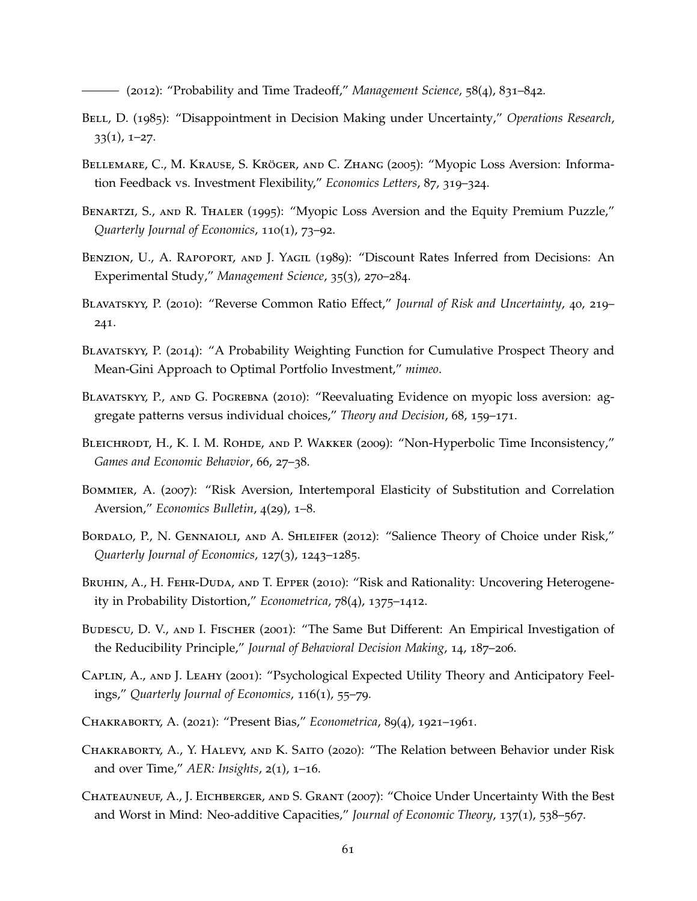<span id="page-61-19"></span><span id="page-61-18"></span><span id="page-61-17"></span><span id="page-61-16"></span>(2012): "Probability and Time Tradeoff," *Management Science*, 58(4), 831–842.

- <span id="page-61-5"></span><span id="page-61-2"></span>BELL, D. (1985): "Disappointment in Decision Making under Uncertainty," Operations Research,  $33(1), 1-27.$
- <span id="page-61-9"></span>BELLEMARE, C., M. KRAUSE, S. KRÖGER, AND C. ZHANG (2005): "Myopic Loss Aversion: Information Feedback vs. Investment Flexibility," *Economics Letters*, 87, 319–324.
- <span id="page-61-8"></span>Benartzi, S., and R. Thaler (1995): "Myopic Loss Aversion and the Equity Premium Puzzle," *Quarterly Journal of Economics*, 110(1), 73–92.
- <span id="page-61-10"></span>BENZION, U., A. RAPOPORT, AND J. YAGIL (1989): "Discount Rates Inferred from Decisions: An Experimental Study," *Management Science*, 35(3), 270–284.
- <span id="page-61-15"></span>Blavatskyy, P. (2010): "Reverse Common Ratio Effect," *Journal of Risk and Uncertainty*, 40, 219– 241.
- Blavatskyy, P. (2014): "A Probability Weighting Function for Cumulative Prospect Theory and Mean-Gini Approach to Optimal Portfolio Investment," *mimeo*.
- <span id="page-61-12"></span>Blavatskyy, P., and G. Pogrebna (2010): "Reevaluating Evidence on myopic loss aversion: aggregate patterns versus individual choices," *Theory and Decision*, 68, 159–171.
- <span id="page-61-7"></span>BLEICHRODT, H., K. I. M. ROHDE, AND P. WAKKER (2009): "Non-Hyperbolic Time Inconsistency," *Games and Economic Behavior*, 66, 27–38.
- <span id="page-61-4"></span>Bommier, A. (2007): "Risk Aversion, Intertemporal Elasticity of Substitution and Correlation Aversion," *Economics Bulletin*, 4(29), 1–8.
- <span id="page-61-3"></span>Bordalo, P., N. Gennaioli, and A. Shleifer (2012): "Salience Theory of Choice under Risk," *Quarterly Journal of Economics*, 127(3), 1243–1285.
- <span id="page-61-6"></span>BRUHIN, A., H. FEHR-DUDA, AND T. EPPER (2010): "Risk and Rationality: Uncovering Heterogeneity in Probability Distortion," *Econometrica*, 78(4), 1375–1412.
- <span id="page-61-11"></span>BUDESCU, D. V., AND I. FISCHER (2001): "The Same But Different: An Empirical Investigation of the Reducibility Principle," *Journal of Behavioral Decision Making*, 14, 187–206.
- <span id="page-61-13"></span>Caplin, A., and J. Leahy (2001): "Psychological Expected Utility Theory and Anticipatory Feelings," *Quarterly Journal of Economics*, 116(1), 55–79.
- <span id="page-61-1"></span>Chakraborty, A. (2021): "Present Bias," *Econometrica*, 89(4), 1921–1961.
- <span id="page-61-0"></span>Chakraborty, A., Y. Halevy, and K. Saito (2020): "The Relation between Behavior under Risk and over Time," *AER: Insights*, 2(1), 1–16.
- <span id="page-61-14"></span>Chateauneuf, A., J. Eichberger, and S. Grant (2007): "Choice Under Uncertainty With the Best and Worst in Mind: Neo-additive Capacities," *Journal of Economic Theory*, 137(1), 538–567.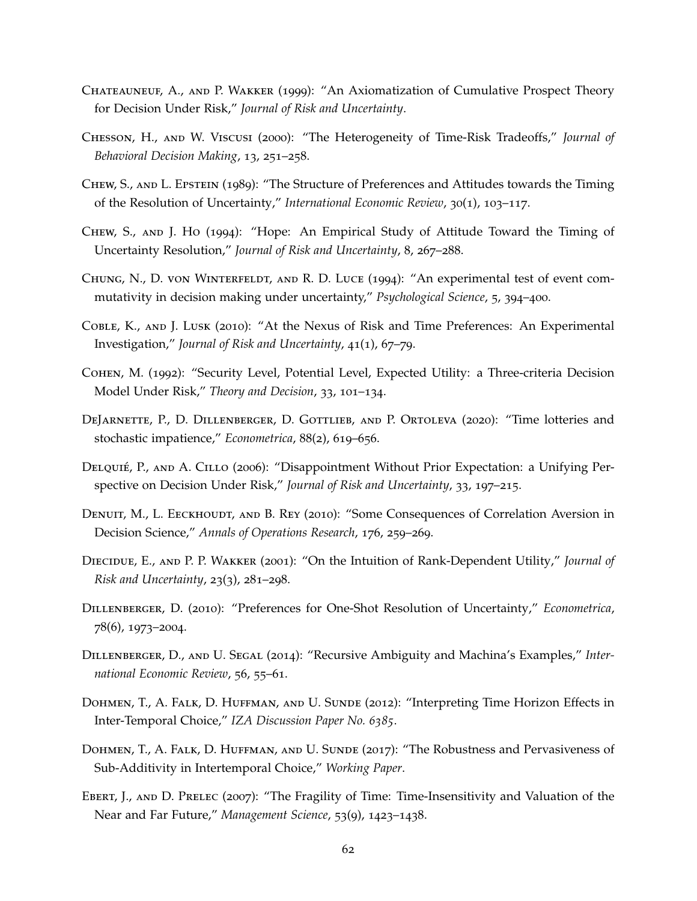- <span id="page-62-16"></span><span id="page-62-15"></span><span id="page-62-1"></span>Chateauneuf, A., and P. Wakker (1999): "An Axiomatization of Cumulative Prospect Theory for Decision Under Risk," *Journal of Risk and Uncertainty*.
- <span id="page-62-9"></span>Chesson, H., and W. Viscusi (2000): "The Heterogeneity of Time-Risk Tradeoffs," *Journal of Behavioral Decision Making*, 13, 251–258.
- <span id="page-62-8"></span>Chew, S., and L. Epstein (1989): "The Structure of Preferences and Attitudes towards the Timing of the Resolution of Uncertainty," *International Economic Review*, 30(1), 103–117.
- <span id="page-62-13"></span>Chew, S., and J. Ho (1994): "Hope: An Empirical Study of Attitude Toward the Timing of Uncertainty Resolution," *Journal of Risk and Uncertainty*, 8, 267–288.
- <span id="page-62-5"></span>Chung, N., D. von Winterfeldt, and R. D. Luce (1994): "An experimental test of event commutativity in decision making under uncertainty," *Psychological Science*, 5, 394–400.
- <span id="page-62-10"></span>Coble, K., and J. Lusk (2010): "At the Nexus of Risk and Time Preferences: An Experimental Investigation," *Journal of Risk and Uncertainty*, 41(1), 67–79.
- Cohen, M. (1992): "Security Level, Potential Level, Expected Utility: a Three-criteria Decision Model Under Risk," *Theory and Decision*, 33, 101–134.
- <span id="page-62-2"></span>DEJARNETTE, P., D. DILLENBERGER, D. GOTTLIEB, AND P. ORTOLEVA (2020): "Time lotteries and stochastic impatience," *Econometrica*, 88(2), 619–656.
- <span id="page-62-14"></span>DELQUIÉ, P., AND A. CILLO (2006): "Disappointment Without Prior Expectation: a Unifying Perspective on Decision Under Risk," *Journal of Risk and Uncertainty*, 33, 197–215.
- <span id="page-62-4"></span>DENUIT, M., L. EECKHOUDT, AND B. REY (2010): "Some Consequences of Correlation Aversion in Decision Science," *Annals of Operations Research*, 176, 259–269.
- <span id="page-62-3"></span>Diecidue, E., and P. P. Wakker (2001): "On the Intuition of Rank-Dependent Utility," *Journal of Risk and Uncertainty*, 23(3), 281–298.
- <span id="page-62-7"></span>Dillenberger, D. (2010): "Preferences for One-Shot Resolution of Uncertainty," *Econometrica*, 78(6), 1973–2004.
- <span id="page-62-6"></span>Dillenberger, D., and U. Segal (2014): "Recursive Ambiguity and Machina's Examples," *International Economic Review*, 56, 55–61.
- <span id="page-62-12"></span>DOHMEN, T., A. FALK, D. HUFFMAN, AND U. SUNDE (2012): "Interpreting Time Horizon Effects in Inter-Temporal Choice," *IZA Discussion Paper No. 6385*.
- <span id="page-62-0"></span>Dohmen, T., A. Falk, D. Huffman, and U. Sunde (2017): "The Robustness and Pervasiveness of Sub-Additivity in Intertemporal Choice," *Working Paper*.
- <span id="page-62-11"></span>Ebert, J., and D. Prelec (2007): "The Fragility of Time: Time-Insensitivity and Valuation of the Near and Far Future," *Management Science*, 53(9), 1423–1438.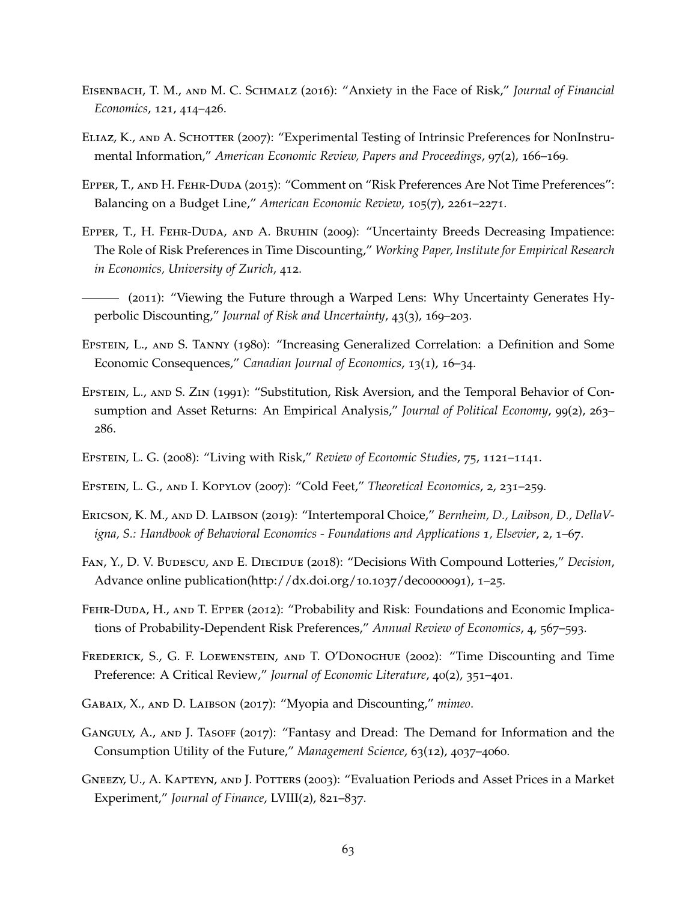- <span id="page-63-5"></span>Eisenbach, T. M., and M. C. Schmalz (2016): "Anxiety in the Face of Risk," *Journal of Financial Economics*, 121, 414–426.
- <span id="page-63-11"></span>ELIAZ, K., AND A. SCHOTTER (2007): "Experimental Testing of Intrinsic Preferences for NonInstrumental Information," *American Economic Review, Papers and Proceedings*, 97(2), 166–169.
- <span id="page-63-4"></span>Epper, T., and H. Fehr-Duda (2015): "Comment on "Risk Preferences Are Not Time Preferences": Balancing on a Budget Line," *American Economic Review*, 105(7), 2261–2271.
- <span id="page-63-10"></span>Epper, T., H. Fehr-Duda, and A. Bruhin (2009): "Uncertainty Breeds Decreasing Impatience: The Role of Risk Preferences in Time Discounting," *Working Paper, Institute for Empirical Research in Economics, University of Zurich*, 412.
- <span id="page-63-7"></span>(2011): "Viewing the Future through a Warped Lens: Why Uncertainty Generates Hyperbolic Discounting," *Journal of Risk and Uncertainty*, 43(3), 169–203.
- <span id="page-63-3"></span>Epstein, L., and S. Tanny (1980): "Increasing Generalized Correlation: a Definition and Some Economic Consequences," *Canadian Journal of Economics*, 13(1), 16–34.
- <span id="page-63-15"></span>Epstein, L., and S. Zin (1991): "Substitution, Risk Aversion, and the Temporal Behavior of Consumption and Asset Returns: An Empirical Analysis," *Journal of Political Economy*, 99(2), 263– 286.
- <span id="page-63-14"></span>Epstein, L. G. (2008): "Living with Risk," *Review of Economic Studies*, 75, 1121–1141.
- <span id="page-63-13"></span>Epstein, L. G., and I. Kopylov (2007): "Cold Feet," *Theoretical Economics*, 2, 231–259.
- <span id="page-63-1"></span>Ericson, K. M., and D. Laibson (2019): "Intertemporal Choice," *Bernheim, D., Laibson, D., DellaVigna, S.: Handbook of Behavioral Economics - Foundations and Applications 1, Elsevier*, 2, 1–67.
- <span id="page-63-8"></span>FAN, Y., D. V. BUDESCU, AND E. DIECIDUE (2018): "Decisions With Compound Lotteries," *Decision*, Advance online publication(http://dx.doi.org/10.1037/dec0000091), 1–25.
- <span id="page-63-2"></span>Fehr-Duda, H., and T. Epper (2012): "Probability and Risk: Foundations and Economic Implications of Probability-Dependent Risk Preferences," *Annual Review of Economics*, 4, 567–593.
- <span id="page-63-0"></span>Frederick, S., G. F. Loewenstein, and T. O'Donoghue (2002): "Time Discounting and Time Preference: A Critical Review," *Journal of Economic Literature*, 40(2), 351–401.
- <span id="page-63-9"></span>Gabaix, X., and D. Laibson (2017): "Myopia and Discounting," *mimeo*.
- <span id="page-63-12"></span>GANGULY, A., AND J. TASOFF (2017): "Fantasy and Dread: The Demand for Information and the Consumption Utility of the Future," *Management Science*, 63(12), 4037–4060.
- <span id="page-63-6"></span>Gneezy, U., A. Kapteyn, and J. Potters (2003): "Evaluation Periods and Asset Prices in a Market Experiment," *Journal of Finance*, LVIII(2), 821–837.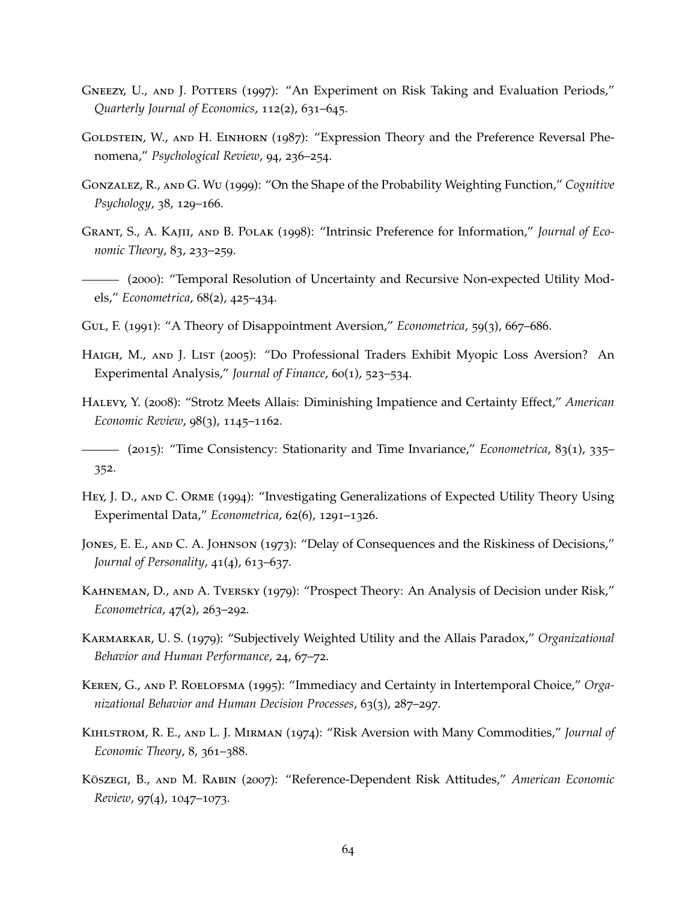- <span id="page-64-16"></span><span id="page-64-15"></span><span id="page-64-14"></span><span id="page-64-6"></span>GNEEZY, U., AND J. POTTERS (1997): "An Experiment on Risk Taking and Evaluation Periods," *Quarterly Journal of Economics*, 112(2), 631–645.
- GOLDSTEIN, W., AND H. EINHORN (1987): "Expression Theory and the Preference Reversal Phenomena," *Psychological Review*, 94, 236–254.
- <span id="page-64-2"></span>Gonzalez, R., and G. Wu (1999): "On the Shape of the Probability Weighting Function," *Cognitive Psychology*, 38, 129–166.
- <span id="page-64-12"></span>Grant, S., A. Kajii, and B. Polak (1998): "Intrinsic Preference for Information," *Journal of Economic Theory*, 83, 233–259.
- <span id="page-64-7"></span>(2000): "Temporal Resolution of Uncertainty and Recursive Non-expected Utility Models," *Econometrica*, 68(2), 425–434.
- <span id="page-64-5"></span>Gul, F. (1991): "A Theory of Disappointment Aversion," *Econometrica*, 59(3), 667–686.
- <span id="page-64-11"></span>HAIGH, M., AND J. LIST (2005): "Do Professional Traders Exhibit Myopic Loss Aversion? An Experimental Analysis," *Journal of Finance*, 60(1), 523–534.
- <span id="page-64-3"></span>Halevy, Y. (2008): "Strotz Meets Allais: Diminishing Impatience and Certainty Effect," *American Economic Review*, 98(3), 1145–1162.
- <span id="page-64-10"></span>(2015): "Time Consistency: Stationarity and Time Invariance," *Econometrica*, 83(1), 335– 352.
- <span id="page-64-8"></span>Hey, J. D., and C. Orme (1994): "Investigating Generalizations of Expected Utility Theory Using Experimental Data," *Econometrica*, 62(6), 1291–1326.
- <span id="page-64-9"></span>JONES, E. E., AND C. A. JOHNSON (1973): "Delay of Consequences and the Riskiness of Decisions," *Journal of Personality*, 41(4), 613–637.
- <span id="page-64-1"></span>Kahneman, D., and A. Tversky (1979): "Prospect Theory: An Analysis of Decision under Risk," *Econometrica*, 47(2), 263–292.
- Karmarkar, U. S. (1979): "Subjectively Weighted Utility and the Allais Paradox," *Organizational Behavior and Human Performance*, 24, 67–72.
- <span id="page-64-0"></span>Keren, G., and P. Roelofsma (1995): "Immediacy and Certainty in Intertemporal Choice," *Organizational Behavior and Human Decision Processes*, 63(3), 287–297.
- <span id="page-64-4"></span>Kihlstrom, R. E., and L. J. Mirman (1974): "Risk Aversion with Many Commodities," *Journal of Economic Theory*, 8, 361–388.
- <span id="page-64-13"></span>Köszegi, B., AND M. RABIN (2007): "Reference-Dependent Risk Attitudes," *American Economic Review*, 97(4), 1047–1073.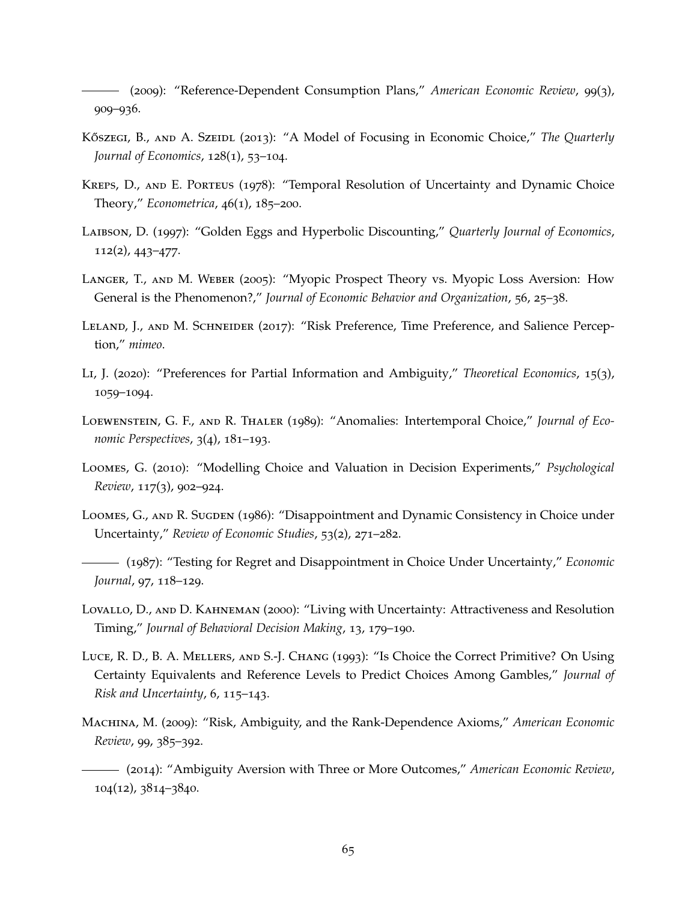<span id="page-65-14"></span><span id="page-65-12"></span>(2009): "Reference-Dependent Consumption Plans," *American Economic Review*, 99(3), 909–936.

- <span id="page-65-9"></span>KŐSZEGI, B., AND A. SZEIDL (2013): "A Model of Focusing in Economic Choice," *The Quarterly Journal of Economics*, 128(1), 53–104.
- <span id="page-65-2"></span>Kreps, D., and E. Porteus (1978): "Temporal Resolution of Uncertainty and Dynamic Choice Theory," *Econometrica*, 46(1), 185–200.
- <span id="page-65-1"></span>Laibson, D. (1997): "Golden Eggs and Hyperbolic Discounting," *Quarterly Journal of Economics*, 112(2), 443–477.
- <span id="page-65-10"></span>Langer, T., and M. Weber (2005): "Myopic Prospect Theory vs. Myopic Loss Aversion: How General is the Phenomenon?," *Journal of Economic Behavior and Organization*, 56, 25–38.
- <span id="page-65-3"></span>Leland, J., and M. Schneider (2017): "Risk Preference, Time Preference, and Salience Perception," *mimeo*.
- <span id="page-65-13"></span>Li, J. (2020): "Preferences for Partial Information and Ambiguity," *Theoretical Economics*, 15(3), 1059–1094.
- <span id="page-65-0"></span>Loewenstein, G. F., and R. Thaler (1989): "Anomalies: Intertemporal Choice," *Journal of Economic Perspectives*, 3(4), 181–193.
- <span id="page-65-6"></span>Loomes, G. (2010): "Modelling Choice and Valuation in Decision Experiments," *Psychological Review*, 117(3), 902–924.
- <span id="page-65-5"></span>Loomes, G., and R. Sugden (1986): "Disappointment and Dynamic Consistency in Choice under Uncertainty," *Review of Economic Studies*, 53(2), 271–282.
- <span id="page-65-4"></span>(1987): "Testing for Regret and Disappointment in Choice Under Uncertainty," *Economic Journal*, 97, 118–129.
- <span id="page-65-11"></span>Lovallo, D., and D. Kahneman (2000): "Living with Uncertainty: Attractiveness and Resolution Timing," *Journal of Behavioral Decision Making*, 13, 179–190.
- Luce, R. D., B. A. Mellers, and S.-J. Chang (1993): "Is Choice the Correct Primitive? On Using Certainty Equivalents and Reference Levels to Predict Choices Among Gambles," *Journal of Risk and Uncertainty*, 6, 115–143.
- <span id="page-65-7"></span>Machina, M. (2009): "Risk, Ambiguity, and the Rank-Dependence Axioms," *American Economic Review*, 99, 385–392.
- <span id="page-65-8"></span>(2014): "Ambiguity Aversion with Three or More Outcomes," *American Economic Review*, 104(12), 3814–3840.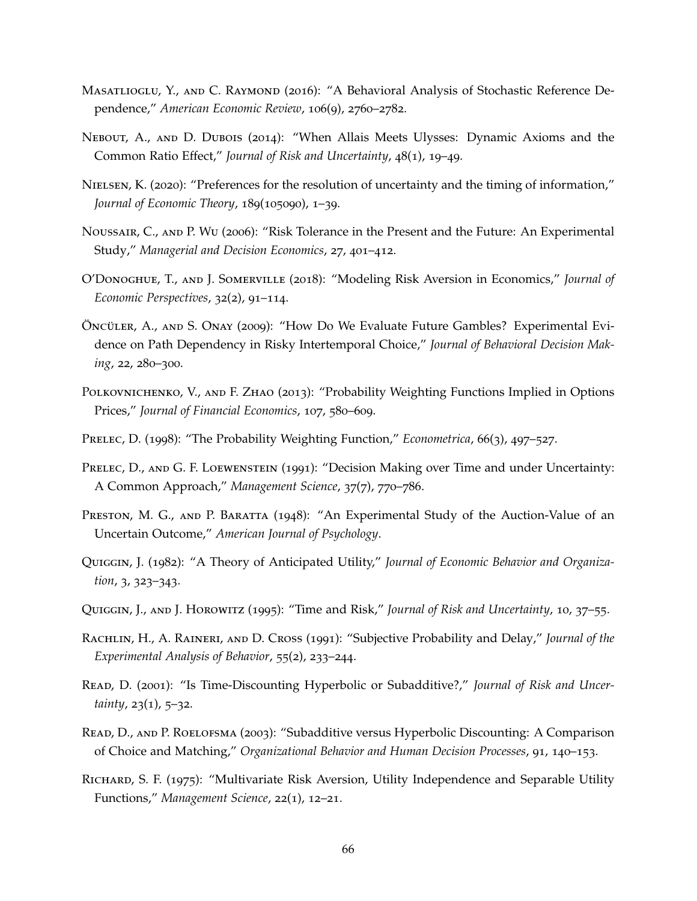- <span id="page-66-18"></span><span id="page-66-17"></span><span id="page-66-16"></span><span id="page-66-15"></span>MASATLIOGLU, Y., AND C. RAYMOND (2016): "A Behavioral Analysis of Stochastic Reference Dependence," *American Economic Review*, 106(9), 2760–2782.
- <span id="page-66-9"></span>Nebout, A., and D. Dubois (2014): "When Allais Meets Ulysses: Dynamic Axioms and the Common Ratio Effect," *Journal of Risk and Uncertainty*, 48(1), 19–49.
- <span id="page-66-12"></span>NIELSEN, K. (2020): "Preferences for the resolution of uncertainty and the timing of information," *Journal of Economic Theory*, 189(105090), 1–39.
- <span id="page-66-11"></span>Noussair, C., and P. Wu (2006): "Risk Tolerance in the Present and the Future: An Experimental Study," *Managerial and Decision Economics*, 27, 401–412.
- <span id="page-66-4"></span>O'Donoghue, T., and J. Somerville (2018): "Modeling Risk Aversion in Economics," *Journal of Economic Perspectives*, 32(2), 91–114.
- <span id="page-66-1"></span>ÖNCÜLER, A., AND S. ONAY (2009): "How Do We Evaluate Future Gambles? Experimental Evidence on Path Dependency in Risky Intertemporal Choice," *Journal of Behavioral Decision Making*, 22, 280–300.
- <span id="page-66-14"></span>POLKOVNICHENKO, V., AND F. ZHAO (2013): "Probability Weighting Functions Implied in Options Prices," *Journal of Financial Economics*, 107, 580–609.
- <span id="page-66-3"></span>Prelec, D. (1998): "The Probability Weighting Function," *Econometrica*, 66(3), 497–527.
- <span id="page-66-2"></span>PRELEC, D., AND G. F. LOEWENSTEIN (1991): "Decision Making over Time and under Uncertainty: A Common Approach," *Management Science*, 37(7), 770–786.
- <span id="page-66-7"></span>PRESTON, M. G., AND P. BARATTA (1948): "An Experimental Study of the Auction-Value of an Uncertain Outcome," *American Journal of Psychology*.
- <span id="page-66-5"></span>Quiggin, J. (1982): "A Theory of Anticipated Utility," *Journal of Economic Behavior and Organization*, 3, 323–343.
- <span id="page-66-6"></span>Quiggin, J., and J. Horowitz (1995): "Time and Risk," *Journal of Risk and Uncertainty*, 10, 37–55.
- <span id="page-66-10"></span>Rachlin, H., A. Raineri, and D. Cross (1991): "Subjective Probability and Delay," *Journal of the Experimental Analysis of Behavior*, 55(2), 233–244.
- <span id="page-66-0"></span>Read, D. (2001): "Is Time-Discounting Hyperbolic or Subadditive?," *Journal of Risk and Uncertainty*, 23(1), 5–32.
- <span id="page-66-13"></span>Read, D., and P. Roelofsma (2003): "Subadditive versus Hyperbolic Discounting: A Comparison of Choice and Matching," *Organizational Behavior and Human Decision Processes*, 91, 140–153.
- <span id="page-66-8"></span>RICHARD, S. F. (1975): "Multivariate Risk Aversion, Utility Independence and Separable Utility Functions," *Management Science*, 22(1), 12–21.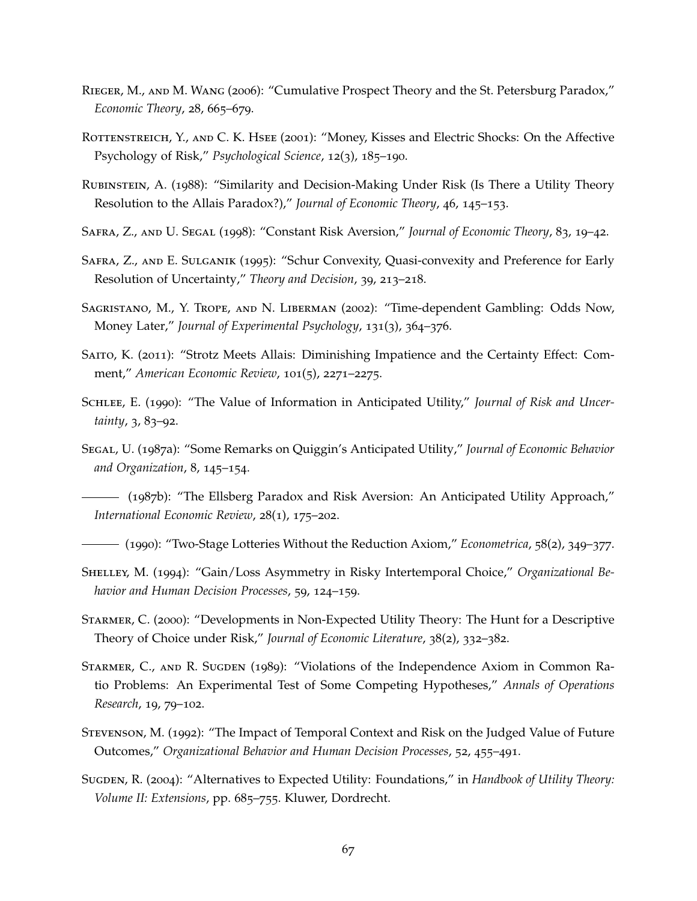- <span id="page-67-16"></span><span id="page-67-15"></span>Rieger, M., and M. Wang (2006): "Cumulative Prospect Theory and the St. Petersburg Paradox," *Economic Theory*, 28, 665–679.
- <span id="page-67-7"></span>ROTTENSTREICH, Y., AND C. K. HSEE (2001): "Money, Kisses and Electric Shocks: On the Affective Psychology of Risk," *Psychological Science*, 12(3), 185–190.
- <span id="page-67-8"></span>Rubinstein, A. (1988): "Similarity and Decision-Making Under Risk (Is There a Utility Theory Resolution to the Allais Paradox?)," *Journal of Economic Theory*, 46, 145–153.
- <span id="page-67-14"></span>Safra, Z., and U. Segal (1998): "Constant Risk Aversion," *Journal of Economic Theory*, 83, 19–42.
- <span id="page-67-13"></span>Safra, Z., and E. Sulganik (1995): "Schur Convexity, Quasi-convexity and Preference for Early Resolution of Uncertainty," *Theory and Decision*, 39, 213–218.
- <span id="page-67-11"></span>Sagristano, M., Y. Trope, and N. Liberman (2002): "Time-dependent Gambling: Odds Now, Money Later," *Journal of Experimental Psychology*, 131(3), 364–376.
- <span id="page-67-3"></span>SAITO, K. (2011): "Strotz Meets Allais: Diminishing Impatience and the Certainty Effect: Comment," *American Economic Review*, 101(5), 2271–2275.
- <span id="page-67-12"></span>SCHLEE, E. (1990): "The Value of Information in Anticipated Utility," *Journal of Risk and Uncertainty*, 3, 83–92.
- <span id="page-67-4"></span>Segal, U. (1987a): "Some Remarks on Quiggin's Anticipated Utility," *Journal of Economic Behavior and Organization*, 8, 145–154.
- <span id="page-67-5"></span>(1987b): "The Ellsberg Paradox and Risk Aversion: An Anticipated Utility Approach," *International Economic Review*, 28(1), 175–202.
- <span id="page-67-2"></span>(1990): "Two-Stage Lotteries Without the Reduction Axiom," *Econometrica*, 58(2), 349–377.
- <span id="page-67-1"></span>Shelley, M. (1994): "Gain/Loss Asymmetry in Risky Intertemporal Choice," *Organizational Behavior and Human Decision Processes*, 59, 124–159.
- <span id="page-67-0"></span>Starmer, C. (2000): "Developments in Non-Expected Utility Theory: The Hunt for a Descriptive Theory of Choice under Risk," *Journal of Economic Literature*, 38(2), 332–382.
- <span id="page-67-10"></span>Starmer, C., and R. Sugden (1989): "Violations of the Independence Axiom in Common Ratio Problems: An Experimental Test of Some Competing Hypotheses," *Annals of Operations Research*, 19, 79–102.
- <span id="page-67-9"></span>Stevenson, M. (1992): "The Impact of Temporal Context and Risk on the Judged Value of Future Outcomes," *Organizational Behavior and Human Decision Processes*, 52, 455–491.
- <span id="page-67-6"></span>Sugden, R. (2004): "Alternatives to Expected Utility: Foundations," in *Handbook of Utility Theory: Volume II: Extensions*, pp. 685–755. Kluwer, Dordrecht.